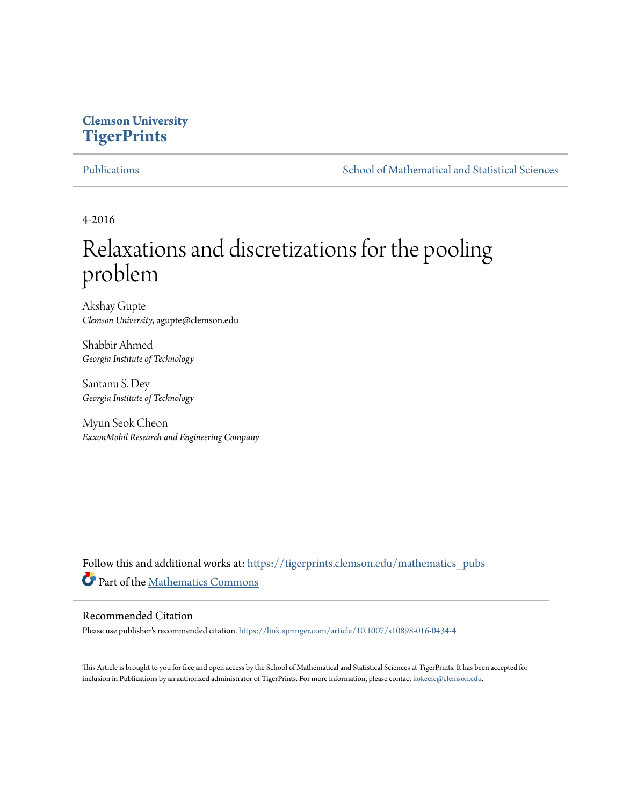# **Clemson University [TigerPrints](https://tigerprints.clemson.edu?utm_source=tigerprints.clemson.edu%2Fmathematics_pubs%2F3&utm_medium=PDF&utm_campaign=PDFCoverPages)**

[Publications](https://tigerprints.clemson.edu/mathematics_pubs?utm_source=tigerprints.clemson.edu%2Fmathematics_pubs%2F3&utm_medium=PDF&utm_campaign=PDFCoverPages) [School of Mathematical and Statistical Sciences](https://tigerprints.clemson.edu/mathematics?utm_source=tigerprints.clemson.edu%2Fmathematics_pubs%2F3&utm_medium=PDF&utm_campaign=PDFCoverPages)

4-2016

# Relaxations and discretizations for the pooling problem

Akshay Gupte *Clemson University*, agupte@clemson.edu

Shabbir Ahmed *Georgia Institute of Technology*

Santanu S. Dey *Georgia Institute of Technology*

Myun Seok Cheon *ExxonMobil Research and Engineering Company*

Follow this and additional works at: [https://tigerprints.clemson.edu/mathematics\\_pubs](https://tigerprints.clemson.edu/mathematics_pubs?utm_source=tigerprints.clemson.edu%2Fmathematics_pubs%2F3&utm_medium=PDF&utm_campaign=PDFCoverPages) Part of the [Mathematics Commons](http://network.bepress.com/hgg/discipline/174?utm_source=tigerprints.clemson.edu%2Fmathematics_pubs%2F3&utm_medium=PDF&utm_campaign=PDFCoverPages)

# Recommended Citation

Please use publisher's recommended citation. <https://link.springer.com/article/10.1007/s10898-016-0434-4>

This Article is brought to you for free and open access by the School of Mathematical and Statistical Sciences at TigerPrints. It has been accepted for inclusion in Publications by an authorized administrator of TigerPrints. For more information, please contact [kokeefe@clemson.edu.](mailto:kokeefe@clemson.edu)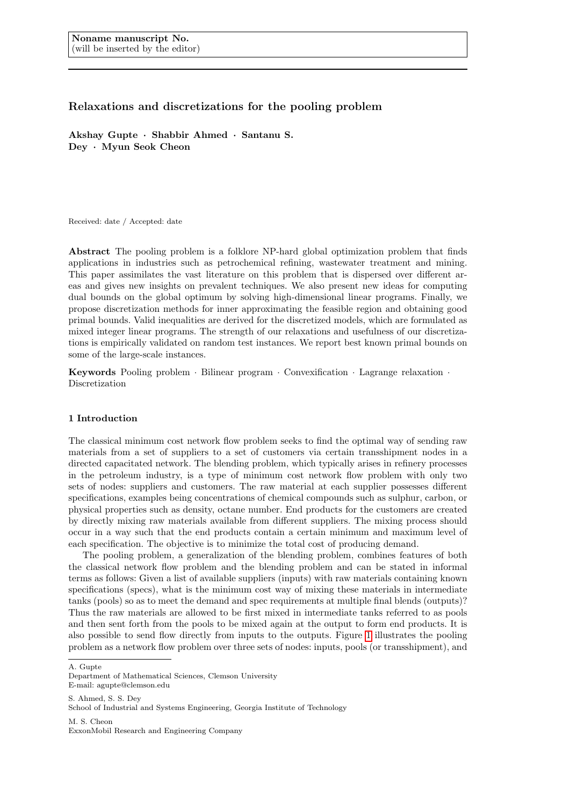# Relaxations and discretizations for the pooling problem

Akshay Gupte · Shabbir Ahmed · Santanu S. Dey · Myun Seok Cheon

Received: date / Accepted: date

Abstract The pooling problem is a folklore NP-hard global optimization problem that finds applications in industries such as petrochemical refining, wastewater treatment and mining. This paper assimilates the vast literature on this problem that is dispersed over different areas and gives new insights on prevalent techniques. We also present new ideas for computing dual bounds on the global optimum by solving high-dimensional linear programs. Finally, we propose discretization methods for inner approximating the feasible region and obtaining good primal bounds. Valid inequalities are derived for the discretized models, which are formulated as mixed integer linear programs. The strength of our relaxations and usefulness of our discretizations is empirically validated on random test instances. We report best known primal bounds on some of the large-scale instances.

**Keywords** Pooling problem  $\cdot$  Bilinear program  $\cdot$  Convexification  $\cdot$  Lagrange relaxation  $\cdot$ Discretization

#### 1 Introduction

The classical minimum cost network flow problem seeks to find the optimal way of sending raw materials from a set of suppliers to a set of customers via certain transshipment nodes in a directed capacitated network. The blending problem, which typically arises in refinery processes in the petroleum industry, is a type of minimum cost network flow problem with only two sets of nodes: suppliers and customers. The raw material at each supplier possesses different specifications, examples being concentrations of chemical compounds such as sulphur, carbon, or physical properties such as density, octane number. End products for the customers are created by directly mixing raw materials available from different suppliers. The mixing process should occur in a way such that the end products contain a certain minimum and maximum level of each specification. The objective is to minimize the total cost of producing demand.

The pooling problem, a generalization of the blending problem, combines features of both the classical network flow problem and the blending problem and can be stated in informal terms as follows: Given a list of available suppliers (inputs) with raw materials containing known specifications (specs), what is the minimum cost way of mixing these materials in intermediate tanks (pools) so as to meet the demand and spec requirements at multiple final blends (outputs)? Thus the raw materials are allowed to be first mixed in intermediate tanks referred to as pools and then sent forth from the pools to be mixed again at the output to form end products. It is also possible to send flow directly from inputs to the outputs. Figure [1](#page-2-0) illustrates the pooling problem as a network flow problem over three sets of nodes: inputs, pools (or transshipment), and

A. Gupte

S. Ahmed, S. S. Dev. School of Industrial and Systems Engineering, Georgia Institute of Technology

M. S. Cheon ExxonMobil Research and Engineering Company

Department of Mathematical Sciences, Clemson University E-mail: agupte@clemson.edu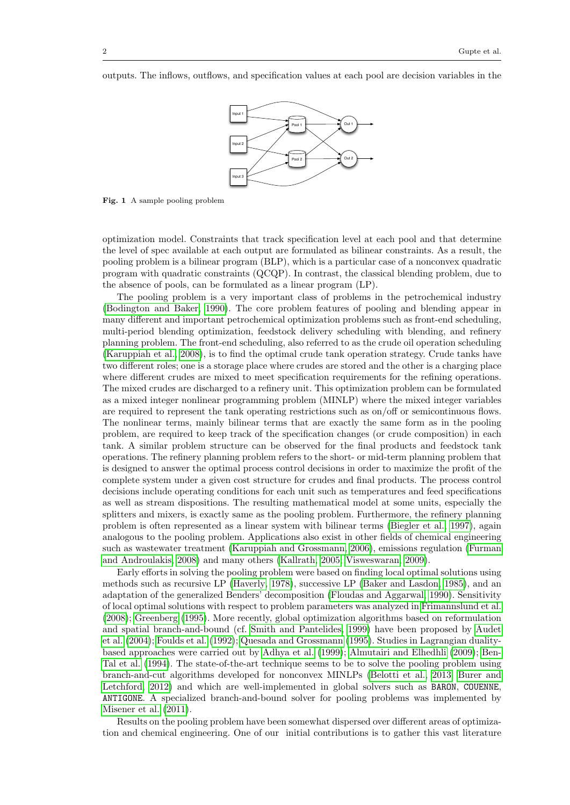outputs. The inflows, outflows, and specification values at each pool are decision variables in the



<span id="page-2-0"></span>Fig. 1 A sample pooling problem

optimization model. Constraints that track specification level at each pool and that determine the level of spec available at each output are formulated as bilinear constraints. As a result, the pooling problem is a bilinear program (BLP), which is a particular case of a nonconvex quadratic program with quadratic constraints (QCQP). In contrast, the classical blending problem, due to the absence of pools, can be formulated as a linear program (LP).

The pooling problem is a very important class of problems in the petrochemical industry [\(Bodington and Baker, 1990\)](#page-30-0). The core problem features of pooling and blending appear in many different and important petrochemical optimization problems such as front-end scheduling, multi-period blending optimization, feedstock delivery scheduling with blending, and refinery planning problem. The front-end scheduling, also referred to as the crude oil operation scheduling [\(Karuppiah et al., 2008\)](#page-31-0), is to find the optimal crude tank operation strategy. Crude tanks have two different roles; one is a storage place where crudes are stored and the other is a charging place where different crudes are mixed to meet specification requirements for the refining operations. The mixed crudes are discharged to a refinery unit. This optimization problem can be formulated as a mixed integer nonlinear programming problem (MINLP) where the mixed integer variables are required to represent the tank operating restrictions such as on/off or semicontinuous flows. The nonlinear terms, mainly bilinear terms that are exactly the same form as in the pooling problem, are required to keep track of the specification changes (or crude composition) in each tank. A similar problem structure can be observed for the final products and feedstock tank operations. The refinery planning problem refers to the short- or mid-term planning problem that is designed to answer the optimal process control decisions in order to maximize the profit of the complete system under a given cost structure for crudes and final products. The process control decisions include operating conditions for each unit such as temperatures and feed specifications as well as stream dispositions. The resulting mathematical model at some units, especially the splitters and mixers, is exactly same as the pooling problem. Furthermore, the refinery planning problem is often represented as a linear system with bilinear terms [\(Biegler et al., 1997\)](#page-30-1), again analogous to the pooling problem. Applications also exist in other fields of chemical engineering such as wastewater treatment [\(Karuppiah and Grossmann, 2006\)](#page-31-1), emissions regulation [\(Furman](#page-30-2) [and Androulakis, 2008\)](#page-30-2) and many others [\(Kallrath, 2005;](#page-31-2) [Visweswaran, 2009\)](#page-32-0).

Early efforts in solving the pooling problem were based on finding local optimal solutions using methods such as recursive LP [\(Haverly, 1978\)](#page-31-3), successive LP [\(Baker and Lasdon, 1985\)](#page-29-0), and an adaptation of the generalized Benders' decomposition [\(Floudas and Aggarwal, 1990\)](#page-30-3). Sensitivity of local optimal solutions with respect to problem parameters was analyzed in [Frimannslund et al.](#page-30-4) [\(2008\)](#page-30-4); [Greenberg](#page-30-5) [\(1995\)](#page-30-5). More recently, global optimization algorithms based on reformulation and spatial branch-and-bound (cf. [Smith and Pantelides, 1999\)](#page-32-1) have been proposed by [Audet](#page-29-1) [et al.](#page-29-1) [\(2004\)](#page-29-1); [Foulds et al.](#page-30-6) [\(1992\)](#page-30-6); [Quesada and Grossmann](#page-31-4) [\(1995\)](#page-31-4). Studies in Lagrangian dualitybased approaches were carried out by [Adhya et al.](#page-29-2) [\(1999\)](#page-29-2); [Almutairi and Elhedhli](#page-29-3) [\(2009\)](#page-29-3); [Ben-](#page-30-7)[Tal et al.](#page-30-7) [\(1994\)](#page-30-7). The state-of-the-art technique seems to be to solve the pooling problem using branch-and-cut algorithms developed for nonconvex MINLPs [\(Belotti et al., 2013;](#page-30-8) [Burer and](#page-30-9) [Letchford, 2012\)](#page-30-9) and which are well-implemented in global solvers such as **BARON**, COUENNE, ANTIGONE. A specialized branch-and-bound solver for pooling problems was implemented by [Misener et al.](#page-31-5) [\(2011\)](#page-31-5).

Results on the pooling problem have been somewhat dispersed over different areas of optimization and chemical engineering. One of our initial contributions is to gather this vast literature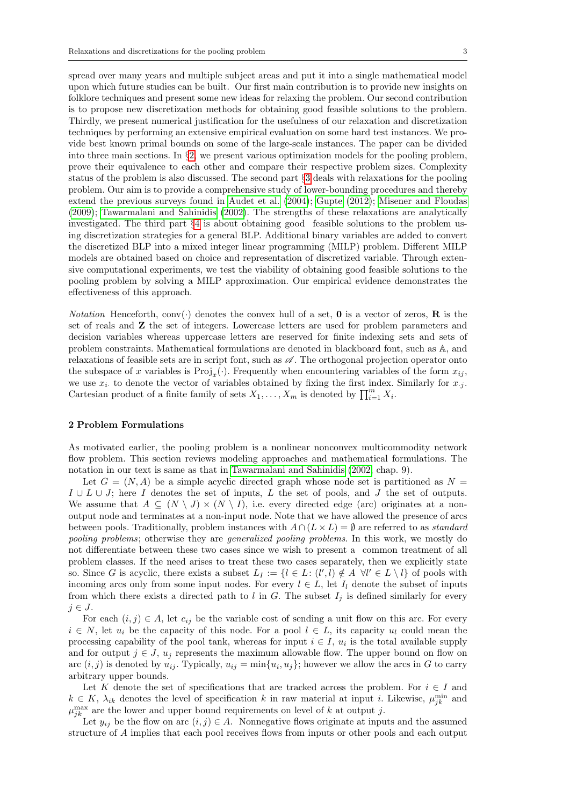spread over many years and multiple subject areas and put it into a single mathematical model upon which future studies can be built. Our first main contribution is to provide new insights on folklore techniques and present some new ideas for relaxing the problem. Our second contribution is to propose new discretization methods for obtaining good feasible solutions to the problem. Thirdly, we present numerical justification for the usefulness of our relaxation and discretization techniques by performing an extensive empirical evaluation on some hard test instances. We provide best known primal bounds on some of the large-scale instances. The paper can be divided into three main sections. In §[2,](#page-3-0) we present various optimization models for the pooling problem, prove their equivalence to each other and compare their respective problem sizes. Complexity status of the problem is also discussed. The second part §[3](#page-11-0) deals with relaxations for the pooling problem. Our aim is to provide a comprehensive study of lower-bounding procedures and thereby extend the previous surveys found in [Audet et al.](#page-29-1) [\(2004\)](#page-29-1); [Gupte](#page-30-10) [\(2012\)](#page-30-10); [Misener and Floudas](#page-31-6) [\(2009\)](#page-31-6); [Tawarmalani and Sahinidis](#page-32-2) [\(2002\)](#page-32-2). The strengths of these relaxations are analytically investigated. The third part §[4](#page-21-0) is about obtaining good feasible solutions to the problem using discretization strategies for a general BLP. Additional binary variables are added to convert the discretized BLP into a mixed integer linear programming (MILP) problem. Different MILP models are obtained based on choice and representation of discretized variable. Through extensive computational experiments, we test the viability of obtaining good feasible solutions to the pooling problem by solving a MILP approximation. Our empirical evidence demonstrates the effectiveness of this approach.

*Notation* Henceforth, conv( $\cdot$ ) denotes the convex hull of a set, **0** is a vector of zeros, **R** is the set of reals and Z the set of integers. Lowercase letters are used for problem parameters and decision variables whereas uppercase letters are reserved for finite indexing sets and sets of problem constraints. Mathematical formulations are denoted in blackboard font, such as A, and relaxations of feasible sets are in script font, such as  $\mathscr A$ . The orthogonal projection operator onto the subspace of x variables is  $Proj_x(\cdot)$ . Frequently when encountering variables of the form  $x_{ij}$ , we use  $x_i$  to denote the vector of variables obtained by fixing the first index. Similarly for  $x_{i,j}$ . Cartesian product of a finite family of sets  $X_1, \ldots, X_m$  is denoted by  $\prod_{i=1}^m X_i$ .

#### <span id="page-3-0"></span>2 Problem Formulations

As motivated earlier, the pooling problem is a nonlinear nonconvex multicommodity network flow problem. This section reviews modeling approaches and mathematical formulations. The notation in our text is same as that in [Tawarmalani and Sahinidis](#page-32-2) [\(2002,](#page-32-2) chap. 9).

Let  $G = (N, A)$  be a simple acyclic directed graph whose node set is partitioned as  $N =$  $I \cup L \cup J$ ; here I denotes the set of inputs, L the set of pools, and J the set of outputs. We assume that  $A \subseteq (N \setminus J) \times (N \setminus I)$ , i.e. every directed edge (arc) originates at a nonoutput node and terminates at a non-input node. Note that we have allowed the presence of arcs between pools. Traditionally, problem instances with  $A \cap (L \times L) = \emptyset$  are referred to as *standard* pooling problems; otherwise they are generalized pooling problems. In this work, we mostly do not differentiate between these two cases since we wish to present a common treatment of all problem classes. If the need arises to treat these two cases separately, then we explicitly state so. Since G is acyclic, there exists a subset  $L_I := \{l \in L : (l', l) \notin A \ \forall l' \in L \setminus l\}$  of pools with incoming arcs only from some input nodes. For every  $l \in L$ , let  $I_l$  denote the subset of inputs from which there exists a directed path to l in G. The subset  $I_j$  is defined similarly for every  $j \in J$ .

For each  $(i, j) \in A$ , let  $c_{ij}$  be the variable cost of sending a unit flow on this arc. For every  $i \in N$ , let  $u_i$  be the capacity of this node. For a pool  $l \in L$ , its capacity  $u_l$  could mean the processing capability of the pool tank, whereas for input  $i \in I$ ,  $u_i$  is the total available supply and for output  $j \in J$ ,  $u_j$  represents the maximum allowable flow. The upper bound on flow on arc  $(i, j)$  is denoted by  $u_{ij}$ . Typically,  $u_{ij} = \min\{u_i, u_j\}$ ; however we allow the arcs in G to carry arbitrary upper bounds.

Let K denote the set of specifications that are tracked across the problem. For  $i \in I$  and  $k \in K$ ,  $\lambda_{ik}$  denotes the level of specification k in raw material at input i. Likewise,  $\mu_{jk}^{\min}$  and  $\mu_{jk}^{\max}$  are the lower and upper bound requirements on level of k at output j.

Let  $y_{ij}$  be the flow on arc  $(i, j) \in A$ . Nonnegative flows originate at inputs and the assumed structure of A implies that each pool receives flows from inputs or other pools and each output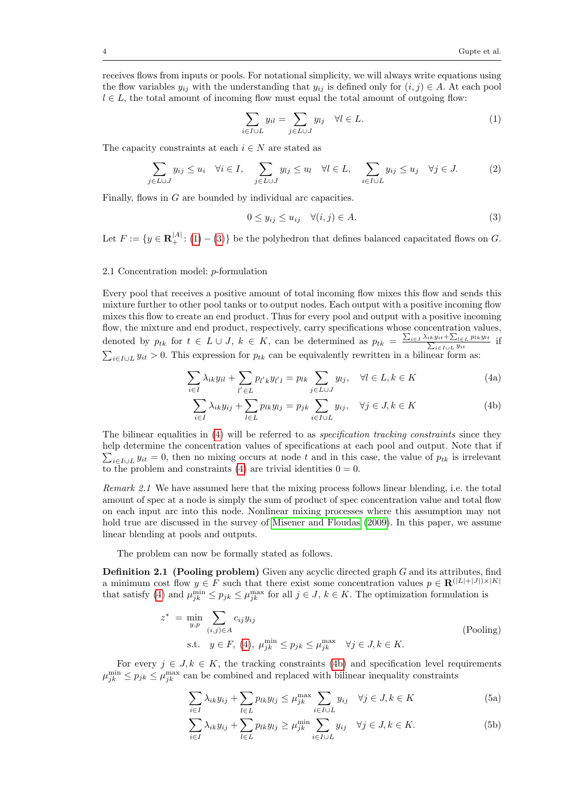receives flows from inputs or pools. For notational simplicity, we will always write equations using the flow variables  $y_{ij}$  with the understanding that  $y_{ij}$  is defined only for  $(i, j) \in A$ . At each pool  $l \in L$ , the total amount of incoming flow must equal the total amount of outgoing flow:

<span id="page-4-0"></span>
$$
\sum_{i \in I \cup L} y_{il} = \sum_{j \in L \cup J} y_{lj} \quad \forall l \in L. \tag{1}
$$

The capacity constraints at each  $i \in N$  are stated as

<span id="page-4-6"></span>
$$
\sum_{j \in L \cup J} y_{ij} \le u_i \quad \forall i \in I, \quad \sum_{j \in L \cup J} y_{lj} \le u_l \quad \forall l \in L, \quad \sum_{i \in I \cup L} y_{ij} \le u_j \quad \forall j \in J. \tag{2}
$$

Finally, flows in G are bounded by individual arc capacities.

<span id="page-4-2"></span><span id="page-4-1"></span>
$$
0 \le y_{ij} \le u_{ij} \quad \forall (i,j) \in A. \tag{3}
$$

Let  $F := \{y \in \mathbf{R}^{|A|}_+ : (1) - (3)\}$  $F := \{y \in \mathbf{R}^{|A|}_+ : (1) - (3)\}$  $F := \{y \in \mathbf{R}^{|A|}_+ : (1) - (3)\}$  $F := \{y \in \mathbf{R}^{|A|}_+ : (1) - (3)\}$  $F := \{y \in \mathbf{R}^{|A|}_+ : (1) - (3)\}$  be the polyhedron that defines balanced capacitated flows on G.

#### 2.1 Concentration model: p-formulation

Every pool that receives a positive amount of total incoming flow mixes this flow and sends this mixture further to other pool tanks or to output nodes. Each output with a positive incoming flow mixes this flow to create an end product. Thus for every pool and output with a positive incoming flow, the mixture and end product, respectively, carry specifications whose concentration values, denoted by  $p_{tk}$  for  $t \in L \cup J$ ,  $k \in K$ , can be determined as  $p_{tk} = \frac{\sum_{i \in I} \lambda_{ik} y_{it} + \sum_{l \in L} p_{lk} y_{lt}}{\sum_{i \in I \cup L} y_{it}}$  if  $\sum_{i\in I\cup L} y_{it} > 0$ . This expression for  $p_{tk}$  can be equivalently rewritten in a bilinear form as:

<span id="page-4-3"></span>
$$
\sum_{i \in I} \lambda_{ik} y_{il} + \sum_{l' \in L} p_{l'k} y_{l'l} = p_{lk} \sum_{j \in L \cup J} y_{lj}, \quad \forall l \in L, k \in K
$$
\n(4a)

$$
\sum_{i \in I} \lambda_{ik} y_{ij} + \sum_{l \in L} p_{lk} y_{lj} = p_{jk} \sum_{i \in I \cup L} y_{ij}, \quad \forall j \in J, k \in K
$$
 (4b)

The bilinear equalities in [\(4\)](#page-4-2) will be referred to as *specification tracking constraints* since they help determine the concentration values of specifications at each pool and output. Note that if  $\sum_{i\in I\cup L} y_{it} = 0$ , then no mixing occurs at node t and in this case, the value of  $p_{tk}$  is irrelevant to the problem and constraints [\(4\)](#page-4-2) are trivial identities  $0 = 0$ .

Remark 2.1 We have assumed here that the mixing process follows linear blending, i.e. the total amount of spec at a node is simply the sum of product of spec concentration value and total flow on each input arc into this node. Nonlinear mixing processes where this assumption may not hold true are discussed in the survey of [Misener and Floudas](#page-31-6) [\(2009\)](#page-31-6). In this paper, we assume linear blending at pools and outputs.

The problem can now be formally stated as follows.

**Definition 2.1 (Pooling problem)** Given any acyclic directed graph  $G$  and its attributes, find a minimum cost flow  $y \in F$  such that there exist some concentration values  $p \in \mathbf{R}(|L|+|J|) \times |K|$ that satisfy [\(4\)](#page-4-2) and  $\mu_{jk}^{\min} \leq p_{jk} \leq \mu_{jk}^{\max}$  for all  $j \in J, k \in K$ . The optimization formulation is

<span id="page-4-7"></span>
$$
z^* = \min_{y,p} \sum_{(i,j)\in A} c_{ij} y_{ij}
$$
  
s.t.  $y \in F$ , (4),  $\mu_{jk}^{\min} \le p_{jk} \le \mu_{jk}^{\max} \quad \forall j \in J, k \in K.$  (Pooling)

<span id="page-4-4"></span>For every  $j \in J, k \in K$ , the tracking constraints [\(4b\)](#page-4-3) and specification level requirements  $\mu_{jk}^{\min} \leq p_{jk} \leq \mu_{jk}^{\max}$  can be combined and replaced with bilinear inequality constraints

<span id="page-4-5"></span>
$$
\sum_{i \in I} \lambda_{ik} y_{ij} + \sum_{l \in L} p_{lk} y_{lj} \le \mu_{jk}^{\max} \sum_{i \in I \cup L} y_{ij} \quad \forall j \in J, k \in K
$$
 (5a)

$$
\sum_{i \in I} \lambda_{ik} y_{ij} + \sum_{l \in L} p_{lk} y_{lj} \ge \mu_{jk}^{\min} \sum_{i \in I \cup L} y_{ij} \quad \forall j \in J, k \in K.
$$
 (5b)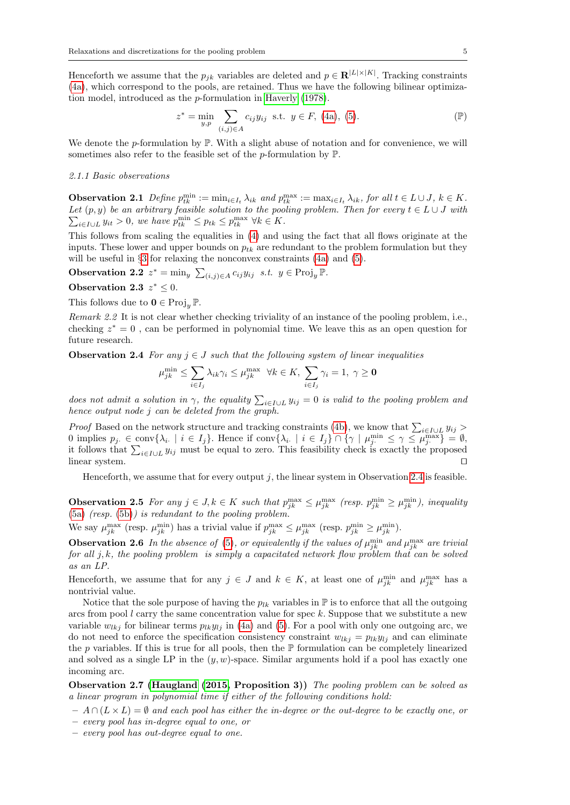Henceforth we assume that the  $p_{jk}$  variables are deleted and  $p \in \mathbf{R}^{|L| \times |K|}$ . Tracking constraints [\(4a\)](#page-4-3), which correspond to the pools, are retained. Thus we have the following bilinear optimization model, introduced as the p-formulation in [Haverly](#page-31-3) [\(1978\)](#page-31-3).

<span id="page-5-1"></span>
$$
z^* = \min_{y,p} \sum_{(i,j)\in A} c_{ij} y_{ij} \text{ s.t. } y \in F, (4a), (5). \tag{P}
$$

We denote the p-formulation by  $\mathbb{P}$ . With a slight abuse of notation and for convenience, we will sometimes also refer to the feasible set of the  $p$ -formulation by  $\mathbb{P}$ .

#### 2.1.1 Basic observations

<span id="page-5-2"></span>**Observation 2.1** Define  $p_{tk}^{\min} := \min_{i \in I_t} \lambda_{ik}$  and  $p_{tk}^{\max} := \max_{i \in I_t} \lambda_{ik}$ , for all  $t \in L \cup J$ ,  $k \in K$ .  $\sum_{i \in I \cup L} y_{it} > 0$ , we have  $p_{tk}^{\min} \leq p_{tk} \leq p_{tk}^{\max} \ \forall k \in K$ . Let  $(p, y)$  be an arbitrary feasible solution to the pooling problem. Then for every  $t \in L \cup J$  with

This follows from scaling the equalities in [\(4\)](#page-4-2) and using the fact that all flows originate at the inputs. These lower and upper bounds on  $p_{tk}$  are redundant to the problem formulation but they will be useful in §[3](#page-11-0) for relaxing the nonconvex constraints [\(4a\)](#page-4-3) and [\(5\)](#page-4-4).

**Observation 2.2**  $z^* = \min_y \sum_{(i,j) \in A} c_{ij} y_{ij}$  *s.t.*  $y \in \text{Proj}_y \mathbb{P}$ .

Observation 2.3  $z^* \leq 0$ .

This follows due to  $\mathbf{0} \in \text{Proj}_{\mathcal{U}} \mathbb{P}$ .

Remark 2.2 It is not clear whether checking triviality of an instance of the pooling problem, i.e., checking  $z^* = 0$ , can be performed in polynomial time. We leave this as an open question for future research.

<span id="page-5-0"></span>**Observation 2.4** For any  $j \in J$  such that the following system of linear inequalities

$$
\mu_{jk}^{\min} \le \sum_{i \in I_j} \lambda_{ik} \gamma_i \le \mu_{jk}^{\max} \quad \forall k \in K, \ \sum_{i \in I_j} \gamma_i = 1, \ \gamma \ge \mathbf{0}
$$

does not admit a solution in  $\gamma$ , the equality  $\sum_{i\in I\cup L} y_{ij} = 0$  is valid to the pooling problem and hence output node j can be deleted from the graph.

*Proof* Based on the network structure and tracking constraints [\(4b\)](#page-4-3), we know that  $\sum_{i \in I \cup L} y_{ij}$ 0 implies  $p_j \in \text{conv}\{\lambda_i \mid i \in I_j\}$ . Hence if  $\text{conv}\{\lambda_i \mid i \in I_j\} \cap \{\gamma \mid \mu_j^{\min} \leq \gamma \leq \mu_j^{\max}\} = \emptyset$ , it follows that  $\sum_{i\in I\cup L} y_{ij}$  must be equal to zero. This feasibility check is exactly the proposed linear system.

Henceforth, we assume that for every output  $j$ , the linear system in Observation [2.4](#page-5-0) is feasible.

**Observation 2.5** For any  $j \in J, k \in K$  such that  $p_{jk}^{\max} \leq \mu_{jk}^{\max}$  (resp.  $p_{jk}^{\min} \geq \mu_{jk}^{\min}$ ), inequality  $(5a)$  (resp.  $(5b)$ ) is redundant to the pooling problem.

We say  $\mu_{jk}^{\max}$  (resp.  $\mu_{jk}^{\min}$ ) has a trivial value if  $p_{jk}^{\max} \leq \mu_{jk}^{\max}$  (resp.  $p_{jk}^{\min} \geq \mu_{jk}^{\min}$ ).

**Observation 2.6** In the absence of [\(5\)](#page-4-4), or equivalently if the values of  $\mu_{jk}^{\min}$  and  $\mu_{jk}^{\max}$  are trivial for all  $j, k$ , the pooling problem is simply a capacitated network flow problem that can be solved as an LP.

Henceforth, we assume that for any  $j \in J$  and  $k \in K$ , at least one of  $\mu_{jk}^{\min}$  and  $\mu_{jk}^{\max}$  has a nontrivial value.

Notice that the sole purpose of having the  $p_{lk}$  variables in  $\mathbb P$  is to enforce that all the outgoing arcs from pool  $l$  carry the same concentration value for spec  $k$ . Suppose that we substitute a new variable  $w_{lkj}$  for bilinear terms  $p_{lk}y_{lj}$  in [\(4a\)](#page-4-3) and [\(5\)](#page-4-4). For a pool with only one outgoing arc, we do not need to enforce the specification consistency constraint  $w_{lkj} = p_{lk}y_{lj}$  and can eliminate the p variables. If this is true for all pools, then the  $\mathbb P$  formulation can be completely linearized and solved as a single LP in the  $(y, w)$ -space. Similar arguments hold if a pool has exactly one incoming arc.

Observation 2.7 [\(Haugland](#page-30-11) [\(2015,](#page-30-11) Proposition 3)) The pooling problem can be solved as a linear program in polynomial time if either of the following conditions hold:

 $- A \cap (L \times L) = \emptyset$  and each pool has either the in-degree or the out-degree to be exactly one, or

- every pool has in-degree equal to one, or
- every pool has out-degree equal to one.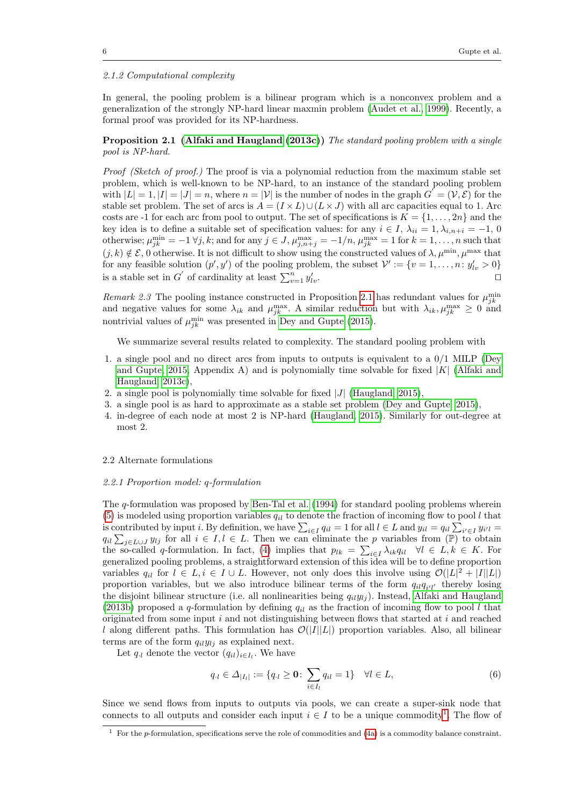#### 2.1.2 Computational complexity

In general, the pooling problem is a bilinear program which is a nonconvex problem and a generalization of the strongly NP-hard linear maxmin problem [\(Audet et al., 1999\)](#page-29-4). Recently, a formal proof was provided for its NP-hardness.

### <span id="page-6-0"></span>Proposition 2.1 [\(Alfaki and Haugland](#page-29-5) [\(2013c\)](#page-29-5)) The standard pooling problem with a single pool is NP-hard.

Proof (Sketch of proof.) The proof is via a polynomial reduction from the maximum stable set problem, which is well-known to be NP-hard, to an instance of the standard pooling problem with  $|L| = 1, |I| = |J| = n$ , where  $n = |V|$  is the number of nodes in the graph  $G' = (V, \mathcal{E})$  for the stable set problem. The set of arcs is  $A = (I \times L) \cup (L \times J)$  with all arc capacities equal to 1. Arc costs are -1 for each arc from pool to output. The set of specifications is  $K = \{1, \ldots, 2n\}$  and the key idea is to define a suitable set of specification values: for any  $i \in I$ ,  $\lambda_{ii} = 1, \lambda_{i,n+i} = -1, 0$ otherwise;  $\mu_{jk}^{\min} = -1 \forall j, k$ ; and for any  $j \in J$ ,  $\mu_{j,n+j}^{\max} = -1/n$ ,  $\mu_{jk}^{\max} = 1$  for  $k = 1, \ldots, n$  such that  $(j, k) \notin \mathcal{E}$ , 0 otherwise. It is not difficult to show using the constructed values of  $\lambda, \mu^{\min}, \mu^{\max}$  that for any feasible solution  $(p', y')$  of the pooling problem, the subset  $\mathcal{V}' := \{v = 1, \ldots, n : y'_{lv} > 0\}$ is a stable set in  $G'$  of cardinality at least  $\sum_{v=1}^{n} y'_l$  $\int_{\mathcal{U}}\cdot$ 

Remark 2.3 The pooling instance constructed in Proposition [2.1](#page-6-0) has redundant values for  $\mu_{jk}^{\min}$ and negative values for some  $\lambda_{ik}$  and  $\mu_{jk}^{\max}$ . A similar reduction but with  $\lambda_{ik}, \mu_{jk}^{\max} \geq 0$  and nontrivial values of  $\mu_{jk}^{\min}$  was presented in [Dey and Gupte](#page-30-12) [\(2015\)](#page-30-12).

We summarize several results related to complexity. The standard pooling problem with

- 1. a single pool and no direct arcs from inputs to outputs is equivalent to a 0/1 MILP [\(Dey](#page-30-12) [and Gupte, 2015,](#page-30-12) Appendix A) and is polynomially time solvable for fixed  $|K|$  [\(Alfaki and](#page-29-5) [Haugland, 2013c\)](#page-29-5),
- 2. a single pool is polynomially time solvable for fixed  $|J|$  [\(Haugland, 2015\)](#page-30-11),
- 3. a single pool is as hard to approximate as a stable set problem [\(Dey and Gupte, 2015\)](#page-30-12),
- 4. in-degree of each node at most 2 is NP-hard [\(Haugland, 2015\)](#page-30-11). Similarly for out-degree at most 2.

#### <span id="page-6-2"></span>2.2 Alternate formulations

#### 2.2.1 Proportion model: q-formulation

The q-formulation was proposed by [Ben-Tal et al.](#page-30-7) [\(1994\)](#page-30-7) for standard pooling problems wherein [\(5\)](#page-4-4) is modeled using proportion variables  $q_{il}$  to denote the fraction of incoming flow to pool l that is contributed by input *i*. By definition, we have  $\sum_{i\in I} q_{il} = 1$  for all  $l \in L$  and  $y_{il} = q_{il} \sum_{i'\in I} y_{i'l} =$  $q_{il} \sum_{j \in L \cup J} y_{lj}$  for all  $i \in I, l \in L$ . Then we can eliminate the p variables from  $(\mathbb{P})$  to obtain the so-called q-formulation. In fact, [\(4\)](#page-4-2) implies that  $p_{lk} = \sum_{i \in I} \lambda_{ik} q_{il}$   $\forall l \in L, k \in K$ . For generalized pooling problems, a straightforward extension of this idea will be to define proportion variables  $q_{il}$  for  $l \in L, i \in I \cup L$ . However, not only does this involve using  $\mathcal{O}(|L|^2 + |I||L|)$ proportion variables, but we also introduce bilinear terms of the form  $q_{il}q_{i'l'}$  thereby losing the disjoint bilinear structure (i.e. all nonlinearities being  $q_{il}y_{lj}$ ). Instead, [Alfaki and Haugland](#page-29-6) [\(2013b\)](#page-29-6) proposed a q-formulation by defining  $q_{il}$  as the fraction of incoming flow to pool l that originated from some input i and not distinguishing between flows that started at i and reached l along different paths. This formulation has  $\mathcal{O}(|I||L|)$  proportion variables. Also, all bilinear terms are of the form  $q_{il}y_{lj}$  as explained next.

Let  $q_{\cdot l}$  denote the vector  $(q_{il})_{i \in I_l}$ . We have

$$
q_{\cdot l} \in \Delta_{|I_l|} := \{ q_{\cdot l} \ge \mathbf{0} \colon \sum_{i \in I_l} q_{i l} = 1 \} \quad \forall l \in L,
$$
\n<sup>(6)</sup>

Since we send flows from inputs to outputs via pools, we can create a super-sink node that connects to all outputs and consider each input  $i \in I$  to be a unique commodity<sup>[1](#page-6-1)</sup>. The flow of

<span id="page-6-1"></span><sup>&</sup>lt;sup>1</sup> For the p-formulation, specifications serve the role of commodities and  $(4a)$  is a commodity balance constraint.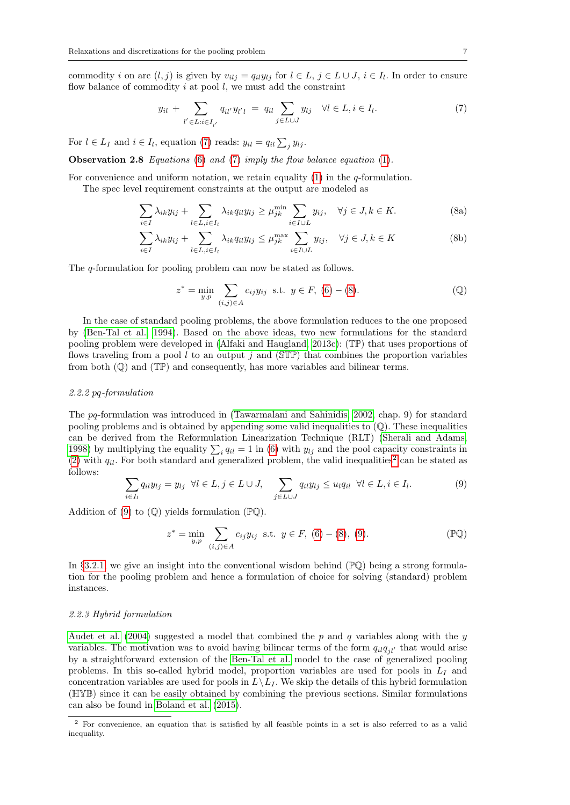commodity i on arc  $(l, j)$  is given by  $v_{i l j} = q_{i l} y_{l j}$  for  $l \in L$ ,  $j \in L \cup J$ ,  $i \in I_l$ . In order to ensure flow balance of commodity  $i$  at pool  $l$ , we must add the constraint

<span id="page-7-0"></span>
$$
y_{il} + \sum_{l' \in L: i \in I_{l'}} q_{il'} y_{l'l} = q_{il} \sum_{j \in L \cup J} y_{lj} \quad \forall l \in L, i \in I_l.
$$
 (7)

For  $l \in L_I$  and  $i \in I_l$ , equation [\(7\)](#page-7-0) reads:  $y_{il} = q_{il} \sum_j y_{lj}$ .

Observation 2.8 Equations [\(6\)](#page-5-1) and [\(7\)](#page-7-0) imply the flow balance equation [\(1\)](#page-4-0).

For convenience and uniform notation, we retain equality  $(1)$  in the *q*-formulation.

The spec level requirement constraints at the output are modeled as

<span id="page-7-4"></span>
$$
\sum_{i \in I} \lambda_{ik} y_{ij} + \sum_{l \in L, i \in I_l} \lambda_{ik} q_{il} y_{lj} \ge \mu_{jk}^{\min} \sum_{i \in I \cup L} y_{ij}, \quad \forall j \in J, k \in K.
$$
 (8a)

$$
\sum_{i \in I} \lambda_{ik} y_{ij} + \sum_{l \in L, i \in I_l} \lambda_{ik} q_{il} y_{lj} \le \mu_{jk}^{\max} \sum_{i \in I \cup L} y_{ij}, \quad \forall j \in J, k \in K
$$
 (8b)

The q-formulation for pooling problem can now be stated as follows.

<span id="page-7-3"></span><span id="page-7-1"></span>
$$
z^* = \min_{y,p} \sum_{(i,j)\in A} c_{ij} y_{ij} \text{ s.t. } y \in F, (6) - (8). \tag{Q}
$$

In the case of standard pooling problems, the above formulation reduces to the one proposed by [\(Ben-Tal et al., 1994\)](#page-30-7). Based on the above ideas, two new formulations for the standard pooling problem were developed in [\(Alfaki and Haugland, 2013c\)](#page-29-5): (TP) that uses proportions of flows traveling from a pool l to an output j and ( $\mathbb{S}$ TP) that combines the proportion variables from both  $(\mathbb{Q})$  and  $(\mathbb{TP})$  and consequently, has more variables and bilinear terms.

#### 2.2.2 pq-formulation

The pq-formulation was introduced in [\(Tawarmalani and Sahinidis, 2002,](#page-32-2) chap. 9) for standard pooling problems and is obtained by appending some valid inequalities to  $(\mathbb{Q})$ . These inequalities can be derived from the Reformulation Linearization Technique (RLT) [\(Sherali and Adams,](#page-32-3) [1998\)](#page-32-3) by multiplying the equality  $\sum_i q_{il} = 1$  in [\(6\)](#page-5-1) with  $y_{lj}$  and the pool capacity constraints in [\(2\)](#page-4-6) with  $q_{il}$ . For both standard and generalized problem, the valid inequalities<sup>[2](#page-7-2)</sup> can be stated as follows:

$$
\sum_{i \in I_l} q_{il} y_{lj} = y_{lj} \ \forall l \in L, j \in L \cup J, \quad \sum_{j \in L \cup J} q_{il} y_{lj} \le u_l q_{il} \ \forall l \in L, i \in I_l.
$$
 (9)

Addition of [\(9\)](#page-7-3) to  $(\mathbb{Q})$  yields formulation  $(\mathbb{P}\mathbb{Q})$ .

$$
z^* = \min_{y,p} \sum_{(i,j)\in A} c_{ij} y_{ij} \text{ s.t. } y \in F, (6) - (8), (9). \tag{\mathbb{P}^1}
$$

In §[3.2.1,](#page-13-0) we give an insight into the conventional wisdom behind  $(\mathbb{P}\mathbb{Q})$  being a strong formulation for the pooling problem and hence a formulation of choice for solving (standard) problem instances.

#### <span id="page-7-5"></span>2.2.3 Hybrid formulation

[Audet et al.](#page-29-1) [\(2004\)](#page-29-1) suggested a model that combined the  $p$  and  $q$  variables along with the  $y$ variables. The motivation was to avoid having bilinear terms of the form  $q_{il}q_{il'}$  that would arise by a straightforward extension of the [Ben-Tal et al.](#page-30-7) model to the case of generalized pooling problems. In this so-called hybrid model, proportion variables are used for pools in  $L_I$  and concentration variables are used for pools in  $L\setminus L_I$ . We skip the details of this hybrid formulation (HYB) since it can be easily obtained by combining the previous sections. Similar formulations can also be found in [Boland et al.](#page-30-13) [\(2015\)](#page-30-13).

<span id="page-7-2"></span><sup>2</sup> For convenience, an equation that is satisfied by all feasible points in a set is also referred to as a valid inequality.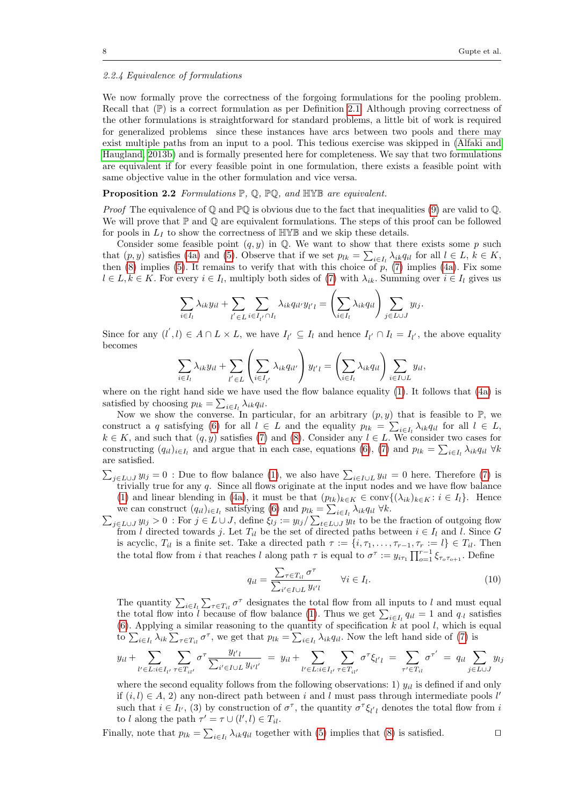#### 2.2.4 Equivalence of formulations

We now formally prove the correctness of the forgoing formulations for the pooling problem. Recall that  $(\mathbb{P})$  is a correct formulation as per Definition [2.1.](#page-4-7) Although proving correctness of the other formulations is straightforward for standard problems, a little bit of work is required for generalized problems since these instances have arcs between two pools and there may exist multiple paths from an input to a pool. This tedious exercise was skipped in [\(Alfaki and](#page-29-6) [Haugland, 2013b\)](#page-29-6) and is formally presented here for completeness. We say that two formulations are equivalent if for every feasible point in one formulation, there exists a feasible point with same objective value in the other formulation and vice versa.

## <span id="page-8-0"></span>Proposition 2.2 Formulations  $\mathbb{P}, \mathbb{Q}, \mathbb{P}\mathbb{Q},$  and HYB are equivalent.

*Proof* The equivalence of  $\mathbb Q$  and  $\mathbb P\mathbb Q$  is obvious due to the fact that inequalities [\(9\)](#page-7-3) are valid to  $\mathbb Q$ . We will prove that  $\mathbb P$  and  $\mathbb Q$  are equivalent formulations. The steps of this proof can be followed for pools in  $L_I$  to show the correctness of  $\mathbb{HVB}$  and we skip these details.

Consider some feasible point  $(q, y)$  in  $\mathbb{Q}$ . We want to show that there exists some p such that  $(p, y)$  satisfies [\(4a\)](#page-4-3) and [\(5\)](#page-4-4). Observe that if we set  $p_{lk} = \sum_{i \in I_l} \lambda_{ik} q_{il}$  for all  $l \in L, k \in K$ , then  $(8)$  implies  $(5)$ . It remains to verify that with this choice of p,  $(7)$  implies  $(4a)$ . Fix some  $l \in L, k \in K$ . For every  $i \in I_l$ , multiply both sides of [\(7\)](#page-7-0) with  $\lambda_{ik}$ . Summing over  $i \in I_l$  gives us

$$
\sum_{i \in I_l} \lambda_{ik} y_{il} + \sum_{l' \in L} \sum_{i \in I_{l'} \cap I_l} \lambda_{ik} q_{il'} y_{l'l} = \left(\sum_{i \in I_l} \lambda_{ik} q_{il}\right) \sum_{j \in L \cup J} y_{lj}.
$$

Since for any  $(l', l) \in A \cap L \times L$ , we have  $I_{l'} \subseteq I_l$  and hence  $I_{l'} \cap I_l = I_{l'}$ , the above equality becomes

$$
\sum_{i \in I_l} \lambda_{ik} y_{il} + \sum_{l' \in L} \left( \sum_{i \in I_{l'}} \lambda_{ik} q_{il'} \right) y_{l'l} = \left( \sum_{i \in I_l} \lambda_{ik} q_{il} \right) \sum_{i \in I \cup L} y_{il},
$$

where on the right hand side we have used the flow balance equality [\(1\)](#page-4-0). It follows that [\(4a\)](#page-4-3) is satisfied by choosing  $p_{lk} = \sum_{i \in I_l} \lambda_{ik} q_{il}$ .

Now we show the converse. In particular, for an arbitrary  $(p, y)$  that is feasible to P, we construct a q satisfying [\(6\)](#page-5-1) for all  $l \in L$  and the equality  $p_{lk} = \sum_{i \in I_l} \lambda_{ik} q_{il}$  for all  $l \in L$ ,  $k \in K$ , and such that  $(q, y)$  satisfies [\(7\)](#page-7-0) and [\(8\)](#page-7-1). Consider any  $l \in L$ . We consider two cases for constructing  $(q_{il})_{i\in I_l}$  and argue that in each case, equations [\(6\)](#page-5-1), [\(7\)](#page-7-0) and  $p_{lk} = \sum_{i\in I_l} \lambda_{ik}q_{il}$   $\forall k$ are satisfied.

- $\sum_{j\in L\cup J} y_{lj} = 0$ : Due to flow balance [\(1\)](#page-4-0), we also have  $\sum_{i\in I\cup L} y_{il} = 0$  here. Therefore [\(7\)](#page-7-0) is trivially true for any  $q$ . Since all flows originate at the input nodes and we have flow balance [\(1\)](#page-4-0) and linear blending in [\(4a\)](#page-4-3), it must be that  $(p_{lk})_{k\in K} \in \text{conv}\{(\lambda_{ik})_{k\in K}: i \in I_l\}.$  Hence we can construct  $(q_{il})_{i \in I_l}$  satisfying [\(6\)](#page-5-1) and  $p_{lk} = \sum_{i \in I_l} \lambda_{ik} q_{il} \ \forall k$ .<br>  $\sum_{i \in I_l \cup I} y_{li} > 0$ : For  $j \in L \cup J$ , define  $\xi_{li} := y_{li} / \sum_{i \in I_l \cup I} y_{li}$  to be the
- $j \in L \cup J$   $y_{lj} > 0$ : For  $j \in L \cup J$ , define  $\xi_{lj} := y_{lj}/\sum_{t \in L \cup J} y_{lt}$  to be the fraction of outgoing flow from l directed towards j. Let  $T_{il}$  be the set of directed paths between  $i \in I_l$  and l. Since G is acyclic,  $T_{il}$  is a finite set. Take a directed path  $\tau := \{i, \tau_1, \ldots, \tau_{r-1}, \tau_r := l\} \in T_{il}$ . Then the total flow from i that reaches l along path  $\tau$  is equal to  $\sigma^{\tau} := y_{i\tau_1} \prod_{o=1}^{r-1} \xi_{\tau_o \tau_{o+1}}$ . Define

$$
q_{il} = \frac{\sum_{\tau \in T_{il}} \sigma^{\tau}}{\sum_{i' \in I \cup L} y_{i'l}} \qquad \forall i \in I_l.
$$
\n(10)

The quantity  $\sum_{i\in I_l}\sum_{\tau\in T_{il}}\sigma^\tau$  designates the total flow from all inputs to l and must equal the total flow into l because of flow balance [\(1\)](#page-4-0). Thus we get  $\sum_{i\in I_l} q_{il} = 1$  and  $q_{il}$  satisfies [\(6\)](#page-5-1). Applying a similar reasoning to the quantity of specification  $k$  at pool  $l$ , which is equal to  $\sum_{i\in I_l}\lambda_{ik}\sum_{\tau\in T_{il}}\sigma^{\tau}$ , we get that  $p_{lk}=\sum_{i\in I_l}\lambda_{ik}q_{il}$ . Now the left hand side of [\(7\)](#page-7-0) is

$$
y_{il} + \sum_{l' \in L: i \in I_{l'}} \sum_{\tau \in T_{il'}} \sigma^{\tau} \frac{y_{l'l}}{\sum_{i' \in I \cup L} y_{i'l'}} = y_{il} + \sum_{l' \in L: i \in I_{l'}} \sum_{\tau \in T_{il'}} \sigma^{\tau} \xi_{l'l} = \sum_{\tau' \in T_{il}} \sigma^{\tau'} = q_{il} \sum_{j \in L \cup J} y_{lj}
$$

where the second equality follows from the following observations: 1)  $y_{il}$  is defined if and only if  $(i, l) \in A$ , 2) any non-direct path between i and l must pass through intermediate pools l' such that  $i \in I_{l'}$ , (3) by construction of  $\sigma^{\tau}$ , the quantity  $\sigma^{\tau}\xi_{l'l}$  denotes the total flow from i to l along the path  $\tau' = \tau \cup (l', l) \in T_{il}$ .

Finally, note that  $p_{lk} = \sum_{i \in I_l} \lambda_{ik} q_{il}$  together with [\(5\)](#page-4-4) implies that [\(8\)](#page-7-1) is satisfied.  $\Box$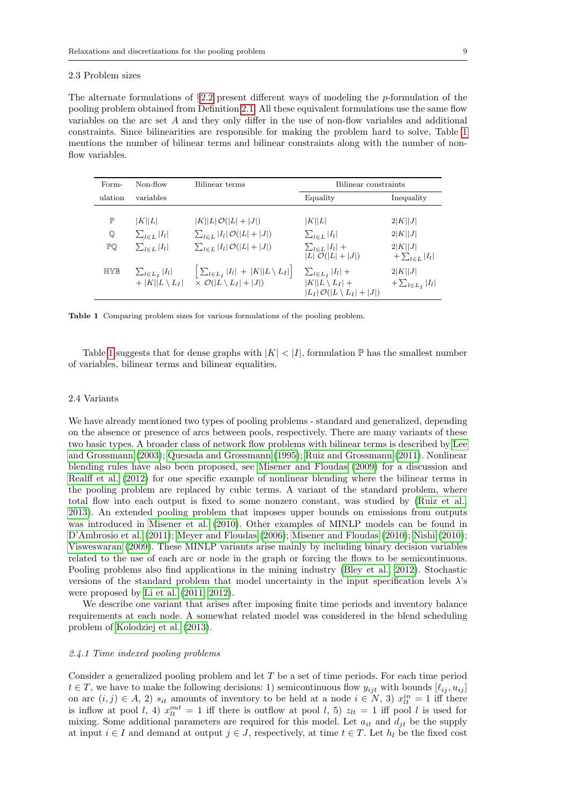#### 2.3 Problem sizes

The alternate formulations of  $\S 2.2$  $\S 2.2$  present different ways of modeling the p-formulation of the pooling problem obtained from Definition [2.1.](#page-4-7) All these equivalent formulations use the same flow variables on the arc set A and they only differ in the use of non-flow variables and additional constraints. Since bilinearities are responsible for making the problem hard to solve, Table [1](#page-9-0) mentions the number of bilinear terms and bilinear constraints along with the number of nonflow variables.

| Form-        | Non-flow                                                  | Bilinear terms                                                                                             | Bilinear constraints                                                                                |                                    |  |
|--------------|-----------------------------------------------------------|------------------------------------------------------------------------------------------------------------|-----------------------------------------------------------------------------------------------------|------------------------------------|--|
| ulation      | variables                                                 |                                                                                                            | Equality                                                                                            | Inequality                         |  |
| $\mathbb{P}$ | K  L                                                      | $ K  L \mathcal{O}( L + J )$                                                                               | K  L                                                                                                | 2 K  J                             |  |
| $\mathbb Q$  | $\sum_{l\in L}  I_l $                                     | $\sum_{l \in L}  I_l  \mathcal{O}( L + J )$                                                                | $\sum_{l\in L} I_l $                                                                                | 2 K  J                             |  |
| PQ           | $\sum_{l \in L}  I_l $                                    | $\sum_{l \in L}  I_l  \mathcal{O}( L + J )$                                                                | $\sum_{l\in L} I_l $ +<br>$ L \bar{\mathcal{O}}( L + J )$                                           | 2 K  J <br>$+\sum_{l\in L} I_l $   |  |
| <b>HIYR</b>  | $\sum_{l\in L_I}$   $I_l$  <br>$+$  K  L \ L <sub>I</sub> | $\left[ \sum_{l \in L_I}  I_l  +  K  L \setminus L_I  \right] \times \mathcal{O}( L \setminus L_I  +  J )$ | $\sum_{l\in L_I}$ $ I_l $ +<br>$ K  L \setminus L_I  +$<br>$ L_I \mathcal{O}( L\setminus L_I + J )$ | 2 K  J <br>$+\sum_{l\in L_I} I_l $ |  |

<span id="page-9-0"></span>Table 1 Comparing problem sizes for various formulations of the pooling problem.

Table [1](#page-9-0) suggests that for dense graphs with  $|K| < |I|$ , formulation  $\mathbb P$  has the smallest number of variables, bilinear terms and bilinear equalities.

#### 2.4 Variants

We have already mentioned two types of pooling problems - standard and generalized, depending on the absence or presence of arcs between pools, respectively. There are many variants of these two basic types. A broader class of network flow problems with bilinear terms is described by [Lee](#page-31-7) [and Grossmann](#page-31-7) [\(2003\)](#page-31-7); [Quesada and Grossmann](#page-31-4) [\(1995\)](#page-31-4); [Ruiz and Grossmann](#page-32-4) [\(2011\)](#page-32-4). Nonlinear blending rules have also been proposed, see [Misener and Floudas](#page-31-6) [\(2009\)](#page-31-6) for a discussion and [Realff et al.](#page-31-8) [\(2012\)](#page-31-8) for one specific example of nonlinear blending where the bilinear terms in the pooling problem are replaced by cubic terms. A variant of the standard problem, where total flow into each output is fixed to some nonzero constant, was studied by [\(Ruiz et al.,](#page-32-5) [2013\)](#page-32-5). An extended pooling problem that imposes upper bounds on emissions from outputs was introduced in [Misener et al.](#page-31-9) [\(2010\)](#page-31-9). Other examples of MINLP models can be found in [D'Ambrosio et al.](#page-30-14) [\(2011\)](#page-30-14); [Meyer and Floudas](#page-31-10) [\(2006\)](#page-31-10); [Misener and Floudas](#page-31-11) [\(2010\)](#page-31-11); [Nishi](#page-31-12) [\(2010\)](#page-31-12); [Visweswaran](#page-32-0) [\(2009\)](#page-32-0). These MINLP variants arise mainly by including binary decision variables related to the use of each arc or node in the graph or forcing the flows to be semicontinuous. Pooling problems also find applications in the mining industry [\(Bley et al., 2012\)](#page-30-15). Stochastic versions of the standard problem that model uncertainty in the input specification levels λ's were proposed by [Li et al.](#page-31-13) [\(2011,](#page-31-13) [2012\)](#page-31-14).

We describe one variant that arises after imposing finite time periods and inventory balance requirements at each node. A somewhat related model was considered in the blend scheduling problem of [Kolodziej et al.](#page-31-15) [\(2013\)](#page-31-15).

#### <span id="page-9-1"></span>2.4.1 Time indexed pooling problems

Consider a generalized pooling problem and let T be a set of time periods. For each time period  $t \in T$ , we have to make the following decisions: 1) semicontinuous flow  $y_{ijt}$  with bounds  $[\ell_{ij}, u_{ij}]$ on arc  $(i, j) \in A$ , 2)  $s_{it}$  amounts of inventory to be held at a node  $i \in N$ , 3)  $x_{it}^{in} = 1$  iff there is inflow at pool l, 4)  $x_{lt}^{out} = 1$  iff there is outflow at pool l, 5)  $z_{lt} = 1$  iff pool l is used for mixing. Some additional parameters are required for this model. Let  $a_{it}$  and  $d_{jt}$  be the supply at input  $i \in I$  and demand at output  $j \in J$ , respectively, at time  $t \in T$ . Let  $h_l$  be the fixed cost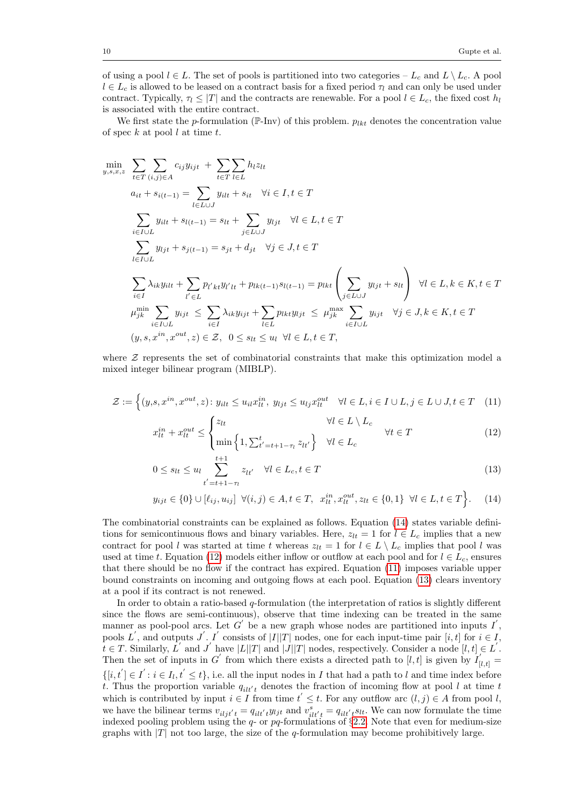of using a pool  $l \in L$ . The set of pools is partitioned into two categories –  $L_c$  and  $L \setminus L_c$ . A pool  $l \in L_c$  is allowed to be leased on a contract basis for a fixed period  $\tau_l$  and can only be used under contract. Typically,  $\tau_1 \leq |T|$  and the contracts are renewable. For a pool  $l \in L_c$ , the fixed cost  $h_l$ is associated with the entire contract.

We first state the p-formulation (P-Inv) of this problem.  $p_{lkt}$  denotes the concentration value of spec  $k$  at pool  $l$  at time  $t$ .

$$
\min_{y,s,x,z} \sum_{t \in T} \sum_{(i,j) \in A} c_{ij} y_{ijt} + \sum_{t \in T} \sum_{l \in L} h_{l} z_{lt}
$$
\n
$$
a_{it} + s_{i(t-1)} = \sum_{l \in L \cup J} y_{itl} + s_{it} \quad \forall i \in I, t \in T
$$
\n
$$
\sum_{i \in I \cup L} y_{ilt} + s_{l(t-1)} = s_{lt} + \sum_{j \in L \cup J} y_{ljt} \quad \forall l \in L, t \in T
$$
\n
$$
\sum_{l \in I \cup L} y_{ljt} + s_{j(t-1)} = s_{jt} + d_{jt} \quad \forall j \in J, t \in T
$$
\n
$$
\sum_{i \in I} \lambda_{ik} y_{ilt} + \sum_{l' \in L} p_{l'k} y_{l'lt} + p_{lk(t-1)} s_{l(t-1)} = p_{lkt} \left( \sum_{j \in L \cup J} y_{ljt} + s_{lt} \right) \quad \forall l \in L, k \in K, t \in T
$$
\n
$$
\mu_{jk}^{\min} \sum_{i \in I \cup L} y_{ijt} \leq \sum_{i \in I} \lambda_{ik} y_{ijt} + \sum_{l \in L} p_{lkt} y_{ljt} \leq \mu_{jk}^{\max} \sum_{i \in I \cup L} y_{ijt} \quad \forall j \in J, k \in K, t \in T
$$
\n
$$
(y, s, x^{in}, x^{out}, z) \in Z, \quad 0 \leq s_{lt} \leq u_l \quad \forall l \in L, t \in T,
$$

where  $\mathcal Z$  represents the set of combinatorial constraints that make this optimization model a mixed integer bilinear program (MIBLP).

$$
\mathcal{Z} := \left\{ (y, s, x^{in}, x^{out}, z) \colon y_{ilt} \le u_{il} x_{lt}^{in}, \ y_{ljt} \le u_{lj} x_{lt}^{out} \quad \forall l \in L, i \in I \cup L, j \in L \cup J, t \in T \quad (11) \right\}
$$
\n
$$
\left\{ z_{lt} \quad \forall l \in L \setminus L_c \right\}
$$

<span id="page-10-2"></span><span id="page-10-1"></span>
$$
x_{lt}^{in} + x_{lt}^{out} \leq \begin{cases} z_{lt} & \forall l \in L \setminus L_c \\ \min \left\{ 1, \sum_{t'=t+1-\tau_l}^{t} z_{lt'} \right\} & \forall l \in L_c \end{cases} \qquad (12)
$$

<span id="page-10-3"></span>
$$
0 \le s_{lt} \le u_l \sum_{t'=t+1-\tau_l}^{t+1} z_{lt'} \quad \forall l \in L_c, t \in T
$$
\n(13)

<span id="page-10-0"></span>
$$
y_{ijt} \in \{0\} \cup [\ell_{ij}, u_{ij}] \quad \forall (i, j) \in A, t \in T, \quad x_{lt}^{in}, x_{lt}^{out}, z_{lt} \in \{0, 1\} \quad \forall l \in L, t \in T\bigg\}.
$$
 (14)

The combinatorial constraints can be explained as follows. Equation [\(14\)](#page-10-0) states variable definitions for semicontinuous flows and binary variables. Here,  $z_{lt} = 1$  for  $l \in L_c$  implies that a new contract for pool l was started at time t whereas  $z_{lt} = 1$  for  $l \in L \setminus L_c$  implies that pool l was used at time t. Equation [\(12\)](#page-10-1) models either inflow or outflow at each pool and for  $l \in L_c$ , ensures that there should be no flow if the contract has expired. Equation [\(11\)](#page-10-2) imposes variable upper bound constraints on incoming and outgoing flows at each pool. Equation [\(13\)](#page-10-3) clears inventory at a pool if its contract is not renewed.

In order to obtain a ratio-based  $q$ -formulation (the interpretation of ratios is slightly different since the flows are semi-continuous), observe that time indexing can be treated in the same manner as pool-pool arcs. Let G' be a new graph whose nodes are partitioned into inputs  $I'$ , pools L', and outputs J'. I' consists of  $|I||T|$  nodes, one for each input-time pair  $[i, t]$  for  $i \in I$ ,  $t \in T$ . Similarly,  $L'$  and  $J'$  have  $|L||T|$  and  $|J||T|$  nodes, respectively. Consider a node  $[l, t] \in L'$ . Then the set of inputs in G' from which there exists a directed path to [l, t] is given by  $I'_{[l,t]}$  =  $\{[i, t'] \in I' : i \in I_l, t' \leq t\}$ , i.e. all the input nodes in I that had a path to l and time index before t. Thus the proportion variable  $q_{i l t' t}$  denotes the fraction of incoming flow at pool l at time t which is contributed by input  $i \in I$  from time  $t' \leq t$ . For any outflow arc  $(l, j) \in A$  from pool l, we have the bilinear terms  $v_{i l j t' t} = q_{i l t' t} y_{l j t}$  and  $v_{i l t' t}^s = q_{i l t' t} s_{l t}$ . We can now formulate the time indexed pooling problem using the  $q$ - or pq-formulations of  $\S 2.2$ . Note that even for medium-size graphs with  $|T|$  not too large, the size of the q-formulation may become prohibitively large.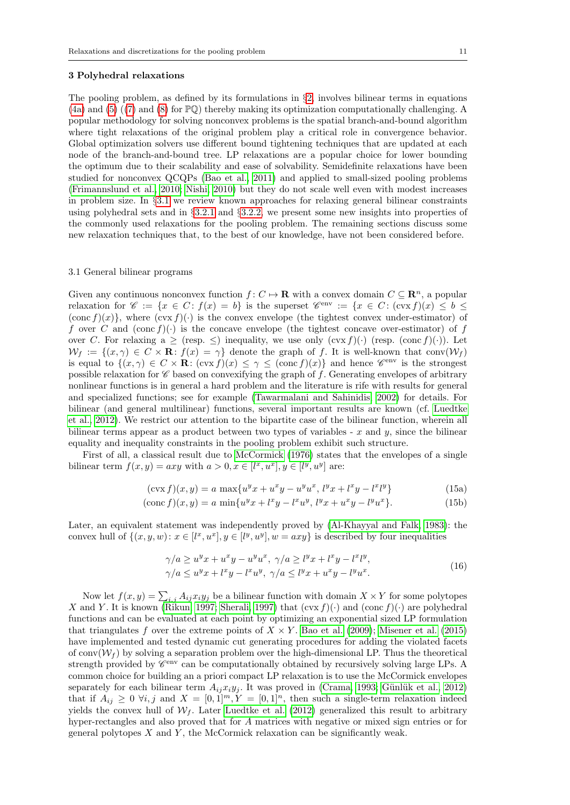<span id="page-11-0"></span>The pooling problem, as defined by its formulations in  $\S$ [2,](#page-3-0) involves bilinear terms in equations [\(4a\)](#page-4-3) and [\(5\)](#page-4-4) ([\(7\)](#page-7-0) and [\(8\)](#page-7-1) for PQ) thereby making its optimization computationally challenging. A popular methodology for solving nonconvex problems is the spatial branch-and-bound algorithm where tight relaxations of the original problem play a critical role in convergence behavior. Global optimization solvers use different bound tightening techniques that are updated at each node of the branch-and-bound tree. LP relaxations are a popular choice for lower bounding the optimum due to their scalability and ease of solvability. Semidefinite relaxations have been studied for nonconvex QCQPs [\(Bao et al., 2011\)](#page-29-7) and applied to small-sized pooling problems [\(Frimannslund et al., 2010;](#page-30-16) [Nishi, 2010\)](#page-31-12) but they do not scale well even with modest increases in problem size. In §[3.1](#page-11-1) we review known approaches for relaxing general bilinear constraints using polyhedral sets and in §[3.2.1](#page-13-0) and §[3.2.2,](#page-16-0) we present some new insights into properties of the commonly used relaxations for the pooling problem. The remaining sections discuss some new relaxation techniques that, to the best of our knowledge, have not been considered before.

#### <span id="page-11-1"></span>3.1 General bilinear programs

Given any continuous nonconvex function  $f: C \mapsto \mathbf{R}$  with a convex domain  $C \subseteq \mathbf{R}^n$ , a popular relaxation for  $\mathscr{C} := \{x \in C : f(x) = b\}$  is the superset  $\mathscr{C}^{\text{env}} := \{x \in C : (\text{cvx } f)(x) \leq b \leq c\}$  $(\text{conc } f)(x)$ , where  $(\text{cvx } f)(\cdot)$  is the convex envelope (the tightest convex under-estimator) of f over C and  $(\text{cone } f)(\cdot)$  is the concave envelope (the tightest concave over-estimator) of f over C. For relaxing a  $\geq$  (resp.  $\leq$ ) inequality, we use only  $(\text{cvx } f)(\cdot)$  (resp.  $(\text{conc } f)(\cdot)$ ). Let  $W_f := \{(x, \gamma) \in C \times \mathbf{R} : f(x) = \gamma\}$  denote the graph of f. It is well-known that conv $(W_f)$ is equal to  $\{(x, \gamma) \in C \times \mathbf{R} : (\text{cvx } f)(x) \leq \gamma \leq (\text{conc } f)(x)\}\)$  and hence  $\mathscr{C}^{\text{env}}$  is the strongest possible relaxation for  $\mathscr C$  based on convexifying the graph of f. Generating envelopes of arbitrary nonlinear functions is in general a hard problem and the literature is rife with results for general and specialized functions; see for example [\(Tawarmalani and Sahinidis, 2002\)](#page-32-2) for details. For bilinear (and general multilinear) functions, several important results are known (cf. [Luedtke](#page-31-16) [et al., 2012\)](#page-31-16). We restrict our attention to the bipartite case of the bilinear function, wherein all bilinear terms appear as a product between two types of variables - x and  $y$ , since the bilinear equality and inequality constraints in the pooling problem exhibit such structure.

First of all, a classical result due to [McCormick](#page-31-17) [\(1976\)](#page-31-17) states that the envelopes of a single bilinear term  $f(x, y) = axy$  with  $a > 0, x \in [l^x, u^x], y \in [l^y, u^y]$  are:

<span id="page-11-3"></span>
$$
(\text{cvx } f)(x, y) = a \, \max\{u^y x + u^x y - u^y u^x, \, l^y x + l^x y - l^x l^y\} \tag{15a}
$$

$$
(\text{conc } f)(x, y) = a \min\{u^y x + l^x y - l^x u^y, l^y x + u^x y - l^y u^x\}.
$$
\n(15b)

Later, an equivalent statement was independently proved by [\(Al-Khayyal and Falk, 1983\)](#page-29-8): the convex hull of  $\{(x, y, w): x \in [l^x, u^x], y \in [l^y, u^y], w = axy\}$  is described by four inequalities

$$
\gamma/a \ge u^y x + u^x y - u^y u^x, \ \gamma/a \ge l^y x + l^x y - l^x l^y,
$$
  

$$
\gamma/a \le u^y x + l^x y - l^x u^y, \ \gamma/a \le l^y x + u^x y - l^y u^x.
$$
  
(16)

<span id="page-11-2"></span>Now let  $f(x, y) = \sum_{i,j} A_{ij} x_i y_j$  be a bilinear function with domain  $X \times Y$  for some polytopes X and Y. It is known [\(Rikun, 1997;](#page-32-6) [Sherali, 1997\)](#page-32-7) that  $(\text{cvx } f)(\cdot)$  and  $(\text{conc } f)(\cdot)$  are polyhedral functions and can be evaluated at each point by optimizing an exponential sized LP formulation that triangulates f over the extreme points of  $X \times Y$ . [Bao et al.](#page-29-9) [\(2009\)](#page-29-9); [Misener et al.](#page-31-18) [\(2015\)](#page-31-18) have implemented and tested dynamic cut generating procedures for adding the violated facets of conv $(\mathcal{W}_f)$  by solving a separation problem over the high-dimensional LP. Thus the theoretical strength provided by  $\mathscr{C}^{\text{env}}$  can be computationally obtained by recursively solving large LPs. A common choice for building an a priori compact LP relaxation is to use the McCormick envelopes separately for each bilinear term  $A_{ij}x_iy_j$ . It was proved in [\(Crama, 1993;](#page-30-17) Günlük et al., 2012) that if  $A_{ij} \geq 0$   $\forall i, j$  and  $X = [0, 1]^m$ ,  $Y = [0, 1]^n$ , then such a single-term relaxation indeed yields the convex hull of  $W_f$ . Later [Luedtke et al.](#page-31-16) [\(2012\)](#page-31-16) generalized this result to arbitrary hyper-rectangles and also proved that for A matrices with negative or mixed sign entries or for general polytopes  $X$  and  $Y$ , the McCormick relaxation can be significantly weak.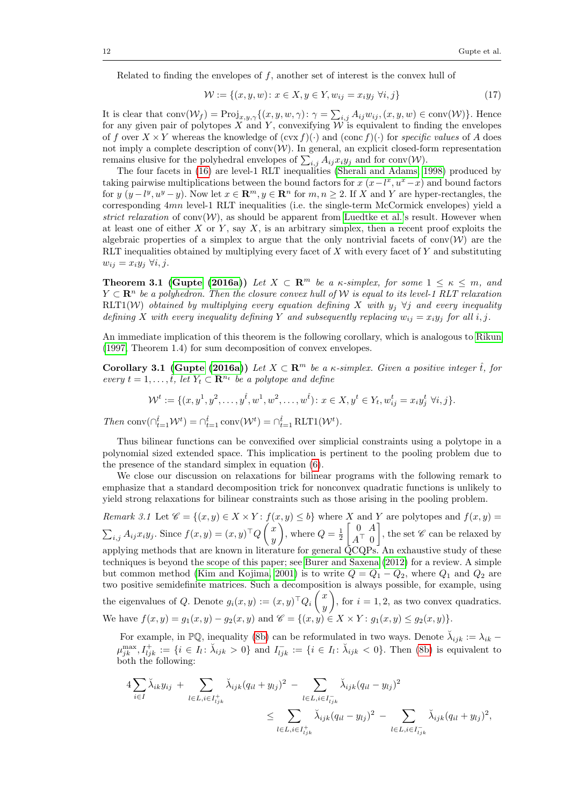Related to finding the envelopes of f, another set of interest is the convex hull of

<span id="page-12-0"></span>
$$
\mathcal{W} := \{(x, y, w) : x \in X, y \in Y, w_{ij} = x_i y_j \,\,\forall i, j\}
$$
\n(17)

It is clear that  $conv(W_f) = Proj_{x,y,\gamma}\{(x,y,w,\gamma): \gamma = \sum_{i,j} A_{ij}w_{ij}, (x,y,w) \in conv(W)\}.$  Hence for any given pair of polytopes X and Y, convexifying  $W$  is equivalent to finding the envelopes of f over  $X \times Y$  whereas the knowledge of  $(\text{cvx } f)(\cdot)$  and  $(\text{conc } f)(\cdot)$  for specific values of A does not imply a complete description of  $conv(W)$ . In general, an explicit closed-form representation remains elusive for the polyhedral envelopes of  $\sum_{i,j} A_{ij} x_i y_j$  and for conv(W).

The four facets in [\(16\)](#page-11-2) are level-1 RLT inequalities [\(Sherali and Adams, 1998\)](#page-32-3) produced by taking pairwise multiplications between the bound factors for  $x(x-l^x, u^x-x)$  and bound factors for  $y (y - l^y, u^y - y)$ . Now let  $x \in \mathbb{R}^m, y \in \mathbb{R}^n$  for  $m, n \ge 2$ . If X and Y are hyper-rectangles, the corresponding 4mn level-1 RLT inequalities (i.e. the single-term McCormick envelopes) yield a strict relaxation of conv $(\mathcal{W})$ , as should be apparent from [Luedtke et al.'](#page-31-16)s result. However when at least one of either X or Y, say X, is an arbitrary simplex, then a recent proof exploits the algebraic properties of a simplex to argue that the only nontrivial facets of conv $(\mathcal{W})$  are the RLT inequalities obtained by multiplying every facet of  $X$  with every facet of  $Y$  and substituting  $w_{ij} = x_i y_j \ \forall i, j.$ 

<span id="page-12-1"></span>**Theorem 3.1 [\(Gupte](#page-30-19) [\(2016a\)](#page-30-19))** Let  $X \subset \mathbb{R}^m$  be a  $\kappa$ -simplex, for some  $1 \leq \kappa \leq m$ , and  $Y \subset \mathbf{R}^n$  be a polyhedron. Then the closure convex hull of W is equal to its level-1 RLT relaxation RLT1(W) obtained by multiplying every equation defining X with  $y_j \forall j$  and every inequality defining X with every inequality defining Y and subsequently replacing  $w_{ij} = x_i y_j$  for all i, j.

An immediate implication of this theorem is the following corollary, which is analogous to [Rikun](#page-32-6) [\(1997,](#page-32-6) Theorem 1.4) for sum decomposition of convex envelopes.

<span id="page-12-3"></span>Corollary 3.1 [\(Gupte](#page-30-19) [\(2016a\)](#page-30-19)) Let  $X \subset \mathbb{R}^m$  be a  $\kappa$ -simplex. Given a positive integer  $\hat{t}$ , for every  $t = 1, \ldots, \hat{t}$ , let  $Y_t \subset \mathbb{R}^{n_t}$  be a polytope and define

<span id="page-12-2"></span>
$$
\mathcal{W}^t := \{ (x, y^1, y^2, \dots, y^{\hat{t}}, w^1, w^2, \dots, w^{\hat{t}}) : x \in X, y^t \in Y_t, w^t_{ij} = x_i y^t_j \ \forall i, j \}.
$$

Then  $\text{conv}(\bigcap_{t=1}^{\hat{t}} \mathcal{W}^t) = \bigcap_{t=1}^{\hat{t}} \text{conv}(\mathcal{W}^t) = \bigcap_{t=1}^{\hat{t}} \text{RLT1}(\mathcal{W}^t).$ 

Thus bilinear functions can be convexified over simplicial constraints using a polytope in a polynomial sized extended space. This implication is pertinent to the pooling problem due to the presence of the standard simplex in equation [\(6\)](#page-5-1).

We close our discussion on relaxations for bilinear programs with the following remark to emphasize that a standard decomposition trick for nonconvex quadratic functions is unlikely to yield strong relaxations for bilinear constraints such as those arising in the pooling problem.

Remark 3.1 Let  $\mathscr{C} = \{(x, y) \in X \times Y : f(x, y) \leq b\}$  where X and Y are polytopes and  $f(x, y) =$  $\sum_{i,j} A_{ij} x_i y_j$ . Since  $f(x,y) = (x, y)^\top Q \begin{pmatrix} x \\ y \end{pmatrix}$  $\hat{y}$ ), where  $Q = \frac{1}{2}$  $\begin{bmatrix} 0 & A \end{bmatrix}$  $A^{\top}$  0 , the set  $\mathscr C$  can be relaxed by applying methods that are known in literature for general  $\rm \ddot QCQPs$ . An exhaustive study of these techniques is beyond the scope of this paper; see [Burer and Saxena](#page-30-20) [\(2012\)](#page-30-20) for a review. A simple but common method [\(Kim and Kojima, 2001\)](#page-31-19) is to write  $Q = Q_1 - Q_2$ , where  $Q_1$  and  $Q_2$  are two positive semidefinite matrices. Such a decomposition is always possible, for example, using the eigenvalues of Q. Denote  $g_i(x, y) := (x, y)^\top Q_i \begin{pmatrix} x \\ y \end{pmatrix}$  $\hat{y}$ ), for  $i = 1, 2$ , as two convex quadratics. We have  $f(x, y) = g_1(x, y) - g_2(x, y)$  and  $\mathscr{C} = \{(x, y) \in X \times Y : g_1(x, y) \le g_2(x, y)\}.$ 

For example, in  $\mathbb{P} \mathbb{Q}$ , inequality [\(8b\)](#page-7-4) can be reformulated in two ways. Denote  $\breve{\lambda}_{ijk} := \lambda_{ik} \mu_{jk}^{\max}, I_{ijk}^+ := \{i \in I_l : \breve{\lambda}_{ijk} > 0\}$  and  $I_{ijk}^- := \{i \in I_l : \breve{\lambda}_{ijk} < 0\}$ . Then [\(8b\)](#page-7-4) is equivalent to both the following:

$$
4\sum_{i\in I} \breve{\lambda}_{ik} y_{ij} + \sum_{l\in L, i\in I^{+}_{ljk}} \breve{\lambda}_{ijk} (q_{il} + y_{lj})^{2} - \sum_{l\in L, i\in I^{-}_{ljk}} \breve{\lambda}_{ijk} (q_{il} - y_{lj})^{2}
$$
  

$$
\leq \sum_{l\in L, i\in I^{+}_{ljk}} \breve{\lambda}_{ijk} (q_{il} - y_{lj})^{2} - \sum_{l\in L, i\in I^{-}_{ljk}} \breve{\lambda}_{ijk} (q_{il} + y_{lj})^{2},
$$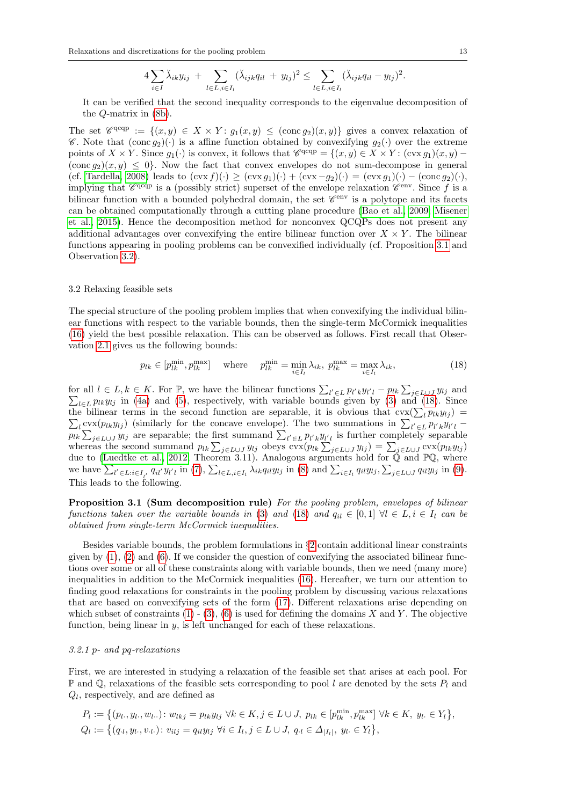$$
4\sum_{i\in I}\breve{\lambda}_{ik}y_{ij} + \sum_{l\in L,i\in I_l}(\breve{\lambda}_{ijk}q_{il} + y_{lj})^2 \leq \sum_{l\in L,i\in I_l}(\breve{\lambda}_{ijk}q_{il} - y_{lj})^2.
$$

It can be verified that the second inequality corresponds to the eigenvalue decomposition of the Q-matrix in [\(8b\)](#page-7-4).

The set  $\mathscr{C}^{\text{qqq}} := \{(x, y) \in X \times Y : g_1(x, y) \leq (\text{conc} g_2)(x, y)\}\$ gives a convex relaxation of C. Note that  $(\text{conc } g_2)(\cdot)$  is a affine function obtained by convexifying  $g_2(\cdot)$  over the extreme points of  $X \times Y$ . Since  $g_1(\cdot)$  is convex, it follows that  $\mathscr{C}^{\text{qqp}} = \{(x, y) \in X \times Y : (\text{cvx } g_1)(x, y) (\text{conc } g_2)(x, y) \leq 0$ . Now the fact that convex envelopes do not sum-decompose in general (cf. [Tardella, 2008\)](#page-32-8) leads to  $(\text{cvx } f)(\cdot) \geq (\text{cvx } g_1)(\cdot) + (\text{cvx } -g_2)(\cdot) = (\text{cvx } g_1)(\cdot) - (\text{conc } g_2)(\cdot),$ implying that  $\mathscr{C}^{\text{qqq}}$  is a (possibly strict) superset of the envelope relaxation  $\mathscr{C}^{\text{env}}$ . Since f is a bilinear function with a bounded polyhedral domain, the set  $\mathscr{C}^{\text{env}}$  is a polytope and its facets can be obtained computationally through a cutting plane procedure [\(Bao et al., 2009;](#page-29-9) [Misener](#page-31-18) [et al., 2015\)](#page-31-18). Hence the decomposition method for nonconvex QCQPs does not present any additional advantages over convexifying the entire bilinear function over  $X \times Y$ . The bilinear functions appearing in pooling problems can be convexified individually (cf. Proposition [3.1](#page-13-1) and Observation [3.2\)](#page-17-0).

#### 3.2 Relaxing feasible sets

The special structure of the pooling problem implies that when convexifying the individual bilinear functions with respect to the variable bounds, then the single-term McCormick inequalities [\(16\)](#page-11-2) yield the best possible relaxation. This can be observed as follows. First recall that Observation [2.1](#page-5-2) gives us the following bounds:

<span id="page-13-2"></span>
$$
p_{lk} \in [p_{lk}^{\min}, p_{lk}^{\max}] \quad \text{where} \quad p_{lk}^{\min} = \min_{i \in I_l} \lambda_{ik}, \ p_{lk}^{\max} = \max_{i \in I_l} \lambda_{ik}, \tag{18}
$$

for all  $l \in L, k \in K$ . For  $\mathbb{P}$ , we have the bilinear functions  $\sum_{l' \in L} p_{l'k} y_{l'l} - p_{lk} \sum_{j \in L \cup J} \sum_{j \in L} p_{lj} y_{l'j}$  in (4a) and (5), respectively, with variable bounds given by (3) and (18)  $y_{lj}$  and  $l\in L}$   $Plkylj$  in [\(4a\)](#page-4-3) and [\(5\)](#page-4-4), respectively, with variable bounds given by [\(3\)](#page-4-1) and [\(18\)](#page-13-2). Since the bilinear terms in the second function are separable, it is obvious that  $\text{cvx}(\sum_l p_{lk}y_{lj})$ Let  $\sum_{l} \text{cvx}(p_{lk}y_{lj})$  (similarly for the concave envelope). The two summations in  $\sum_{l' \in L} p_{l'k}y_{l'l} - \sum_{l' \in L} p_{l'k}y_{l'l}$  $p_{lk} \sum_{j \in L \cup J} y_{lj}$  are separable; the first summand  $\sum_{l' \in L} p_{l'k} y_{l'l}$  is further completely separable whereas the second summand  $p_{lk} \sum_{j \in L \cup J} y_{lj}$  obeys  $\text{cvx}(p_{lk} \sum_{j \in L \cup J} y_{lj}) = \sum_{j \in L \cup J} \text{cvx}(p_{lk} y_{lj})$ due to [\(Luedtke et al., 2012,](#page-31-16) Theorem 3.11). Analogous arguments hold for  $\mathbb Q$  and  $\mathbb P\mathbb Q$ , where we have  $\sum_{l' \in L: i \in I_{l'}} q_{il'} y_{l'l}$  in [\(7\)](#page-7-0),  $\sum_{l \in L, i \in I_l} \lambda_{ik} q_{il} y_{lj}$  in [\(8\)](#page-7-1) and  $\sum_{i \in I_l} q_{il} y_{lj}, \sum_{j \in L \cup J} q_{il} y_{lj}$  in [\(9\)](#page-7-3). This leads to the following.

<span id="page-13-1"></span>Proposition 3.1 (Sum decomposition rule) For the pooling problem, envelopes of bilinear functions taken over the variable bounds in [\(3\)](#page-4-1) and [\(18\)](#page-13-2) and  $q_{il} \in [0,1]$   $\forall l \in L, i \in I_l$  can be obtained from single-term McCormick inequalities.

Besides variable bounds, the problem formulations in §[2](#page-3-0) contain additional linear constraints given by  $(1)$ ,  $(2)$  and  $(6)$ . If we consider the question of convexifying the associated bilinear functions over some or all of these constraints along with variable bounds, then we need (many more) inequalities in addition to the McCormick inequalities [\(16\)](#page-11-2). Hereafter, we turn our attention to finding good relaxations for constraints in the pooling problem by discussing various relaxations that are based on convexifying sets of the form [\(17\)](#page-12-0). Different relaxations arise depending on which subset of constraints  $(1)$  -  $(3)$ ,  $(6)$  is used for defining the domains X and Y. The objective function, being linear in  $y$ , is left unchanged for each of these relaxations.

#### <span id="page-13-0"></span>3.2.1 p- and pq-relaxations

First, we are interested in studying a relaxation of the feasible set that arises at each pool. For  $\mathbb P$  and  $\mathbb Q$ , relaxations of the feasible sets corresponding to pool l are denoted by the sets  $P_l$  and  $Q_l$ , respectively, and are defined as

$$
P_l := \{ (p_l, y_l, w_{l\cdot\cdot}) : w_{lkj} = p_{lk} y_{lj} \ \forall k \in K, j \in L \cup J, \ p_{lk} \in [p_{lk}^{\min}, p_{lk}^{\max}] \ \forall k \in K, \ y_l \in Y_l \},
$$
  
\n
$$
Q_l := \{ (q_{\cdot l}, y_{l\cdot}, v_{\cdot l\cdot}) : v_{ilj} = q_{il} y_{lj} \ \forall i \in I_l, j \in L \cup J, \ q_{\cdot l} \in \Delta_{|I_l|}, \ y_l \in Y_l \},
$$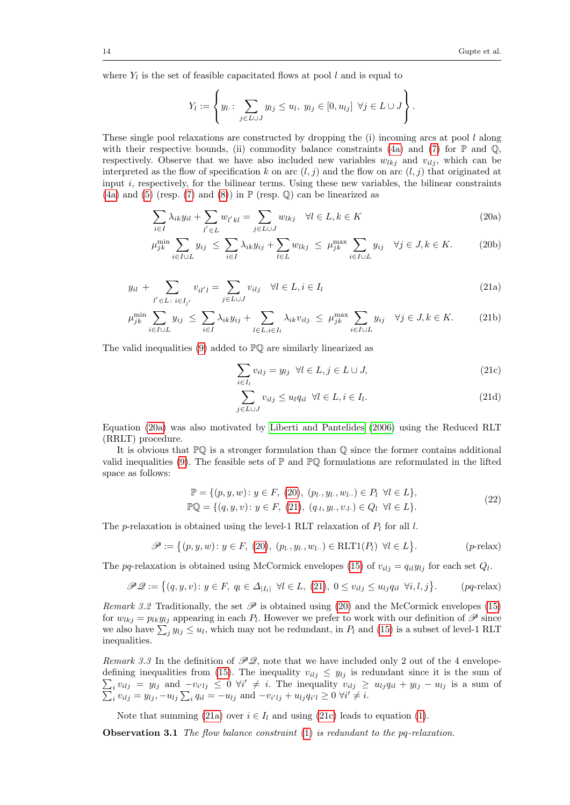where  $Y_l$  is the set of feasible capacitated flows at pool l and is equal to

<span id="page-14-1"></span>
$$
Y_l := \left\{ y_l : \sum_{j \in L \cup J} y_{lj} \leq u_l, \ y_{lj} \in [0, u_{lj}] \ \forall j \in L \cup J \right\}.
$$

These single pool relaxations are constructed by dropping the  $(i)$  incoming arcs at pool l along with their respective bounds, (ii) commodity balance constraints [\(4a\)](#page-4-3) and [\(7\)](#page-7-0) for  $\mathbb P$  and  $\mathbb Q$ , respectively. Observe that we have also included new variables  $w_{lkj}$  and  $v_{ilj}$ , which can be interpreted as the flow of specification k on arc  $(l, j)$  and the flow on arc  $(l, j)$  that originated at input  $i$ , respectively, for the bilinear terms. Using these new variables, the bilinear constraints [\(4a\)](#page-4-3) and [\(5\)](#page-4-4) (resp. [\(7\)](#page-7-0) and [\(8\)](#page-7-1)) in  $\mathbb P$  (resp.  $\mathbb Q$ ) can be linearized as

$$
\sum_{i \in I} \lambda_{ik} y_{il} + \sum_{l' \in L} w_{l'kl} = \sum_{j \in L \cup J} w_{lkj} \quad \forall l \in L, k \in K
$$
\n(20a)

$$
\mu_{jk}^{\min} \sum_{i \in I \cup L} y_{ij} \leq \sum_{i \in I} \lambda_{ik} y_{ij} + \sum_{l \in L} w_{lkj} \leq \mu_{jk}^{\max} \sum_{i \in I \cup L} y_{ij} \quad \forall j \in J, k \in K. \tag{20b}
$$

<span id="page-14-2"></span>
$$
y_{il} + \sum_{l' \in L \, : \, i \in I_{l'}} v_{il'l} = \sum_{j \in L \cup J} v_{ilj} \quad \forall l \in L, i \in I_l
$$
\n(21a)

$$
\mu_{jk}^{\min} \sum_{i \in I \cup L} y_{ij} \le \sum_{i \in I} \lambda_{ik} y_{ij} + \sum_{l \in L, i \in I_l} \lambda_{ik} v_{ilj} \le \mu_{jk}^{\max} \sum_{i \in I \cup L} y_{ij} \quad \forall j \in J, k \in K. \tag{21b}
$$

The valid inequalities [\(9\)](#page-7-3) added to PQ are similarly linearized as

<span id="page-14-7"></span><span id="page-14-4"></span><span id="page-14-3"></span><span id="page-14-0"></span>
$$
\sum_{i \in I_l} v_{ilj} = y_{lj} \ \forall l \in L, j \in L \cup J,
$$
\n(21c)

<span id="page-14-6"></span><span id="page-14-5"></span>
$$
\sum_{j \in L \cup J} v_{ilj} \le u_l q_{il} \ \forall l \in L, i \in I_l.
$$
\n(21d)

Equation [\(20a\)](#page-14-0) was also motivated by [Liberti and Pantelides](#page-31-20) [\(2006\)](#page-31-20) using the Reduced RLT (RRLT) procedure.

It is obvious that  $\mathbb{P} \mathbb{Q}$  is a stronger formulation than  $\mathbb{Q}$  since the former contains additional valid inequalities [\(9\)](#page-7-3). The feasible sets of  $\mathbb P$  and  $\mathbb P\mathbb Q$  formulations are reformulated in the lifted space as follows:

$$
\mathbb{P} = \{ (p, y, w) : y \in F, (20), (p_l, y_l, w_l, \ldots) \in P_l \ \forall l \in L \},
$$
  

$$
\mathbb{P} \mathbb{Q} = \{ (q, y, v) : y \in F, (21), (q_l, y_l, v_l, \ldots) \in Q_l \ \forall l \in L \}.
$$
 (22)

The p-relaxation is obtained using the level-1 RLT relaxation of  $P_l$  for all l.

$$
\mathscr{P} := \left\{ (p, y, w) \colon y \in F, (20), (p_l, y_l, w_l, \dots) \in \text{RLT1}(P_l) \ \forall l \in L \right\}.
$$
\n(p-relax)

The pq-relaxation is obtained using McCormick envelopes [\(15\)](#page-11-3) of  $v_{ilj} = q_{il}y_{lj}$  for each set  $Q_l$ .

$$
\mathscr{PQ} := \left\{ (q, y, v) \colon y \in F, \ q_l \in \Delta_{|I_l|} \ \forall l \in L, \ (21), \ 0 \le v_{ilj} \le u_{lj} q_{il} \ \forall i, l, j \right\}. \tag{pq-relax}
$$

Remark 3.2 Traditionally, the set  $\mathscr P$  is obtained using [\(20\)](#page-14-1) and the McCormick envelopes [\(15\)](#page-11-3) for  $w_{lkj} = p_{lk} y_{lj}$  appearing in each  $P_l$ . However we prefer to work with our definition of  $\mathscr P$  since we also have  $\sum_j y_{lj} \leq u_l$ , which may not be redundant, in  $P_l$  and [\(15\)](#page-11-3) is a subset of level-1 RLT inequalities.

Remark 3.3 In the definition of  $\mathscr{PQ}$ , note that we have included only 2 out of the 4 envelope- $\sum_i v_{i l j} = y_{l j}$  and  $-v_{i' l j} \leq 0 \ \forall i'$ defining inequalities from [\(15\)](#page-11-3). The inequality  $v_{i,j} \leq y_{i,j}$  is redundant since it is the sum of P  $\neq i$ . The inequality  $v_{ilj} \geq u_{lj} q_{il} + y_{lj} - u_{lj}$  is a sum of  $i_{i}v_{ilj} = y_{lj}, -u_{lj}\sum_{i} q_{il} = -u_{lj} \text{ and } -v_{i'lj} + u_{lj} q_{i'l} \geq 0 \ \forall i' \neq i.$ 

<span id="page-14-8"></span>Note that summing [\(21a\)](#page-14-3) over  $i \in I_l$  and using [\(21c\)](#page-14-4) leads to equation [\(1\)](#page-4-0).

**Observation 3.1** The flow balance constraint  $(1)$  is redundant to the pq-relaxation.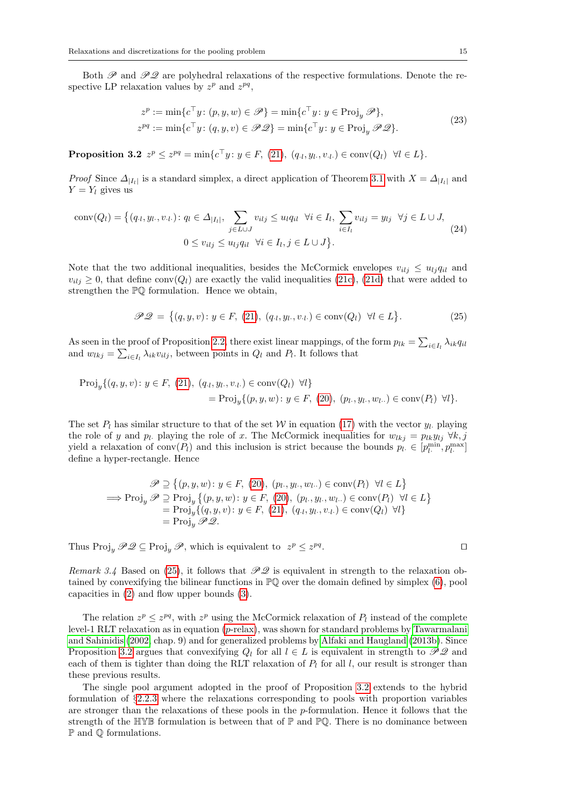Both  $\mathscr{P}$  and  $\mathscr{P}Q$  are polyhedral relaxations of the respective formulations. Denote the respective LP relaxation values by  $z^p$  and  $z^{pq}$ ,

$$
z^{p} := \min \{ c^{\top} y \colon (p, y, w) \in \mathscr{P} \} = \min \{ c^{\top} y \colon y \in \text{Proj}_{y} \mathscr{P} \},
$$
  
\n
$$
z^{pq} := \min \{ c^{\top} y \colon (q, y, v) \in \mathscr{P} \mathscr{Q} \} = \min \{ c^{\top} y \colon y \in \text{Proj}_{y} \mathscr{P} \mathscr{Q} \}.
$$
\n(23)

<span id="page-15-1"></span>**Proposition 3.2**  $z^p \leq z^{pq} = \min\{c^\top y : y \in F, (21), (q_{\cdot l}, y_{\cdot l}, v_{\cdot l}) \in \text{conv}(Q_l) \ \forall l \in L\}.$  $z^p \leq z^{pq} = \min\{c^\top y : y \in F, (21), (q_{\cdot l}, y_{\cdot l}, v_{\cdot l}) \in \text{conv}(Q_l) \ \forall l \in L\}.$  $z^p \leq z^{pq} = \min\{c^\top y : y \in F, (21), (q_{\cdot l}, y_{\cdot l}, v_{\cdot l}) \in \text{conv}(Q_l) \ \forall l \in L\}.$ 

*Proof* Since  $\Delta_{|I_l|}$  is a standard simplex, a direct application of Theorem [3.1](#page-12-1) with  $X = \Delta_{|I_l|}$  and  $Y = Y_l$  gives us

<span id="page-15-2"></span>
$$
\text{conv}(Q_l) = \left\{ (q_{\cdot l}, y_{l\cdot}, v_{\cdot l\cdot}) : q_l \in \Delta_{|I_l|}, \sum_{j \in L \cup J} v_{ilj} \le u_l q_{il} \ \forall i \in I_l, \sum_{i \in I_l} v_{ilj} = y_{lj} \ \forall j \in L \cup J, \right. \\
0 \le v_{ilj} \le u_{lj} q_{il} \ \forall i \in I_l, j \in L \cup J \right\}.
$$
\n
$$
(24)
$$

Note that the two additional inequalities, besides the McCormick envelopes  $v_{i,j} \leq u_{i,j} q_{i,l}$  and  $v_{i,j} \geq 0$ , that define conv $(Q_l)$  are exactly the valid inequalities [\(21c\)](#page-14-4), [\(21d\)](#page-14-5) that were added to strengthen the PQ formulation. Hence we obtain,

<span id="page-15-0"></span>
$$
\mathcal{PQ} = \{(q, y, v) : y \in F, (21), (q_{\iota}, y_{\iota}, v_{\iota}) \in \text{conv}(Q_{l}) \ \forall l \in L\}.
$$
 (25)

As seen in the proof of Proposition [2.2,](#page-8-0) there exist linear mappings, of the form  $p_{lk} = \sum_{i \in I_l} \lambda_{ik} q_{il}$ and  $w_{lkj} = \sum_{i \in I_l} \lambda_{ik} v_{ilj}$ , between points in  $Q_l$  and  $P_l$ . It follows that

$$
\begin{aligned} \text{Proj}_{y}\{(q,y,v): y \in F, (21), (q_{\cdot l}, y_{\cdot l}, v_{\cdot l}) \in \text{conv}(Q_{l}) \ \forall l\} \\ &= \text{Proj}_{y}\{(p,y,w): y \in F, (20), (p_{l\cdot}, y_{l\cdot}, w_{l\cdot\cdot}) \in \text{conv}(P_{l}) \ \forall l\}.\end{aligned}
$$

The set  $P_l$  has similar structure to that of the set W in equation [\(17\)](#page-12-0) with the vector  $y_l$ . playing the role of y and  $p_l$ . playing the role of x. The McCormick inequalities for  $w_{lkj} = p_{lk}y_{lj} \ \forall k, j$ yield a relaxation of  $\text{conv}(P_l)$  and this inclusion is strict because the bounds  $p_l \in [p_l^{\min}, p_l^{\max}]$ define a hyper-rectangle. Hence

$$
\mathscr{P} \supseteq \{ (p, y, w) \colon y \in F, (20), (p_l, y_l, w_l, \ldots) \in \text{conv}(P_l) \ \forall l \in L \}
$$
\n
$$
\implies \text{Proj}_y \mathscr{P} \supseteq \text{Proj}_y \{ (p, y, w) \colon y \in F, (20), (p_l, y_l, w_l, \ldots) \in \text{conv}(P_l) \ \forall l \in L \}
$$
\n
$$
= \text{Proj}_y \{ (q, y, v) \colon y \in F, (21), (q_l, y_l, v_l, \ldots) \in \text{conv}(Q_l) \ \forall l \}
$$
\n
$$
= \text{Proj}_y \mathscr{P} \mathscr{Q}.
$$

Thus  $\text{Proj}_y \mathscr{P} \mathscr{Q} \subseteq \text{Proj}_y \mathscr{P}$ , which is equivalent to  $z^p \leq z^{pq}$ 

 $\mathcal{L}$ 

Remark 3.4 Based on [\(25\)](#page-15-0), it follows that  $\mathscr{PQ}$  is equivalent in strength to the relaxation obtained by convexifying the bilinear functions in  $\mathbb{P}\mathbb{Q}$  over the domain defined by simplex [\(6\)](#page-5-1), pool capacities in [\(2\)](#page-4-6) and flow upper bounds [\(3\)](#page-4-1).

The relation  $z^p \leq z^{pq}$ , with  $z^p$  using the McCormick relaxation of  $P_l$  instead of the complete level-1 RLT relaxation as in equation ( $p$ [-relax\)](#page-14-6), was shown for standard problems by [Tawarmalani](#page-32-2) [and Sahinidis](#page-32-2) [\(2002,](#page-32-2) chap. 9) and for generalized problems by [Alfaki and Haugland](#page-29-6) [\(2013b\)](#page-29-6). Since Proposition [3.2](#page-15-1) argues that convexifying  $Q_l$  for all  $l \in L$  is equivalent in strength to  $\mathscr{PQ}$  and each of them is tighter than doing the RLT relaxation of  $P_l$  for all l, our result is stronger than these previous results.

The single pool argument adopted in the proof of Proposition [3.2](#page-15-1) extends to the hybrid formulation of §[2.2.3](#page-7-5) where the relaxations corresponding to pools with proportion variables are stronger than the relaxations of these pools in the  $p$ -formulation. Hence it follows that the strength of the  $\mathbb{HVB}$  formulation is between that of  $\mathbb P$  and  $\mathbb P\mathbb Q$ . There is no dominance between P and Q formulations.

$$
\qquad \qquad \Box
$$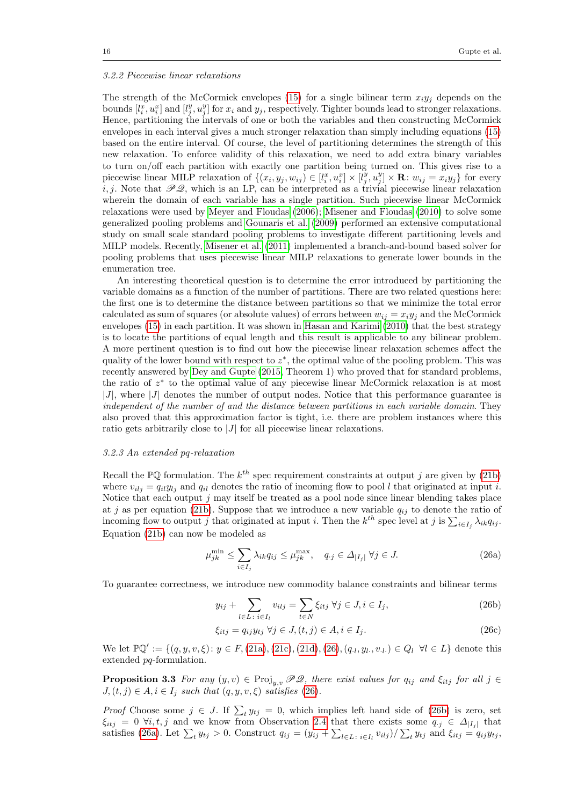#### <span id="page-16-0"></span>3.2.2 Piecewise linear relaxations

The strength of the McCormick envelopes [\(15\)](#page-11-3) for a single bilinear term  $x_i y_j$  depends on the bounds  $[l_i^x, u_i^x]$  and  $[l_j^y, u_j^y]$  for  $x_i$  and  $y_j$ , respectively. Tighter bounds lead to stronger relaxations. Hence, partitioning the intervals of one or both the variables and then constructing McCormick envelopes in each interval gives a much stronger relaxation than simply including equations [\(15\)](#page-11-3) based on the entire interval. Of course, the level of partitioning determines the strength of this new relaxation. To enforce validity of this relaxation, we need to add extra binary variables to turn on/off each partition with exactly one partition being turned on. This gives rise to a piecewise linear MILP relaxation of  $\{(x_i, y_j, w_{ij}) \in [l_i^x, u_i^x] \times [l_j^y, u_j^y] \times \mathbf{R} : w_{ij} = x_i y_j\}$  for every i, j. Note that  $\mathscr{PQ}$ , which is an LP, can be interpreted as a trivial piecewise linear relaxation wherein the domain of each variable has a single partition. Such piecewise linear McCormick relaxations were used by [Meyer and Floudas](#page-31-10) [\(2006\)](#page-31-10); [Misener and Floudas](#page-31-11) [\(2010\)](#page-31-11) to solve some generalized pooling problems and [Gounaris et al.](#page-30-21) [\(2009\)](#page-30-21) performed an extensive computational study on small scale standard pooling problems to investigate different partitioning levels and MILP models. Recently, [Misener et al.](#page-31-5) [\(2011\)](#page-31-5) implemented a branch-and-bound based solver for pooling problems that uses piecewise linear MILP relaxations to generate lower bounds in the enumeration tree.

An interesting theoretical question is to determine the error introduced by partitioning the variable domains as a function of the number of partitions. There are two related questions here: the first one is to determine the distance between partitions so that we minimize the total error calculated as sum of squares (or absolute values) of errors between  $w_{ij} = x_i y_j$  and the McCormick envelopes [\(15\)](#page-11-3) in each partition. It was shown in [Hasan and Karimi](#page-30-22) [\(2010\)](#page-30-22) that the best strategy is to locate the partitions of equal length and this result is applicable to any bilinear problem. A more pertinent question is to find out how the piecewise linear relaxation schemes affect the quality of the lower bound with respect to  $z^*$ , the optimal value of the pooling problem. This was recently answered by [Dey and Gupte](#page-30-12) [\(2015,](#page-30-12) Theorem 1) who proved that for standard problems, the ratio of  $z^*$  to the optimal value of any piecewise linear McCormick relaxation is at most  $|J|$ , where  $|J|$  denotes the number of output nodes. Notice that this performance guarantee is independent of the number of and the distance between partitions in each variable domain. They also proved that this approximation factor is tight, i.e. there are problem instances where this ratio gets arbitrarily close to |J| for all piecewise linear relaxations.

#### 3.2.3 An extended pq-relaxation

Recall the  $\mathbb{P}\mathbb{Q}$  formulation. The  $k^{th}$  spec requirement constraints at output j are given by [\(21b\)](#page-14-7) where  $v_{i,j} = q_{i}y_{i}$  and  $q_{i}$  denotes the ratio of incoming flow to pool l that originated at input i. Notice that each output  $j$  may itself be treated as a pool node since linear blending takes place at j as per equation [\(21b\)](#page-14-7). Suppose that we introduce a new variable  $q_{ij}$  to denote the ratio of incoming flow to output j that originated at input i. Then the  $k^{th}$  spec level at j is  $\sum_{i\in I_j}\lambda_{ik}q_{ij}$ . Equation [\(21b\)](#page-14-7) can now be modeled as

<span id="page-16-3"></span><span id="page-16-1"></span>
$$
\mu_{jk}^{\min} \le \sum_{i \in I_j} \lambda_{ik} q_{ij} \le \mu_{jk}^{\max}, \quad q_{\cdot j} \in \Delta_{|I_j|} \,\forall j \in J. \tag{26a}
$$

To guarantee correctness, we introduce new commodity balance constraints and bilinear terms

<span id="page-16-4"></span><span id="page-16-2"></span>
$$
y_{ij} + \sum_{l \in L \colon i \in I_l} v_{ilj} = \sum_{t \in N} \xi_{itj} \ \forall j \in J, i \in I_j,\tag{26b}
$$

$$
\xi_{itj} = q_{ij} y_{tj} \ \forall j \in J, (t, j) \in A, i \in I_j. \tag{26c}
$$

We let  $\mathbb{P}\mathbb{Q}' := \{(q, y, v, \xi) : y \in F, (21a), (21c), (21d), (26), (q_i, y_i, v_i) \in Q_i \; \forall i \in L\}$  $\mathbb{P}\mathbb{Q}' := \{(q, y, v, \xi) : y \in F, (21a), (21c), (21d), (26), (q_i, y_i, v_i) \in Q_i \; \forall i \in L\}$  $\mathbb{P}\mathbb{Q}' := \{(q, y, v, \xi) : y \in F, (21a), (21c), (21d), (26), (q_i, y_i, v_i) \in Q_i \; \forall i \in L\}$  $\mathbb{P}\mathbb{Q}' := \{(q, y, v, \xi) : y \in F, (21a), (21c), (21d), (26), (q_i, y_i, v_i) \in Q_i \; \forall i \in L\}$  $\mathbb{P}\mathbb{Q}' := \{(q, y, v, \xi) : y \in F, (21a), (21c), (21d), (26), (q_i, y_i, v_i) \in Q_i \; \forall i \in L\}$  $\mathbb{P}\mathbb{Q}' := \{(q, y, v, \xi) : y \in F, (21a), (21c), (21d), (26), (q_i, y_i, v_i) \in Q_i \; \forall i \in L\}$  $\mathbb{P}\mathbb{Q}' := \{(q, y, v, \xi) : y \in F, (21a), (21c), (21d), (26), (q_i, y_i, v_i) \in Q_i \; \forall i \in L\}$  $\mathbb{P}\mathbb{Q}' := \{(q, y, v, \xi) : y \in F, (21a), (21c), (21d), (26), (q_i, y_i, v_i) \in Q_i \; \forall i \in L\}$  $\mathbb{P}\mathbb{Q}' := \{(q, y, v, \xi) : y \in F, (21a), (21c), (21d), (26), (q_i, y_i, v_i) \in Q_i \; \forall i \in L\}$  denote this extended pq-formulation.

**Proposition 3.3** For any  $(y, v) \in \text{Proj}_{u,v} \mathscr{PQ}$ , there exist values for  $q_{ij}$  and  $\xi_{itj}$  for all  $j \in$  $J,(t, j) \in A, i \in I_j$  such that  $(q, y, v, \xi)$  satisfies [\(26\)](#page-16-1).

*Proof* Choose some  $j \in J$ . If  $\sum_t y_{tj} = 0$ , which implies left hand side of [\(26b\)](#page-16-2) is zero, set  $\xi_{itj} = 0 \ \forall i, t, j$  and we know from Observation [2.4](#page-5-0) that there exists some  $q_{\cdot j} \in \Delta_{|I_j|}$  that satisfies [\(26a\)](#page-16-3). Let  $\sum_t y_{tj} > 0$ . Construct  $q_{ij} = (y_{ij} + \sum_{l \in L \, : \, i \in I_l} v_{ilj}) / \sum_t y_{tj}$  and  $\xi_{itj} = q_{ij} y_{tj}$ ,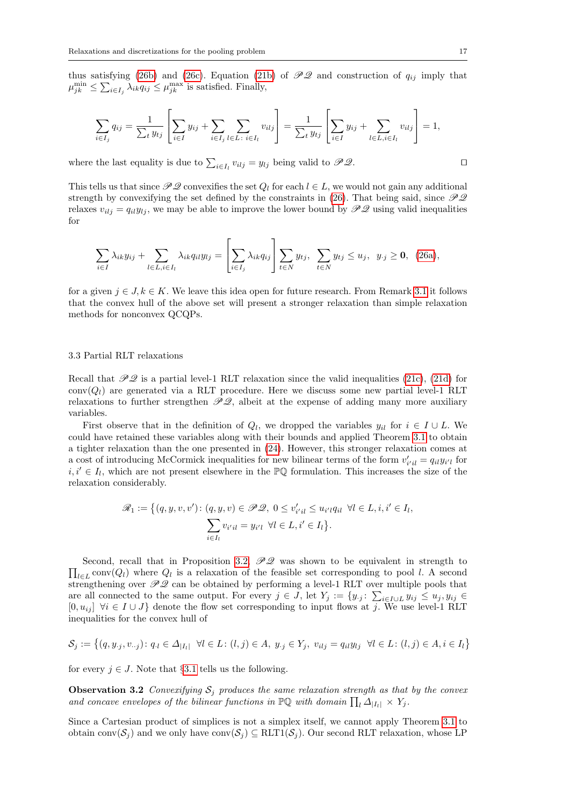thus satisfying [\(26b\)](#page-16-2) and [\(26c\)](#page-16-4). Equation [\(21b\)](#page-14-7) of  $\mathscr{PQ}$  and construction of  $q_{ij}$  imply that  $\mu_{jk}^{\min} \leq \sum_{i \in I_j} \lambda_{ik} q_{ij} \leq \mu_{jk}^{\max}$  is satisfied. Finally,

$$
\sum_{i \in I_j} q_{ij} = \frac{1}{\sum_t y_{tj}} \left[ \sum_{i \in I} y_{ij} + \sum_{i \in I_j} \sum_{l \in L \colon i \in I_l} v_{ilj} \right] = \frac{1}{\sum_t y_{tj}} \left[ \sum_{i \in I} y_{ij} + \sum_{l \in L, i \in I_l} v_{ilj} \right] = 1,
$$

where the last equality is due to  $\sum_{i \in I_l} v_{ilj} = y_{lj}$  being valid to  $\mathscr{PQ}$ .

This tells us that since  $\mathscr{PQ}$  convexifies the set  $Q_l$  for each  $l \in L$ , we would not gain any additional strength by convexifying the set defined by the constraints in [\(26\)](#page-16-1). That being said, since  $\mathcal{PQ}$ relaxes  $v_{ii} = q_{ii}y_{ii}$ , we may be able to improve the lower bound by  $\mathscr{PQ}$  using valid inequalities for

$$
\sum_{i\in I}\lambda_{ik}y_{ij} + \sum_{l\in L,i\in I_l}\lambda_{ik}q_{il}y_{lj} = \left[\sum_{i\in I_j}\lambda_{ik}q_{ij}\right]\sum_{t\in N}y_{tj}, \sum_{t\in N}y_{tj}\leq u_j, y_{\cdot j}\geq 0, (26a),
$$

for a given  $j \in J, k \in K$ . We leave this idea open for future research. From Remark [3.1](#page-12-2) it follows that the convex hull of the above set will present a stronger relaxation than simple relaxation methods for nonconvex QCQPs.

#### <span id="page-17-1"></span>3.3 Partial RLT relaxations

Recall that  $\mathscr{PQ}$  is a partial level-1 RLT relaxation since the valid inequalities [\(21c\)](#page-14-4), [\(21d\)](#page-14-5) for  $conv(Q_l)$  are generated via a RLT procedure. Here we discuss some new partial level-1 RLT relaxations to further strengthen  $\mathscr{PQ}$ , albeit at the expense of adding many more auxiliary variables.

First observe that in the definition of  $Q_l$ , we dropped the variables  $y_{il}$  for  $i \in I \cup L$ . We could have retained these variables along with their bounds and applied Theorem [3.1](#page-12-1) to obtain a tighter relaxation than the one presented in [\(24\)](#page-15-2). However, this stronger relaxation comes at a cost of introducing McCormick inequalities for new bilinear terms of the form  $v'_{i'il} = q_{il}y_{i'l}$  for  $i, i' \in I_l$ , which are not present elsewhere in the PQ formulation. This increases the size of the relaxation considerably.

$$
\mathcal{R}_1 := \left\{ (q, y, v, v') : (q, y, v) \in \mathcal{PQ}, 0 \le v'_{i'i} \le u_{i'l} q_{il} \ \forall l \in L, i, i' \in I_l, \sum_{i \in I_l} v_{i'il} = y_{i'l} \ \forall l \in L, i' \in I_l \right\}.
$$

 $\prod_{l\in L} \text{conv}(Q_l)$  where  $Q_l$  is a relaxation of the feasible set corresponding to pool l. A second Second, recall that in Proposition [3.2,](#page-15-1)  $\mathcal{PQ}$  was shown to be equivalent in strength to strengthening over  $\mathcal{PQ}$  can be obtained by performing a level-1 RLT over multiple pools that are all connected to the same output. For every  $j \in J$ , let  $Y_j := \{y_{\cdot j} : \sum_{i \in I \cup L} y_{ij} \leq u_j, y_{ij} \in$  $[0, u_{ij}]$   $\forall i \in I \cup J$  denote the flow set corresponding to input flows at j. We use level-1 RLT inequalities for the convex hull of

$$
\mathcal{S}_j := \left\{ (q, y_{\cdot j}, v_{\cdot \cdot j}) : q_{\cdot l} \in \Delta_{|I_l|} \ \forall l \in L : (l, j) \in A, \ y_{\cdot j} \in Y_j, \ v_{ilj} = q_{il} y_{lj} \ \forall l \in L : (l, j) \in A, i \in I_l \right\}
$$

<span id="page-17-0"></span>for every  $j \in J$ . Note that §[3.1](#page-11-1) tells us the following.

**Observation 3.2** Convexifying  $S_i$  produces the same relaxation strength as that by the convex and concave envelopes of the bilinear functions in  $\mathbb{P}\mathbb{Q}$  with domain  $\prod_{l} \Delta_{|I_l|} \times Y_j$ .

Since a Cartesian product of simplices is not a simplex itself, we cannot apply Theorem [3.1](#page-12-1) to obtain conv $(\mathcal{S}_j)$  and we only have conv $(\mathcal{S}_j) \subseteq RLT1(\mathcal{S}_j)$ . Our second RLT relaxation, whose LP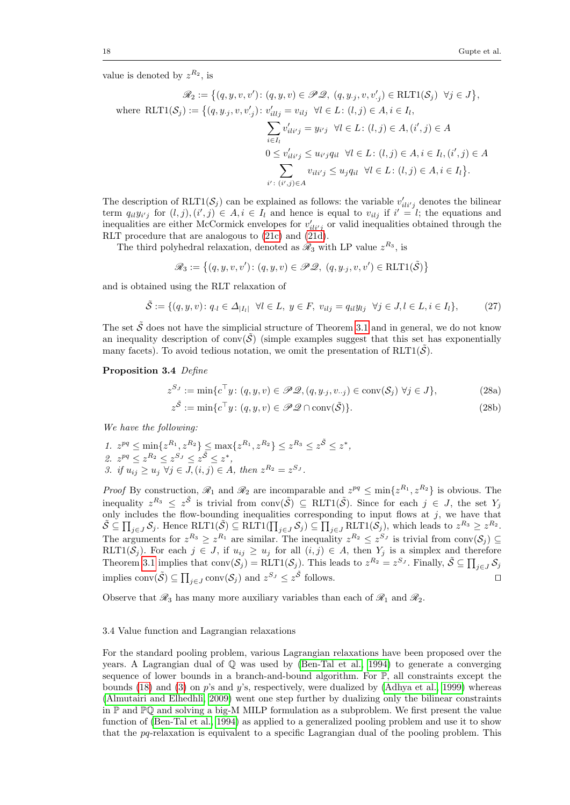value is denoted by  $z^{R_2}$ , is

$$
\mathscr{R}_2 := \left\{ (q, y, v, v') : (q, y, v) \in \mathscr{PD}, (q, y, v, v'_j) \in \text{RLT1}(\mathcal{S}_j) \ \forall j \in J \right\},
$$
  
where 
$$
\text{RLT1}(\mathcal{S}_j) := \left\{ (q, y, v, v'_j) : v'_{illj} = v_{ilj} \ \forall l \in L : (l, j) \in A, i \in I_l,
$$

$$
\sum_{i \in I_l} v'_{ili'j} = y_{i'j} \ \forall l \in L : (l, j) \in A, (i', j) \in A
$$

$$
0 \le v'_{ili'j} \le u_{i'j}q_{il} \ \forall l \in L : (l, j) \in A, i \in I_l, (i', j) \in A
$$

$$
\sum_{i' : (i', j) \in A} v_{ili'j} \le u_jq_{il} \ \forall l \in L : (l, j) \in A, i \in I_l \right\}.
$$

The description of  $RLT1(\mathcal{S}_j)$  can be explained as follows: the variable  $v'_{i i i' j}$  denotes the bilinear term  $q_{il}y_{i'j}$  for  $(l, j), (i', j) \in A, i \in I_l$  and hence is equal to  $v_{ilj}$  if  $i' = l$ ; the equations and inequalities are either McCormick envelopes for  $v'_{i l i' j}$  or valid inequalities obtained through the RLT procedure that are analogous to [\(21c\)](#page-14-4) and [\(21d\)](#page-14-5).

The third polyhedral relaxation, denoted as  $\mathcal{R}_3$  with LP value  $z^{R_3}$ , is

$$
\mathscr{R}_3 := \big\{ (q, y, v, v') \colon (q, y, v) \in \mathscr{PL}, \ (q, y, y, v, v') \in \text{RLT1}(\tilde{\mathcal{S}}) \big\}
$$

and is obtained using the RLT relaxation of

<span id="page-18-0"></span>
$$
\tilde{\mathcal{S}} := \{ (q, y, v) \colon q_{\cdot l} \in \Delta_{|I_l|} \ \forall l \in L, \ y \in F, \ v_{ilj} = q_{il} y_{lj} \ \forall j \in J, l \in L, i \in I_l \},\tag{27}
$$

The set  $\tilde{S}$  does not have the simplicial structure of Theorem [3.1](#page-12-1) and in general, we do not know an inequality description of conv $(\tilde{S})$  (simple examples suggest that this set has exponentially many facets). To avoid tedious notation, we omit the presentation of  $RLT1(\tilde{S})$ .

#### <span id="page-18-2"></span>Proposition 3.4 Define

$$
z^{S_J} := \min \{ c^\top y \colon (q, y, v) \in \mathcal{PQ}, (q, y_j, v_{\cdot,j}) \in \text{conv}(\mathcal{S}_j) \,\,\forall j \in J \},\tag{28a}
$$

$$
z^{\tilde{\mathcal{S}}} := \min \{ c^{\top} y \colon (q, y, v) \in \mathcal{PQ} \cap \text{conv}(\tilde{\mathcal{S}}) \}. \tag{28b}
$$

<span id="page-18-1"></span>,

We have the following:

1. 
$$
z^{pq} \le \min\{z^{R_1}, z^{R_2}\} \le \max\{z^{R_1}, z^{R_2}\} \le z^{R_3} \le z^{\bar{S}} \le z^*
$$
  
\n2.  $z^{pq} \le z^{R_2} \le z^{S_J} \le z^{\bar{S}} \le z^*$ ,  
\n3. if  $u_{ij} \ge u_j \ \forall j \in J, (i, j) \in A$ , then  $z^{R_2} = z^{S_J}$ .

*Proof* By construction,  $\mathcal{R}_1$  and  $\mathcal{R}_2$  are incomparable and  $z^{pq} \leq \min\{z^{R_1}, z^{R_2}\}\$ is obvious. The inequality  $z^{R_3} \leq z^{\tilde{S}}$  is trivial from conv $(\tilde{S}) \subseteq \text{RLT1}(\tilde{S})$ . Since for each  $j \in J$ , the set  $Y_j$ only includes the flow-bounding inequalities corresponding to input flows at  $j$ , we have that  $\tilde{\mathcal{S}} \subseteq \prod_{j \in J} \mathcal{S}_j$ . Hence  $\text{RLT1}(\tilde{\mathcal{S}}) \subseteq \text{RLT1}(\prod_{j \in J} \mathcal{S}_j) \subseteq \prod_{j \in J} \text{RLT1}(\mathcal{S}_j)$ , which leads to  $z^{R_3} \geq z^{R_2}$ . The arguments for  $z^{R_3} \geq z^{R_1}$  are similar. The inequality  $z^{R_2} \leq z^{S_J}$  is trivial from  $\text{conv}(\mathcal{S}_j) \subseteq$ RLT1(S<sub>j</sub>). For each  $j \in J$ , if  $u_{ij} \geq u_j$  for all  $(i, j) \in A$ , then  $Y_j$  is a simplex and therefore Theorem [3.1](#page-12-1) implies that  $conv(S_j) = RLT1(S_j)$ . This leads to  $z^{R_2} = z^{S_J}$ . Finally,  $\tilde{S} \subseteq \prod_{j \in J} S_j$ implies  $\text{conv}(\tilde{S}) \subseteq \prod_{j \in J} \text{conv}(\mathcal{S}_j)$  and  $z^{S_J} \leq z^{\tilde{S}}$  follows.

Observe that  $\mathcal{R}_3$  has many more auxiliary variables than each of  $\mathcal{R}_1$  and  $\mathcal{R}_2$ .

#### <span id="page-18-3"></span>3.4 Value function and Lagrangian relaxations

For the standard pooling problem, various Lagrangian relaxations have been proposed over the years. A Lagrangian dual of  $\mathbb Q$  was used by [\(Ben-Tal et al., 1994\)](#page-30-7) to generate a converging sequence of lower bounds in a branch-and-bound algorithm. For  $\mathbb{P}$ , all constraints except the bounds [\(18\)](#page-13-2) and [\(3\)](#page-4-1) on p's and  $y$ 's, respectively, were dualized by [\(Adhya et al., 1999\)](#page-29-2) whereas [\(Almutairi and Elhedhli, 2009\)](#page-29-3) went one step further by dualizing only the bilinear constraints in P and PQ and solving a big-M MILP formulation as a subproblem. We first present the value function of [\(Ben-Tal et al., 1994\)](#page-30-7) as applied to a generalized pooling problem and use it to show that the  $pq$ -relaxation is equivalent to a specific Lagrangian dual of the pooling problem. This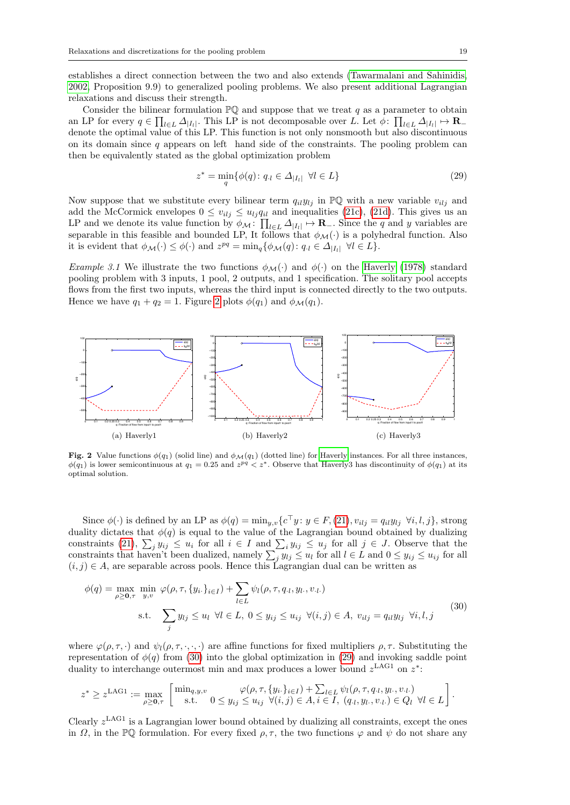establishes a direct connection between the two and also extends [\(Tawarmalani and Sahinidis,](#page-32-2) [2002,](#page-32-2) Proposition 9.9) to generalized pooling problems. We also present additional Lagrangian relaxations and discuss their strength.

Consider the bilinear formulation  $\mathbb{P}\mathbb{Q}$  and suppose that we treat q as a parameter to obtain an LP for every  $q \in \prod_{l \in L} \Delta_{|I_l|}$ . This LP is not decomposable over L. Let  $\phi$ :  $\prod_{l \in L} \Delta_{|I_l|} \mapsto \mathbf{R}_$ denote the optimal value of this LP. This function is not only nonsmooth but also discontinuous on its domain since  $q$  appears on left hand side of the constraints. The pooling problem can then be equivalently stated as the global optimization problem

<span id="page-19-2"></span>
$$
z^* = \min_{q} \{ \phi(q) \colon q_{\cdot l} \in \Delta_{|I_l|} \ \forall l \in L \}
$$
\n
$$
(29)
$$

Now suppose that we substitute every bilinear term  $q_{il}y_{lj}$  in  $\mathbb{PQ}$  with a new variable  $v_{ilj}$  and add the McCormick envelopes  $0 \le v_{i,j} \le u_{i,j} q_{i,l}$  and inequalities [\(21c\)](#page-14-4), [\(21d\)](#page-14-5). This gives us an LP and we denote its value function by  $\phi_{\mathcal{M}}\colon \prod_{l\in L} \Delta_{|I_l|} \mapsto \mathbf{R}_-$ . Since the q and y variables are separable in this feasible and bounded LP, It follows that  $\phi_{\mathcal{M}}(\cdot)$  is a polyhedral function. Also it is evident that  $\phi_{\mathcal{M}}(\cdot) \leq \phi(\cdot)$  and  $z^{pq} = \min_{q} \{ \phi_{\mathcal{M}}(q) : q_{\cdot l} \in \Delta_{|I_l|} \ \forall l \in L \}.$ 

Example 3.1 We illustrate the two functions  $\phi_{\mathcal{M}}(\cdot)$  and  $\phi(\cdot)$  on the [Haverly](#page-31-3) [\(1978\)](#page-31-3) standard pooling problem with 3 inputs, 1 pool, 2 outputs, and 1 specification. The solitary pool accepts flows from the first two inputs, whereas the third input is connected directly to the two outputs. Hence we have  $q_1 + q_2 = 1$ . Figure [2](#page-19-0) plots  $\phi(q_1)$  and  $\phi_{\mathcal{M}}(q_1)$ .



<span id="page-19-0"></span>Fig. 2 Value functions  $\phi(q_1)$  (solid line) and  $\phi_M(q_1)$  (dotted line) for [Haverly](#page-31-3) instances. For all three instances,  $\phi(q_1)$  is lower semicontinuous at  $q_1 = 0.25$  and  $z^{pq} < z^*$ . Observe that Haverly3 has discontinuity of  $\phi(q_1)$  at its optimal solution.

Since  $\phi(\cdot)$  is defined by an LP as  $\phi(q) = \min_{y,v} \{c^{\top}y : y \in F, (21), v_{ilj} = q_{il}y_{lj} \ \forall i, l, j\}$  $\phi(q) = \min_{y,v} \{c^{\top}y : y \in F, (21), v_{ilj} = q_{il}y_{lj} \ \forall i, l, j\}$  $\phi(q) = \min_{y,v} \{c^{\top}y : y \in F, (21), v_{ilj} = q_{il}y_{lj} \ \forall i, l, j\}$ , strong duality dictates that  $\phi(q)$  is equal to the value of the Lagrangian bound obtained by dualizing constraints [\(21\)](#page-14-2),  $\sum_j y_{ij} \leq u_i$  for all  $i \in I$  and  $\sum_i y_{ij} \leq u_j$  for all  $j \in J$ . Observe that the constraints that haven't been dualized, namely  $\sum_j y_{lj} \leq u_l$  for all  $l \in L$  and  $0 \leq y_{ij} \leq u_{ij}$  for all  $(i, j) \in A$ , are separable across pools. Hence this Lagrangian dual can be written as

<span id="page-19-1"></span>
$$
\phi(q) = \max_{\rho \ge 0, \tau} \min_{y, v} \varphi(\rho, \tau, \{y_i\}_{i \in I}) + \sum_{l \in L} \psi_l(\rho, \tau, q_l, y_l, v_l.)
$$
  
s.t. 
$$
\sum_j y_{lj} \le u_l \ \forall l \in L, \ 0 \le y_{ij} \le u_{ij} \ \forall (i, j) \in A, \ v_{ilj} = q_{il} y_{lj} \ \forall i, l, j
$$

$$
(30)
$$

where  $\varphi(\rho,\tau,\cdot)$  and  $\psi_l(\rho,\tau,\cdot,\cdot,\cdot)$  are affine functions for fixed multipliers  $\rho,\tau$ . Substituting the representation of  $\phi(q)$  from [\(30\)](#page-19-1) into the global optimization in [\(29\)](#page-19-2) and invoking saddle point duality to interchange outermost min and max produces a lower bound  $z^{\text{LAG1}}$  on  $z^*$ :

$$
z^* \ge z^{\text{LAG1}} := \max_{\rho \ge 0, \tau} \left[ \min_{g, y, v} \varphi(\rho, \tau, \{y_i\}_{i \in I}) + \sum_{l \in L} \psi_l(\rho, \tau, q_l, y_l, v_l) \right] \cdot \text{ s.t. } 0 \le y_{ij} \le u_{ij} \ \forall (i, j) \in A, i \in I, (q_l, y_l, v_l, v_l) \in Q_l \ \forall l \in L \right].
$$

Clearly  $z^{\text{LAG1}}$  is a Lagrangian lower bound obtained by dualizing all constraints, except the ones in  $\Omega$ , in the PQ formulation. For every fixed  $\rho$ ,  $\tau$ , the two functions  $\varphi$  and  $\psi$  do not share any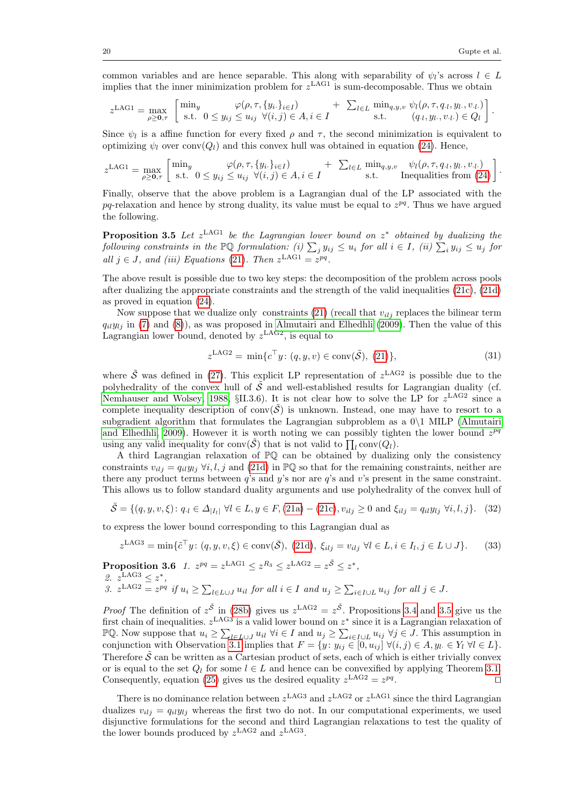common variables and are hence separable. This along with separability of  $\psi_l$ 's across  $l \in L$ implies that the inner minimization problem for  $z^{\text{LAG1}}$  is sum-decomposable. Thus we obtain

$$
z^{\text{LAG1}} = \max_{\rho \ge 0, \tau} \left[ \min_{s.t.} \frac{\varphi(\rho, \tau, \{y_i\}_{i \in I})}{0 \le y_{ij} \le u_{ij}} \right] \quad + \quad \sum_{l \in L} \min_{q, y, v} \psi_l(\rho, \tau, q_l, y_l, v_l) \right].
$$

Since  $\psi_l$  is a affine function for every fixed  $\rho$  and  $\tau$ , the second minimization is equivalent to optimizing  $\psi_l$  over conv( $Q_l$ ) and this convex hull was obtained in equation [\(24\)](#page-15-2). Hence,

$$
z^{\text{LAG1}} = \max_{\rho \geq 0, \tau} \begin{bmatrix} \min_y & \varphi(\rho, \tau, \{y_i\}_{i \in I}) & + \sum_{l \in L} \min_{q, y, v} & \psi_l(\rho, \tau, q_l, y_l, v_l) \\ \text{s.t.} & 0 \leq y_{ij} \leq u_{ij} \ \forall (i, j) \in A, i \in I \end{bmatrix} + \sum_{l \in L} \min_{s, t} \psi_l(\rho, \tau, q_l, y_l, v_l) \text{ inequalities from (24)}.
$$

Finally, observe that the above problem is a Lagrangian dual of the LP associated with the  $pq$ -relaxation and hence by strong duality, its value must be equal to  $z^{pq}$ . Thus we have argued the following.

<span id="page-20-0"></span>**Proposition 3.5** Let  $z^{\text{LAG1}}$  be the Lagrangian lower bound on  $z^*$  obtained by dualizing the following constraints in the  $\mathbb{P} \mathbb{Q}$  formulation: (i)  $\sum_j y_{ij} \leq u_i$  for all  $i \in I$ , (ii)  $\sum_i y_{ij} \leq u_j$  for all  $j \in J$ , and (iii) Equations [\(21\)](#page-14-2). Then  $z^{\text{LAG1}} = z^{pq}$ .

The above result is possible due to two key steps: the decomposition of the problem across pools after dualizing the appropriate constraints and the strength of the valid inequalities [\(21c\)](#page-14-4), [\(21d\)](#page-14-5) as proved in equation [\(24\)](#page-15-2).

Now suppose that we dualize only constraints [\(21\)](#page-14-2) (recall that  $v_{iij}$  replaces the bilinear term  $q_{il}y_{lj}$  in [\(7\)](#page-7-0) and [\(8\)](#page-7-1)), as was proposed in [Almutairi and Elhedhli](#page-29-3) [\(2009\)](#page-29-3). Then the value of this Lagrangian lower bound, denoted by  $z^{\text{LAG2}}$ , is equal to

$$
z^{\text{LAG2}} = \min \{ c^{\top} y \colon (q, y, v) \in \text{conv}(\tilde{\mathcal{S}}), (21) \},\tag{31}
$$

where  $\tilde{S}$  was defined in [\(27\)](#page-18-0). This explicit LP representation of  $z^{\text{LAG2}}$  is possible due to the polyhedrality of the convex hull of  $\tilde{\mathcal{S}}$  and well-established results for Lagrangian duality (cf. [Nemhauser and Wolsey, 1988,](#page-31-21)  $\S$ II.3.6). It is not clear how to solve the LP for  $z^{\text{LAG2}}$  since a complete inequality description of conv $(\tilde{S})$  is unknown. Instead, one may have to resort to a subgradient algorithm that formulates the Lagrangian subproblem as a  $0\backslash 1$  MILP [\(Almutairi](#page-29-3) [and Elhedhli, 2009\)](#page-29-3). However it is worth noting we can possibly tighten the lower bound  $z^{pq}$ using any valid inequality for  $\text{conv}(\tilde{S})$  that is not valid to  $\prod_l \text{conv}(Q_l)$ .

A third Lagrangian relaxation of  $\mathbb{P}\mathbb{Q}$  can be obtained by dualizing only the consistency constraints  $v_{ilj} = q_{il}y_{lj} \ \forall i, l, j$  and [\(21d\)](#page-14-5) in PQ so that for the remaining constraints, neither are there any product terms between  $q$ 's and  $y$ 's nor are  $q$ 's and  $v$ 's present in the same constraint. This allows us to follow standard duality arguments and use polyhedrality of the convex hull of

$$
\check{\mathcal{S}} = \{ (q, y, v, \xi) \colon q_{\cdot l} \in \Delta_{|I_l|} \ \forall l \in L, y \in F, (21a) - (21c), v_{ilj} \ge 0 \ \text{and} \ \xi_{ilj} = q_{il} y_{lj} \ \forall i, l, j \}. \tag{32}
$$

to express the lower bound corresponding to this Lagrangian dual as

$$
z^{\text{LAG3}} = \min \{ \tilde{c}^\top y \colon (q, y, v, \xi) \in \text{conv}(\check{S}), (21d), \xi_{ilj} = v_{ilj} \ \forall l \in L, i \in I_l, j \in L \cup J \}. \tag{33}
$$

 $\textbf{Proposition 3.6} \;\; 1. \;\; z^{pq} = z^{\text{LAG1}} \leq z^{R_3} \leq z^{\text{LAG2}} = z^{\tilde{\mathcal{S}}} \leq z^{*},$ 2.  $z^{\text{LAG3}} \leq z^*$ , 3.  $z^{\text{LAG2}} = z^{pq}$  if  $u_i \ge \sum_{l \in L \cup J} u_{il}$  for all  $i \in I$  and  $u_j \ge \sum_{i \in I \cup L} u_{ij}$  for all  $j \in J$ .

*Proof* The definition of  $z^{\tilde{S}}$  in [\(28b\)](#page-18-1) gives us  $z^{\text{LAG2}} = z^{\tilde{S}}$ . Propositions [3.4](#page-18-2) and [3.5](#page-20-0) give us the first chain of inequalities.  $z^{\text{LAG3}}$  is a valid lower bound on  $z^*$  since it is a Lagrangian relaxation of PQ. Now suppose that  $u_i \geq \sum_{l \in L \cup J} u_{il} \ \forall i \in I$  and  $u_j \geq \sum_{i \in I \cup L} u_{ij} \ \forall j \in J$ . This assumption in conjunction with Observation [3.1](#page-14-8) implies that  $F = \{y : y_{ij} \in [0, u_{ij}] \; \forall (i, j) \in A, y_l \in Y_l \; \forall l \in L\}.$ Therefore  $\hat{S}$  can be written as a Cartesian product of sets, each of which is either trivially convex or is equal to the set  $Q_l$  for some  $l \in L$  and hence can be convexified by applying Theorem [3.1.](#page-12-1) Consequently, equation [\(25\)](#page-15-0) gives us the desired equality  $z^{\text{LAG2}} = z^{pq}$ . The contract of  $\Box$ 

There is no dominance relation between  $z^{\text{LAG3}}$  and  $z^{\text{LAG2}}$  or  $z^{\text{LAG1}}$  since the third Lagrangian dualizes  $v_{i,j} = q_{i} y_{i,j}$  whereas the first two do not. In our computational experiments, we used disjunctive formulations for the second and third Lagrangian relaxations to test the quality of the lower bounds produced by  $z^{\text{LAG2}}$  and  $z^{\text{LAG3}}$ .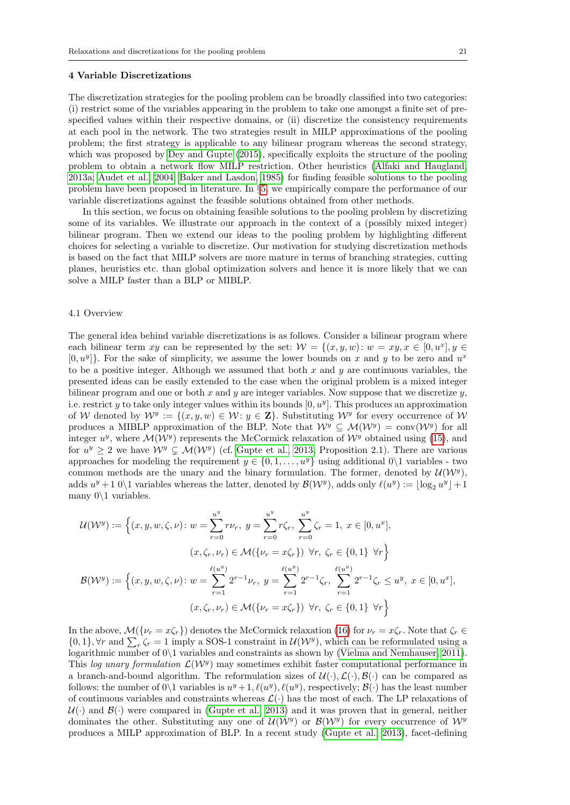#### <span id="page-21-0"></span>4 Variable Discretizations

The discretization strategies for the pooling problem can be broadly classified into two categories: (i) restrict some of the variables appearing in the problem to take one amongst a finite set of prespecified values within their respective domains, or (ii) discretize the consistency requirements at each pool in the network. The two strategies result in MILP approximations of the pooling problem; the first strategy is applicable to any bilinear program whereas the second strategy, which was proposed by [Dey and Gupte](#page-30-12) [\(2015\)](#page-30-12), specifically exploits the structure of the pooling problem to obtain a network flow MILP restriction. Other heuristics [\(Alfaki and Haugland,](#page-29-10) [2013a;](#page-29-10) [Audet et al., 2004;](#page-29-1) [Baker and Lasdon, 1985\)](#page-29-0) for finding feasible solutions to the pooling problem have been proposed in literature. In §[5,](#page-24-0) we empirically compare the performance of our variable discretizations against the feasible solutions obtained from other methods.

In this section, we focus on obtaining feasible solutions to the pooling problem by discretizing some of its variables. We illustrate our approach in the context of a (possibly mixed integer) bilinear program. Then we extend our ideas to the pooling problem by highlighting different choices for selecting a variable to discretize. Our motivation for studying discretization methods is based on the fact that MILP solvers are more mature in terms of branching strategies, cutting planes, heuristics etc. than global optimization solvers and hence it is more likely that we can solve a MILP faster than a BLP or MIBLP.

#### 4.1 Overview

The general idea behind variable discretizations is as follows. Consider a bilinear program where each bilinear term xy can be represented by the set:  $W = \{(x, y, w): w = xy, x \in [0, u^x], y \in$  $[0, u^y]$ . For the sake of simplicity, we assume the lower bounds on x and y to be zero and  $u^x$ to be a positive integer. Although we assumed that both  $x$  and  $y$  are continuous variables, the presented ideas can be easily extended to the case when the original problem is a mixed integer bilinear program and one or both x and y are integer variables. Now suppose that we discretize  $y$ , i.e. restrict y to take only integer values within its bounds  $[0, u^y]$ . This produces an approximation of W denoted by  $\mathcal{W}^y := \{(x, y, w) \in \mathcal{W} : y \in \mathbf{Z}\}\.$  Substituting  $\mathcal{W}^y$  for every occurrence of  $\mathcal{W}$ produces a MIBLP approximation of the BLP. Note that  $\mathcal{W}^y \subseteq \mathcal{M}(\mathcal{W}^y) = \text{conv}(\mathcal{W}^y)$  for all integer  $u^y$ , where  $\mathcal{M}(\mathcal{W}^y)$  represents the McCormick relaxation of  $\mathcal{W}^y$  obtained using [\(15\)](#page-11-3), and for  $u^y \geq 2$  we have  $\mathcal{W}^y \subsetneq \mathcal{M}(\mathcal{W}^y)$  (cf. [Gupte et al., 2013,](#page-30-23) Proposition 2.1). There are various approaches for modeling the requirement  $y \in \{0, 1, ..., u^y\}$  using additional  $0\backslash 1$  variables - two common methods are the unary and the binary formulation. The former, denoted by  $\mathcal{U}(\mathcal{W}^y)$ , adds  $u^y + 1$  0\1 variables whereas the latter, denoted by  $\mathcal{B}(W^y)$ , adds only  $\ell(u^y) := \lfloor \log_2 u^y \rfloor + 1$ many  $0 \backslash 1$  variables.

$$
\mathcal{U}(\mathcal{W}^{y}) := \left\{ (x, y, w, \zeta, \nu) : w = \sum_{r=0}^{u^{y}} r\nu_{r}, y = \sum_{r=0}^{u^{y}} r\zeta_{r}, \sum_{r=0}^{u^{y}} \zeta_{r} = 1, x \in [0, u^{x}],
$$
  

$$
(x, \zeta_{r}, \nu_{r}) \in \mathcal{M}(\{\nu_{r} = x\zeta_{r}\}) \forall r, \zeta_{r} \in \{0, 1\} \forall r \right\}
$$
  

$$
\mathcal{B}(\mathcal{W}^{y}) := \left\{ (x, y, w, \zeta, \nu) : w = \sum_{r=1}^{\ell(u^{y})} 2^{r-1}\nu_{r}, y = \sum_{r=1}^{\ell(u^{y})} 2^{r-1}\zeta_{r}, \sum_{r=1}^{\ell(u^{y})} 2^{r-1}\zeta_{r} \leq u^{y}, x \in [0, u^{x}],
$$
  

$$
(x, \zeta_{r}, \nu_{r}) \in \mathcal{M}(\{\nu_{r} = x\zeta_{r}\}) \forall r, \zeta_{r} \in \{0, 1\} \forall r \right\}
$$

In the above,  $\mathcal{M}(\{\nu_r = x\zeta_r\})$  denotes the McCormick relaxation [\(16\)](#page-11-2) for  $\nu_r = x\zeta_r$ . Note that  $\zeta_r \in$  $\{0,1\}$ ,  $\forall r$  and  $\sum_{r} \zeta_r = 1$  imply a SOS-1 constraint in  $\mathcal{U}(\mathcal{W}^y)$ , which can be reformulated using a logarithmic number of 0\1 variables and constraints as shown by [\(Vielma and Nemhauser, 2011\)](#page-32-9). This log unary formulation  $\mathcal{L}(\mathcal{W}^y)$  may sometimes exhibit faster computational performance in a branch-and-bound algorithm. The reformulation sizes of  $\mathcal{U}(\cdot), \mathcal{L}(\cdot), \mathcal{B}(\cdot)$  can be compared as follows: the number of  $0 \setminus 1$  variables is  $u^y + 1$ ,  $\ell(u^y)$ ,  $\ell(u^y)$ , respectively;  $\mathcal{B}(\cdot)$  has the least number of continuous variables and constraints whereas  $\mathcal{L}(\cdot)$  has the most of each. The LP relaxations of  $U(\cdot)$  and  $\mathcal{B}(\cdot)$  were compared in [\(Gupte et al., 2013\)](#page-30-23) and it was proven that in general, neither dominates the other. Substituting any one of  $\mathcal{U}(\mathcal{W}^y)$  or  $\mathcal{B}(\mathcal{W}^y)$  for every occurrence of  $\mathcal{W}^y$ produces a MILP approximation of BLP. In a recent study [\(Gupte et al., 2013\)](#page-30-23), facet-defining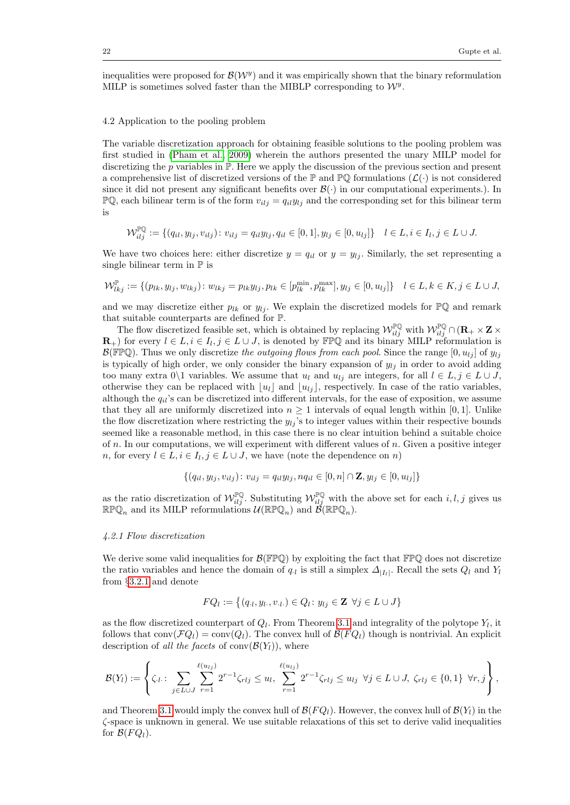inequalities were proposed for  $\mathcal{B}(W^y)$  and it was empirically shown that the binary reformulation MILP is sometimes solved faster than the MIBLP corresponding to  $\mathcal{W}^y$ .

#### 4.2 Application to the pooling problem

The variable discretization approach for obtaining feasible solutions to the pooling problem was first studied in [\(Pham et al., 2009\)](#page-31-22) wherein the authors presented the unary MILP model for discretizing the p variables in  $\mathbb P$ . Here we apply the discussion of the previous section and present a comprehensive list of discretized versions of the  $\mathbb P$  and  $\mathbb P\mathbb Q$  formulations  $(\mathcal L(\cdot))$  is not considered since it did not present any significant benefits over  $\mathcal{B}(\cdot)$  in our computational experiments.). In  $\mathbb{P} \mathbb{Q}$ , each bilinear term is of the form  $v_{i,j} = q_{i} y_{i,j}$  and the corresponding set for this bilinear term is

$$
\mathcal{W}_{ilj}^{\mathbb{PQ}} := \{ (q_{il}, y_{lj}, v_{ilj}) \colon v_{ilj} = q_{il} y_{lj}, q_{il} \in [0, 1], y_{lj} \in [0, u_{lj}] \} \quad l \in L, i \in I_l, j \in L \cup J.
$$

We have two choices here: either discretize  $y = q_{il}$  or  $y = y_{lj}$ . Similarly, the set representing a single bilinear term in  $\mathbb P$  is

$$
\mathcal{W}_{lkj}^{\mathbb{P}} := \{ (p_{lk}, y_{lj}, w_{lkj}) : w_{lkj} = p_{lk} y_{lj}, p_{lk} \in [p_{lk}^{\min}, p_{lk}^{\max}], y_{lj} \in [0, u_{lj}] \} \quad l \in L, k \in K, j \in L \cup J,
$$

and we may discretize either  $p_{lk}$  or  $y_{lj}$ . We explain the discretized models for  $\mathbb{P}\mathbb{Q}$  and remark that suitable counterparts are defined for P.

The flow discretized feasible set, which is obtained by replacing  $\mathcal{W}^{\mathbb{P}\mathbb{Q}}_{ilj}$  with  $\mathcal{W}^{\mathbb{P}\mathbb{Q}}_{ilj} \cap (\mathbf{R}_{+} \times \mathbf{Z})$  $\mathbf{R}_+$ ) for every  $l \in L, i \in I_l, j \in L \cup J$ , is denoted by FPQ and its binary MILP reformulation is  $\mathcal{B}(\mathbb{FPQ})$ . Thus we only discretize the outgoing flows from each pool. Since the range  $[0, u_{1i}]$  of  $y_{1i}$ is typically of high order, we only consider the binary expansion of  $y_{ij}$  in order to avoid adding too many extra 0\1 variables. We assume that  $u_l$  and  $u_{lj}$  are integers, for all  $l \in L$ ,  $j \in L \cup J$ , otherwise they can be replaced with  $\lfloor u_l \rfloor$  and  $\lfloor u_{lj} \rfloor$ , respectively. In case of the ratio variables, although the  $q_{il}$ 's can be discretized into different intervals, for the ease of exposition, we assume that they all are uniformly discretized into  $n \geq 1$  intervals of equal length within [0, 1]. Unlike the flow discretization where restricting the  $y_{lj}$ 's to integer values within their respective bounds seemed like a reasonable method, in this case there is no clear intuition behind a suitable choice of n. In our computations, we will experiment with different values of  $n$ . Given a positive integer n, for every  $l \in L, i \in I_l, j \in L \cup J$ , we have (note the dependence on n)

$$
\{(q_{il}, y_{lj}, v_{ilj}) : v_{ilj} = q_{il}y_{lj}, nq_{il} \in [0, n] \cap \mathbf{Z}, y_{lj} \in [0, u_{lj}]\}
$$

as the ratio discretization of  $\mathcal{W}_{ilj}^{\mathbb{P} \mathbb{Q}}$ . Substituting  $\mathcal{W}_{ilj}^{\mathbb{P} \mathbb{Q}}$  with the above set for each  $i, l, j$  gives us  $\mathbb{R} \mathbb{P} \mathbb{Q}_n$  and its MILP reformulations  $\mathcal{U}(\mathbb{R} \mathbb{P} \mathbb{Q}_n)$  and  $\mathcal{B}(\mathbb{R} \mathbb{P} \mathbb{Q}_n)$ .

#### <span id="page-22-1"></span>4.2.1 Flow discretization

We derive some valid inequalities for  $\mathcal{B}(\mathbb{FPQ})$  by exploiting the fact that  $\mathbb{FPQ}$  does not discretize the ratio variables and hence the domain of  $q_{\cdot l}$  is still a simplex  $\Delta_{|I_l|}$ . Recall the sets  $Q_l$  and  $Y_l$ from §[3.2.1](#page-13-0) and denote

$$
FQ_l := \{(q_l, y_l, v_l) \in Q_l : y_{lj} \in \mathbf{Z} \ \forall j \in L \cup J\}
$$

as the flow discretized counterpart of  $Q_l$ . From Theorem [3.1](#page-12-1) and integrality of the polytope  $Y_l$ , it follows that  $conv(\mathcal{F}Q_l) = conv(Q_l)$ . The convex hull of  $\mathcal{B}(FQ_l)$  though is nontrivial. An explicit description of all the facets of conv $(\mathcal{B}(Y_l))$ , where

$$
\mathcal{B}(Y_l) := \left\{ \zeta_{\cdot l} : \sum_{j \in L \cup J} \sum_{r=1}^{\ell(u_{lj})} 2^{r-1} \zeta_{rlj} \leq u_l, \sum_{r=1}^{\ell(u_{lj})} 2^{r-1} \zeta_{rlj} \leq u_{lj} \ \forall j \in L \cup J, \ \zeta_{rlj} \in \{0,1\} \ \forall r,j \right\},\
$$

<span id="page-22-0"></span>and Theorem [3.1](#page-12-1) would imply the convex hull of  $\mathcal{B}(FQ_l)$ . However, the convex hull of  $\mathcal{B}(Y_l)$  in the ζ-space is unknown in general. We use suitable relaxations of this set to derive valid inequalities for  $\mathcal{B}(FQ_l)$ .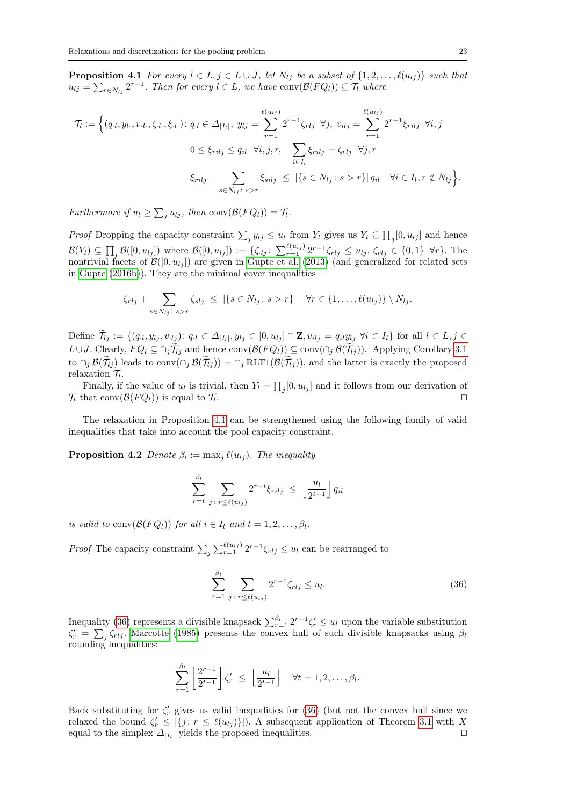**Proposition 4.1** For every  $l \in L, j \in L \cup J$ , let  $N_{lj}$  be a subset of  $\{1, 2, ..., \ell(u_{lj})\}$  such that  $u_{lj} = \sum_{r \in N_{lj}} 2^{r-1}$ . Then for every  $l \in L$ , we have  $conv(\mathcal{B}(FQ_l)) \subseteq \mathcal{T}_l$  where

$$
\mathcal{T}_l := \Big\{ (q_{\cdot l}, y_{l\cdot}, v_{\cdot l\cdot}, \zeta_{\cdot l\cdot}, \xi_{\cdot l\cdot}) : q_{\cdot l} \in \Delta_{|I_l|}, \ y_{lj} = \sum_{r=1}^{\ell(u_{lj})} 2^{r-1} \zeta_{rlj} \ \ \forall j, \ v_{ilj} = \sum_{r=1}^{\ell(u_{lj})} 2^{r-1} \xi_{rilj} \ \ \forall i, j
$$
\n
$$
0 \le \xi_{rilj} \le q_{il} \ \ \forall i, j, r, \quad \sum_{i \in I_l} \xi_{rilj} = \zeta_{rlj} \ \ \forall j, r
$$
\n
$$
\xi_{rilj} + \sum_{s \in N_{lj} \colon s > r} \xi_{silj} \le |\{s \in N_{lj} \colon s > r\}| \ q_{il} \ \ \ \forall i \in I_l, r \notin N_{lj} \Big\}.
$$

Furthermore if  $u_l \ge \sum_j u_{lj}$ , then  $\text{conv}(\mathcal{B}(FQ_l)) = \mathcal{T}_l$ .

*Proof* Dropping the capacity constraint  $\sum_j y_{lj} \leq u_l$  from  $Y_l$  gives us  $Y_l \subseteq \prod_j [0, u_{lj}]$  and hence  $\mathcal{B}(Y_l) \subseteq \prod_j \mathcal{B}([0, u_{lj}])$  where  $\mathcal{B}([0, u_{lj}]) := \{\zeta_{\cdot lj} \colon \sum_{r=1}^{\ell(u_{lj})} 2^{r-1} \zeta_{rlj} \leq u_{lj}, \zeta_{rlj} \in \{0, 1\} \ \ \forall r\}.$  The nontrivial facets of  $\mathcal{B}([0, u_{lj}])$  are given in [Gupte et al.](#page-30-23) [\(2013\)](#page-30-23) (and generalized for related sets in [Gupte](#page-30-24) [\(2016b\)](#page-30-24)). They are the minimal cover inequalities

$$
\zeta_{rlj} + \sum_{s \in N_{lj} \colon s > r} \zeta_{slj} \leq |\{s \in N_{lj} \colon s > r\}| \quad \forall r \in \{1, \dots, \ell(u_{lj})\} \setminus N_{lj}.
$$

Define  $\mathcal{T}_{lj} := \{(q_{\cdot l}, y_{lj}, v_{\cdot l_j}) : q_{\cdot l} \in \Delta_{|I_l|}, y_{lj} \in [0, u_{lj}] \cap \mathbf{Z}, v_{ilj} = q_{il} y_{lj} \ \forall i \in I_l\}$  for all  $l \in L, j \in I_l$  $L\cup J$ . Clearly,  $FQ_l ⊆ \cap_i \widetilde{\mathcal{T}}_{lj}$  and hence  $conv(\mathcal{B}(FQ_l)) ⊆ conv(\cap_i \mathcal{B}(\widetilde{\mathcal{T}}_{lj}))$ . Applying Corollary [3.1](#page-12-3) to  $\cap_j \mathcal{B}(\tilde{\mathcal{T}}_{ij})$  leads to conv $(\cap_j \mathcal{B}(\tilde{\mathcal{T}}_{ij})) = \cap_j \text{RLTI}(\mathcal{B}(\tilde{\mathcal{T}}_{ij}))$ , and the latter is exactly the proposed relaxation  $\mathcal{T}_l$ .

Finally, if the value of  $u_l$  is trivial, then  $Y_l = \prod_j [0, u_{lj}]$  and it follows from our derivation of  $\mathcal{T}_l$  that conv $(\mathcal{B}(FQ_l))$  is equal to  $\mathcal{T}_l$ . . Utilization of the contract of the contract of the contract of the contract of the contract of the contract o

The relaxation in Proposition [4.1](#page-22-0) can be strengthened using the following family of valid inequalities that take into account the pool capacity constraint.

**Proposition 4.2** Denote  $\beta_l := \max_j \ell(u_{lj})$ . The inequality

$$
\sum_{r=t}^{\beta_l} \sum_{j \colon r \leq \ell(u_{lj})} 2^{r-t} \xi_{rilj} \leq \left\lfloor \frac{u_l}{2^{t-1}} \right\rfloor q_{il}
$$

is valid to conv $(\mathcal{B}(FQ_l))$  for all  $i \in I_l$  and  $t = 1, 2, \ldots, \beta_l$ .

*Proof* The capacity constraint  $\sum_j \sum_{r=1}^{\ell(u_{lj})} 2^{r-1} \zeta_{rlj} \leq u_l$  can be rearranged to

<span id="page-23-0"></span>
$$
\sum_{r=1}^{\beta_l} \sum_{j \colon r \le \ell(u_{lj})} 2^{r-1} \zeta_{rlj} \le u_l. \tag{36}
$$

Inequality [\(36\)](#page-23-0) represents a divisible knapsack  $\sum_{r=1}^{\beta_l} 2^{r-1} \zeta'_r \leq u_l$  upon the variable substitution  $\zeta'_r = \sum_j \zeta_{rlj}$ . [Marcotte](#page-31-23) [\(1985\)](#page-31-23) presents the convex hull of such divisible knapsacks using  $\beta_l$ rounding inequalities:

$$
\sum_{r=1}^{\beta_l} \left\lfloor \frac{2^{r-1}}{2^{t-1}} \right\rfloor \zeta'_r \ \le \ \left\lfloor \frac{u_l}{2^{t-1}} \right\rfloor \quad \forall t = 1, 2, \dots, \beta_l.
$$

Back substituting for  $\zeta'_r$  gives us valid inequalities for [\(36\)](#page-23-0) (but not the convex hull since we relaxed the bound  $\zeta'_r \leq |\{j : r \leq \ell(u_{lj})\}|$ . A subsequent application of Theorem [3.1](#page-12-1) with X equal to the simplex  $\Delta_{|I_l|}$  yields the proposed inequalities.  $\square$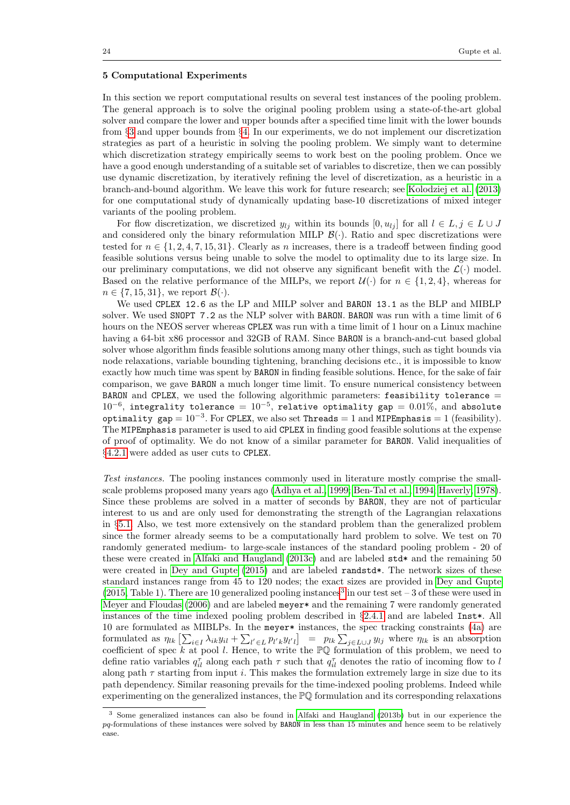#### <span id="page-24-0"></span>5 Computational Experiments

In this section we report computational results on several test instances of the pooling problem. The general approach is to solve the original pooling problem using a state-of-the-art global solver and compare the lower and upper bounds after a specified time limit with the lower bounds from §[3](#page-11-0) and upper bounds from §[4.](#page-21-0) In our experiments, we do not implement our discretization strategies as part of a heuristic in solving the pooling problem. We simply want to determine which discretization strategy empirically seems to work best on the pooling problem. Once we have a good enough understanding of a suitable set of variables to discretize, then we can possibly use dynamic discretization, by iteratively refining the level of discretization, as a heuristic in a branch-and-bound algorithm. We leave this work for future research; see [Kolodziej et al.](#page-31-15) [\(2013\)](#page-31-15) for one computational study of dynamically updating base-10 discretizations of mixed integer variants of the pooling problem.

For flow discretization, we discretized  $y_{lj}$  within its bounds  $[0, u_{lj}]$  for all  $l \in L, j \in L \cup J$ and considered only the binary reformulation MILP  $\mathcal{B}(\cdot)$ . Ratio and spec discretizations were tested for  $n \in \{1, 2, 4, 7, 15, 31\}$ . Clearly as n increases, there is a tradeoff between finding good feasible solutions versus being unable to solve the model to optimality due to its large size. In our preliminary computations, we did not observe any significant benefit with the  $\mathcal{L}(\cdot)$  model. Based on the relative performance of the MILPs, we report  $\mathcal{U}(\cdot)$  for  $n \in \{1, 2, 4\}$ , whereas for  $n \in \{7, 15, 31\}$ , we report  $\mathcal{B}(\cdot)$ .

We used CPLEX 12.6 as the LP and MILP solver and BARON 13.1 as the BLP and MIBLP solver. We used SNOPT 7.2 as the NLP solver with BARON. BARON was run with a time limit of 6 hours on the NEOS server whereas CPLEX was run with a time limit of 1 hour on a Linux machine having a 64-bit x86 processor and 32GB of RAM. Since BARON is a branch-and-cut based global solver whose algorithm finds feasible solutions among many other things, such as tight bounds via node relaxations, variable bounding tightening, branching decisions etc., it is impossible to know exactly how much time was spent by BARON in finding feasible solutions. Hence, for the sake of fair comparison, we gave BARON a much longer time limit. To ensure numerical consistency between BARON and CPLEX, we used the following algorithmic parameters: feasibility tolerance  $=$  $10^{-6}$ , integrality tolerance =  $10^{-5}$ , relative optimality gap = 0.01%, and absolute optimality gap =  $10^{-3}$ . For CPLEX, we also set Threads = 1 and MIPEmphasis = 1 (feasibility). The MIPEmphasis parameter is used to aid CPLEX in finding good feasible solutions at the expense of proof of optimality. We do not know of a similar parameter for BARON. Valid inequalities of §[4.2.1](#page-22-1) were added as user cuts to CPLEX.

Test instances. The pooling instances commonly used in literature mostly comprise the smallscale problems proposed many years ago [\(Adhya et al., 1999;](#page-29-2) [Ben-Tal et al., 1994;](#page-30-7) [Haverly, 1978\)](#page-31-3). Since these problems are solved in a matter of seconds by BARON, they are not of particular interest to us and are only used for demonstrating the strength of the Lagrangian relaxations in §[5.1.](#page-25-0) Also, we test more extensively on the standard problem than the generalized problem since the former already seems to be a computationally hard problem to solve. We test on 70 randomly generated medium- to large-scale instances of the standard pooling problem - 20 of these were created in [Alfaki and Haugland](#page-29-5) [\(2013c\)](#page-29-5) and are labeled std\* and the remaining 50 were created in [Dey and Gupte](#page-30-12) [\(2015\)](#page-30-12) and are labeled randstd\*. The network sizes of these standard instances range from 45 to 120 nodes; the exact sizes are provided in [Dey and Gupte](#page-30-12)  $(2015, Table 1)$  $(2015, Table 1)$ . There are 10 generalized pooling instances<sup>[3](#page-24-1)</sup> in our test set  $-3$  of these were used in [Meyer and Floudas](#page-31-10) [\(2006\)](#page-31-10) and are labeled meyer\* and the remaining 7 were randomly generated instances of the time indexed pooling problem described in  $\S2.4.1$  $\S2.4.1$  and are labeled Inst\*. All 10 are formulated as MIBLPs. In the meyer\* instances, the spec tracking constraints [\(4a\)](#page-4-3) are formulated as  $\eta_{lk} \left[ \sum_{i \in I} \lambda_{ik} y_{il} + \sum_{l' \in L} p_{l'k} y_{l'l} \right] = p_{lk} \sum_{j \in L \cup J} y_{lj}$  where  $\eta_{lk}$  is an absorption coefficient of spec k at pool l. Hence, to write the  $\mathbb{P}\mathbb{Q}$  formulation of this problem, we need to define ratio variables  $q_{il}^{\tau}$  along each path  $\tau$  such that  $q_{il}^{\tau}$  denotes the ratio of incoming flow to l along path  $\tau$  starting from input i. This makes the formulation extremely large in size due to its path dependency. Similar reasoning prevails for the time-indexed pooling problems. Indeed while experimenting on the generalized instances, the PQ formulation and its corresponding relaxations

<span id="page-24-1"></span><sup>3</sup> Some generalized instances can also be found in [Alfaki and Haugland](#page-29-6) [\(2013b\)](#page-29-6) but in our experience the  $pq$ -formulations of these instances were solved by **BARON** in less than 15 minutes and hence seem to be relatively ease.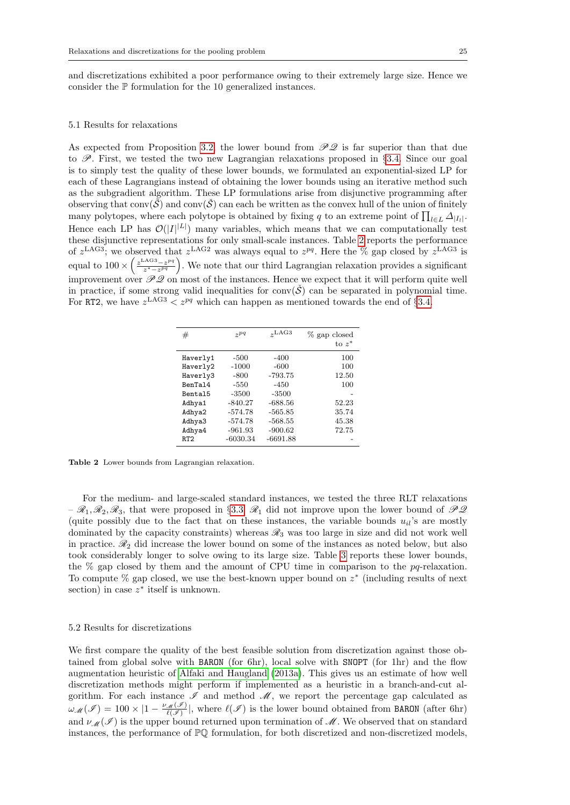and discretizations exhibited a poor performance owing to their extremely large size. Hence we consider the P formulation for the 10 generalized instances.

#### <span id="page-25-0"></span>5.1 Results for relaxations

As expected from Proposition [3.2,](#page-15-1) the lower bound from  $\mathcal{PQ}$  is far superior than that due to  $\mathscr P$ . First, we tested the two new Lagrangian relaxations proposed in §[3.4.](#page-18-3) Since our goal is to simply test the quality of these lower bounds, we formulated an exponential-sized LP for each of these Lagrangians instead of obtaining the lower bounds using an iterative method such as the subgradient algorithm. These LP formulations arise from disjunctive programming after observing that  $conv(\tilde{S})$  and  $conv(\tilde{S})$  can each be written as the convex hull of the union of finitely many polytopes, where each polytope is obtained by fixing q to an extreme point of  $\prod_{l \in L} \Delta_{|I_l|}$ . Hence each LP has  $\mathcal{O}(|I|^{|\mathcal{L}|})$  many variables, which means that we can computationally test these disjunctive representations for only small-scale instances. Table [2](#page-25-1) reports the performance of  $z^{\text{LAG3}}$ ; we observed that  $z^{\text{LAG2}}$  was always equal to  $z^{pq}$ . Here the % gap closed by  $z^{\text{LAG3}}$  is equal to  $100 \times \left(\frac{z^{\text{LAG3}} - z^{pq}}{z^* - z^{pq}}\right)$  $\frac{a^{AG3}-z^{pq}}{z^*-z^{pq}}$ . We note that our third Lagrangian relaxation provides a significant improvement over  $\mathcal{PQ}$  on most of the instances. Hence we expect that it will perform quite well in practice, if some strong valid inequalities for conv $(\check{S})$  can be separated in polynomial time. For RT2, we have  $z^{\text{LAG3}} < z^{pq}$  which can happen as mentioned towards the end of §[3.4.](#page-18-3)

| #               | $\gamma pq$ | $_{\gamma}$ LAG3 | % gap closed<br>to $z^*$ |
|-----------------|-------------|------------------|--------------------------|
| Haverly1        | $-500$      | $-400$           | 100                      |
| Haverly2        | $-1000$     | $-600$           | 100                      |
| Haverly3        | $-800$      | $-793.75$        | 12.50                    |
| BenTal4         | $-550$      | $-450$           | 100                      |
| Bental5         | $-3500$     | $-3500$          |                          |
| Adhya1          | $-840.27$   | $-688.56$        | 52.23                    |
| Adhya2          | $-574.78$   | $-565.85$        | 35.74                    |
| Adhya3          | $-574.78$   | $-568.55$        | 45.38                    |
| Adhya4          | $-961.93$   | $-900.62$        | 72.75                    |
| RT <sub>2</sub> | $-6030.34$  | $-6691.88$       |                          |

<span id="page-25-1"></span>Table 2 Lower bounds from Lagrangian relaxation.

For the medium- and large-scaled standard instances, we tested the three RLT relaxations  $-\mathcal{R}_1, \mathcal{R}_2, \mathcal{R}_3$ , that were proposed in §[3.3.](#page-17-1)  $\mathcal{R}_1$  did not improve upon the lower bound of  $\mathcal{PQ}$ (quite possibly due to the fact that on these instances, the variable bounds  $u_{il}$ 's are mostly dominated by the capacity constraints) whereas  $\mathcal{R}_3$  was too large in size and did not work well in practice.  $\mathcal{R}_2$  did increase the lower bound on some of the instances as noted below, but also took considerably longer to solve owing to its large size. Table [3](#page-26-0) reports these lower bounds, the  $%$  gap closed by them and the amount of CPU time in comparison to the  $pq$ -relaxation. To compute % gap closed, we use the best-known upper bound on  $z^*$  (including results of next section) in case  $z^*$  itself is unknown.

#### 5.2 Results for discretizations

We first compare the quality of the best feasible solution from discretization against those obtained from global solve with BARON (for 6hr), local solve with SNOPT (for 1hr) and the flow augmentation heuristic of [Alfaki and Haugland](#page-29-10) [\(2013a\)](#page-29-10). This gives us an estimate of how well discretization methods might perform if implemented as a heuristic in a branch-and-cut algorithm. For each instance  $\mathscr I$  and method  $\mathscr M$ , we report the percentage gap calculated as  $\omega_{\mathscr{M}}(\mathscr{I}) = 100 \times |1 - \frac{\nu_{\mathscr{M}}(\mathscr{I})}{\ell(\mathscr{I})}|$ , where  $\ell(\mathscr{I})$  is the lower bound obtained from BARON (after 6hr) and  $\nu_{\mathscr{M}}(\mathscr{I})$  is the upper bound returned upon termination of  $\mathscr{M}$ . We observed that on standard instances, the performance of PQ formulation, for both discretized and non-discretized models,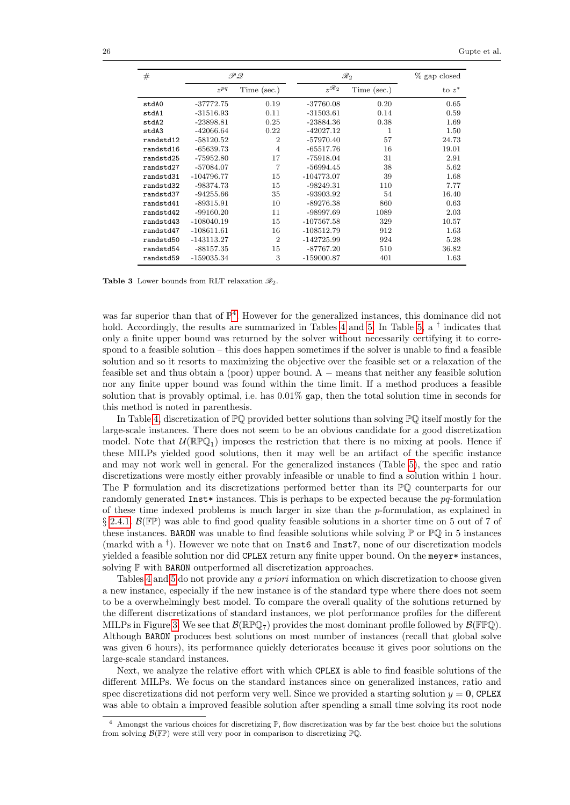| #         | ゆえ                     |                |              | $\mathscr{R}_2$ |          |  |
|-----------|------------------------|----------------|--------------|-----------------|----------|--|
|           | $\gamma$ <sup>pq</sup> | Time (sec.)    | $2\Re 2$     | Time (sec.)     | to $z^*$ |  |
| stdA0     | $-37772.75$            | 0.19           | $-37760.08$  | 0.20            | 0.65     |  |
| stdA1     | $-31516.93$            | 0.11           | $-31503.61$  | 0.14            | 0.59     |  |
| stdA2     | $-23898.81$            | 0.25           | -23884.36    | 0.38            | 1.69     |  |
| stdA3     | $-42066.64$            | 0.22           | $-42027.12$  | 1               | 1.50     |  |
| randstd12 | $-58120.52$            | $\overline{2}$ | $-57970.40$  | 57              | 24.73    |  |
| randstd16 | $-65639.73$            | $\overline{4}$ | $-65517.76$  | 16              | 19.01    |  |
| randstd25 | -75952.80              | 17             | -75918.04    | 31              | 2.91     |  |
| randstd27 | -57084.07              | $\overline{7}$ | $-56994.45$  | 38              | 5.62     |  |
| randstd31 | $-104796.77$           | 15             | $-104773.07$ | 39              | 1.68     |  |
| randstd32 | $-98374.73$            | 15             | $-98249.31$  | 110             | 7.77     |  |
| randstd37 | $-94255.66$            | 35             | -93903.92    | 54              | 16.40    |  |
| randstd41 | $-89315.91$            | 10             | $-89276.38$  | 860             | 0.63     |  |
| randstd42 | $-99160.20$            | 11             | -98997.69    | 1089            | 2.03     |  |
| randstd43 | $-108040.19$           | 15             | $-107567.58$ | 329             | 10.57    |  |
| randstd47 | $-108611.61$           | 16             | -108512.79   | 912             | 1.63     |  |
| randstd50 | $-143113.27$           | $\overline{2}$ | $-142725.99$ | 924             | 5.28     |  |
| randstd54 | $-88157.35$            | 15             | $-87767.20$  | 510             | 36.82    |  |
| randstd59 | $-159035.34$           | 3              | -159000.87   | 401             | 1.63     |  |

<span id="page-26-0"></span>**Table 3** Lower bounds from RLT relaxation  $\mathcal{R}_2$ .

was far superior than that of  $\mathbb{P}^4$  $\mathbb{P}^4$ . However for the generalized instances, this dominance did not hold. Accordingly, the results are summarized in Tables [4](#page-27-0) and [5.](#page-27-1) In Table [5,](#page-27-1) a <sup>†</sup> indicates that only a finite upper bound was returned by the solver without necessarily certifying it to correspond to a feasible solution – this does happen sometimes if the solver is unable to find a feasible solution and so it resorts to maximizing the objective over the feasible set or a relaxation of the feasible set and thus obtain a (poor) upper bound. A  $-$  means that neither any feasible solution nor any finite upper bound was found within the time limit. If a method produces a feasible solution that is provably optimal, i.e. has 0.01% gap, then the total solution time in seconds for this method is noted in parenthesis.

In Table [4,](#page-27-0) discretization of  $\mathbb{P}\mathbb{Q}$  provided better solutions than solving  $\mathbb{P}\mathbb{Q}$  itself mostly for the large-scale instances. There does not seem to be an obvious candidate for a good discretization model. Note that  $\mathcal{U}(\mathbb{R} \mathbb{P} \mathbb{Q}_1)$  imposes the restriction that there is no mixing at pools. Hence if these MILPs yielded good solutions, then it may well be an artifact of the specific instance and may not work well in general. For the generalized instances (Table [5\)](#page-27-1), the spec and ratio discretizations were mostly either provably infeasible or unable to find a solution within 1 hour. The P formulation and its discretizations performed better than its PQ counterparts for our randomly generated Inst\* instances. This is perhaps to be expected because the  $pq$ -formulation of these time indexed problems is much larger in size than the  $p$ -formulation, as explained in  $\S 2.4.1.$  $\S 2.4.1.$   $\mathcal{B}(\mathbb{FP})$  was able to find good quality feasible solutions in a shorter time on 5 out of 7 of these instances. **BARON** was unable to find feasible solutions while solving  $\mathbb{P}$  or  $\mathbb{P}(\mathbb{Q})$  in 5 instances (markd with a  $^{\dagger}$ ). However we note that on Inst6 and Inst7, none of our discretization models yielded a feasible solution nor did CPLEX return any finite upper bound. On the meyer\* instances, solving  $\mathbb P$  with **BARON** outperformed all discretization approaches.

Tables [4](#page-27-0) and [5](#page-27-1) do not provide any a priori information on which discretization to choose given a new instance, especially if the new instance is of the standard type where there does not seem to be a overwhelmingly best model. To compare the overall quality of the solutions returned by the different discretizations of standard instances, we plot performance profiles for the different MILPs in Figure [3.](#page-28-0) We see that  $\mathcal{B}(\mathbb{R} \mathbb{P} \mathbb{Q}_7)$  provides the most dominant profile followed by  $\mathcal{B}(\mathbb{F} \mathbb{P} \mathbb{Q})$ . Although BARON produces best solutions on most number of instances (recall that global solve was given 6 hours), its performance quickly deteriorates because it gives poor solutions on the large-scale standard instances.

Next, we analyze the relative effort with which CPLEX is able to find feasible solutions of the different MILPs. We focus on the standard instances since on generalized instances, ratio and spec discretizations did not perform very well. Since we provided a starting solution  $y = 0$ , CPLEX was able to obtain a improved feasible solution after spending a small time solving its root node

<span id="page-26-1"></span><sup>&</sup>lt;sup>4</sup> Amongst the various choices for discretizing  $\mathbb{P}$ , flow discretization was by far the best choice but the solutions from solving  $\mathcal{B}(\mathbb{FP})$  were still very poor in comparison to discretizing  $\mathbb{P} \mathbb{Q}$ .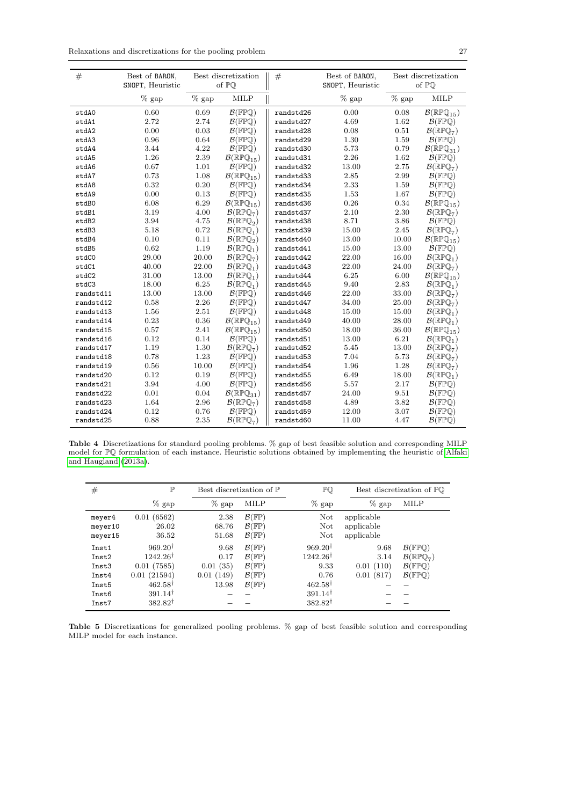| $\#$      | Best of BARON,<br>SNOPT, Heuristic | Best discretization<br>of PO |                                            | $\#$      | Best of BARON,<br>SNOPT, Heuristic |          | Best discretization<br>of PO               |
|-----------|------------------------------------|------------------------------|--------------------------------------------|-----------|------------------------------------|----------|--------------------------------------------|
|           | $%$ gap                            | $\%$ gap                     | <b>MILP</b>                                |           | $%$ gap                            | $\%$ gap | <b>MILP</b>                                |
| stdA0     | 0.60                               | 0.69                         | $\mathcal{B}(\mathbb{FPQ})$                | randstd26 | 0.00                               | 0.08     | $\mathcal{B}(\mathbb{RPQ}_{15})$           |
| stdA1     | 2.72                               | 2.74                         | $\mathcal{B}(\mathbb{FPQ})$                | randstd27 | 4.69                               | 1.62     | $\mathcal{B}(\mathbb{FPQ})$                |
| stdA2     | 0.00                               | 0.03                         | $\mathcal{B}(\mathbb{FPQ})$                | randstd28 | 0.08                               | 0.51     | $\mathcal{B}(\mathbb{RPQ}_7)$              |
| stdA3     | 0.96                               | 0.64                         | $\mathcal{B}(\mathbb{FPQ})$                | randstd29 | 1.30                               | 1.59     | $\mathcal{B}(\mathbb{FPQ})$                |
| stdA4     | 3.44                               | 4.22                         | $\mathcal{B}(\mathbb{FPQ})$                | randstd30 | 5.73                               | 0.79     | $\mathcal{B}(\mathbb{RP} \mathbb{Q}_{31})$ |
| stdA5     | 1.26                               | 2.39                         | $\mathcal{B}(\mathbb{RPQ}_{15})$           | randstd31 | 2.26                               | 1.62     | $\mathcal{B}(\mathbb{FPQ})$                |
| stdA6     | 0.67                               | 1.01                         | $\mathcal{B}(\mathbb{FPQ})$                | randstd32 | 13.00                              | 2.75     | $\mathcal{B}(\mathbb{RPQ}_7)$              |
| stdA7     | 0.73                               | 1.08                         | $\mathcal{B}(\mathbb{RP}\mathbb{Q}_{15})$  | randstd33 | 2.85                               | 2.99     | $\mathcal{B}(\mathbb{FPQ})$                |
| stdA8     | 0.32                               | 0.20                         | $\mathcal{B}(\mathbb{FPQ})$                | randstd34 | 2.33                               | 1.59     | $\mathcal{B}(\mathbb{FPQ})$                |
| stdA9     | 0.00                               | 0.13                         | $\mathcal{B}(\mathbb{FPQ})$                | randstd35 | 1.53                               | 1.67     | $\mathcal{B}(\mathbb{FPQ})$                |
| stdB0     | 6.08                               | 6.29                         | $\mathcal{B}(\mathbb{RPQ}_{15})$           | randstd36 | 0.26                               | 0.34     | $\mathcal{B}(\mathbb{RPQ}_{15})$           |
| stdB1     | 3.19                               | 4.00                         | $\mathcal{B}(\mathbb{RPQ}_7)$              | randstd37 | 2.10                               | 2.30     | $\mathcal{B}(\mathbb{RPQ}_7)$              |
| stdB2     | 3.94                               | 4.75                         | $\mathcal{B}(\mathbb{RP}\mathbb{Q}_2)$     | randstd38 | 8.71                               | 3.86     | $\mathcal{B}(\mathbb{FPQ})$                |
| stdB3     | 5.18                               | 0.72                         | $\mathcal{B}(\mathbb{RPQ}_1)$              | randstd39 | 15.00                              | 2.45     | $\mathcal{B}(\mathbb{RPQ}_7)$              |
| stdB4     | 0.10                               | 0.11                         | $\mathcal{B}(\mathbb{RPQ}_2)$              | randstd40 | 13.00                              | 10.00    | $\mathcal{B}(\mathbb{RPQ}_{15})$           |
| stdB5     | 0.62                               | 1.19                         | $\mathcal{B}(\mathbb{RPQ}_1)$              | randstd41 | 15.00                              | 13.00    | $\mathcal{B}(\mathbb{FPQ})$                |
| stdC0     | 29.00                              | 20.00                        | $\mathcal{B}(\mathbb{RPQ}_7)$              | randstd42 | 22.00                              | 16.00    | $\mathcal{B}(\mathbb{RPQ}_1)$              |
| stdC1     | 40.00                              | 22.00                        | $\mathcal{B}(\mathbb{RPQ}_1)$              | randstd43 | 22.00                              | 24.00    | $\mathcal{B}(\mathbb{RPQ}_7)$              |
| stdC2     | 31.00                              | 13.00                        | $\mathcal{B}(\mathbb{RPQ}_1)$              | randstd44 | 6.25                               | 6.00     | $\mathcal{B}(\mathbb{RPQ}_{15})$           |
| stdC3     | 18.00                              | 6.25                         | $\mathcal{B}(\mathbb{RPQ}_1)$              | randstd45 | 9.40                               | 2.83     | $\mathcal{B}(\mathbb{RPQ}_1)$              |
| randstd11 | 13.00                              | 13.00                        | $\mathcal{B}(\mathbb{FPQ})$                | randstd46 | 22.00                              | 33.00    | $\mathcal{B}(\mathbb{RPQ}_7)$              |
| randstd12 | 0.58                               | 2.26                         | $\mathcal{B}(\mathbb{FPQ})$                | randstd47 | 34.00                              | 25.00    | $\mathcal{B}(\mathbb{RPQ}_7)$              |
| randstd13 | 1.56                               | 2.51                         | $\mathcal{B}(\mathbb{FPQ})$                | randstd48 | 15.00                              | 15.00    | $\mathcal{B}(\mathbb{RPQ}_1)$              |
| randstd14 | 0.23                               | 0.36                         | $\mathcal{B}(\mathbb{RPQ}_{15})$           | randstd49 | 40.00                              | 28.00    | $\mathcal{B}(\mathbb{RPQ}_1)$              |
| randstd15 | 0.57                               | 2.41                         | $\mathcal{B}(\mathbb{RP}\mathbb{Q}_{15})$  | randstd50 | 18.00                              | 36.00    | $\mathcal{B}(\mathbb{RP}\mathbb{Q}_{15})$  |
| randstd16 | 0.12                               | 0.14                         | $\mathcal{B}(\mathbb{FPQ})$                | randstd51 | 13.00                              | 6.21     | $\mathcal{B}(\mathbb{RPQ}_1)$              |
| randstd17 | 1.19                               | 1.30                         | $\mathcal{B}(\mathbb{RPQ}_7)$              | randstd52 | 5.45                               | 13.00    | $\mathcal{B}(\mathbb{RPQ}_7)$              |
| randstd18 | 0.78                               | 1.23                         | $\mathcal{B}(\mathbb{FPQ})$                | randstd53 | 7.04                               | 5.73     | $\mathcal{B}(\mathbb{RPQ}_7)$              |
| randstd19 | 0.56                               | 10.00                        | $\mathcal{B}(\mathbb{FPQ})$                | randstd54 | 1.96                               | 1.28     | $\mathcal{B}(\mathbb{RPQ}_7)$              |
| randstd20 | 0.12                               | 0.19                         | $\mathcal{B}(\mathbb{FPQ})$                | randstd55 | 6.49                               | 18.00    | $\mathcal{B}(\mathbb{RPQ}_1)$              |
| randstd21 | 3.94                               | 4.00                         | $\mathcal{B}(\mathbb{FPQ})$                | randstd56 | 5.57                               | 2.17     | $\mathcal{B}(\mathbb{FPQ})$                |
| randstd22 | 0.01                               | 0.04                         | $\mathcal{B}(\mathbb{RP} \mathbb{Q}_{31})$ | randstd57 | 24.00                              | 9.51     | $\mathcal{B}(\mathbb{FPQ})$                |
| randstd23 | 1.64                               | 2.96                         | $\mathcal{B}(\mathbb{RPQ}_7)$              | randstd58 | 4.89                               | 3.82     | $\mathcal{B}(\mathbb{FPQ})$                |
| randstd24 | 0.12                               | 0.76                         | $\mathcal{B}(\mathbb{FPQ})$                | randstd59 | 12.00                              | 3.07     | $\mathcal{B}(\mathbb{FPQ})$                |
| randstd25 | 0.88                               | 2.35                         | $\mathcal{B}(\mathbb{RPQ}_7)$              | randstd60 | 11.00                              | 4.47     | $\mathcal{B}(\mathbb{FPQ})$                |

<span id="page-27-0"></span>Table 4 Discretizations for standard pooling problems. % gap of best feasible solution and corresponding MILP model for PQ formulation of each instance. Heuristic solutions obtained by implementing the heuristic of [Alfaki](#page-29-10) [and Haugland](#page-29-10) [\(2013a\)](#page-29-10).

| #                                                           | $\mathbb{P}$                                                                                                                             | Best discretization of $\mathbb P$             |                                                                                                                                                    | PQ                                                                                                                          |                                        | Best discretization of PQ                                                                                                  |
|-------------------------------------------------------------|------------------------------------------------------------------------------------------------------------------------------------------|------------------------------------------------|----------------------------------------------------------------------------------------------------------------------------------------------------|-----------------------------------------------------------------------------------------------------------------------------|----------------------------------------|----------------------------------------------------------------------------------------------------------------------------|
|                                                             | $\%$ gap                                                                                                                                 | $\%$ gap                                       | <b>MILP</b>                                                                                                                                        | $\%$ gap                                                                                                                    | $%$ gap                                | <b>MILP</b>                                                                                                                |
| meyer4<br>meyer10<br>meyer15                                | 0.01(6562)<br>26.02<br>36.52                                                                                                             | 2.38<br>68.76<br>51.68                         | $\mathcal{B}(\mathbb{FP})$<br>$\mathcal{B}(\mathbb{FP})$<br>$\mathcal{B}(\mathbb{FP})$                                                             | Not<br>Not<br>Not                                                                                                           | applicable<br>applicable<br>applicable |                                                                                                                            |
| Inst1<br>Inst2<br>Inst3<br>Inst4<br>Inst5<br>Inst6<br>Inst7 | $969.20^{\dagger}$<br>$1242.26^{\dagger}$<br>0.01(7585)<br>0.01(21594)<br>$462.58^{\dagger}$<br>$391.14^{\dagger}$<br>$382.82^{\dagger}$ | 9.68<br>0.17<br>0.01(35)<br>0.01(149)<br>13.98 | $\mathcal{B}(\mathbb{FP})$<br>$\mathcal{B}(\mathbb{FP})$<br>$\mathcal{B}(\mathbb{FP})$<br>$\mathcal{B}(\mathbb{FP})$<br>$\mathcal{B}(\mathbb{FP})$ | $969.20^{\dagger}$<br>$1242.26^{\dagger}$<br>9.33<br>0.76<br>$462.58^{\dagger}$<br>$391.14^{\dagger}$<br>$382.82^{\dagger}$ | 9.68<br>3.14<br>0.01(110)<br>0.01(817) | $\mathcal{B}(\mathbb{FPQ})$<br>$\mathcal{B}(\mathbb{RPQ}_7)$<br>$\mathcal{B}(\mathbb{FPQ})$<br>$\mathcal{B}(\mathbb{FPQ})$ |

<span id="page-27-1"></span>Table 5 Discretizations for generalized pooling problems. % gap of best feasible solution and corresponding MILP model for each instance.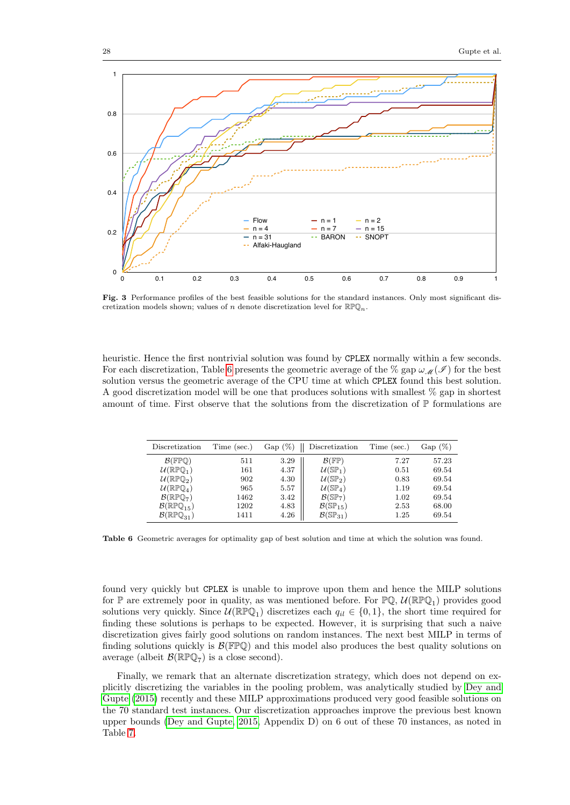

<span id="page-28-0"></span>Fig. 3 Performance profiles of the best feasible solutions for the standard instances. Only most significant discretization models shown; values of  $n$  denote discretization level for  $\mathbb{RPQ}_n$ .

heuristic. Hence the first nontrivial solution was found by CPLEX normally within a few seconds. For each discretization, Table [6](#page-28-1) presents the geometric average of the % gap  $\omega_{\mathcal{M}}(\mathcal{I})$  for the best solution versus the geometric average of the CPU time at which CPLEX found this best solution. A good discretization model will be one that produces solutions with smallest  $\%$  gap in shortest amount of time. First observe that the solutions from the discretization of  $\mathbb P$  formulations are

| Discretization                             | Time (sec.) | $Gap(\%)$ | Discretization                            | Time (sec.) | $Gap(\%)$ |
|--------------------------------------------|-------------|-----------|-------------------------------------------|-------------|-----------|
| $\mathcal{B}(\mathbb{FPQ})$                | 511         | 3.29      | $\mathcal{B}(\mathbb{FP})$                | 7.27        | 57.23     |
| $\mathcal{U}(\mathbb{RPQ}_1)$              | 161         | 4.37      | $U(SP_1)$                                 | 0.51        | 69.54     |
| $\mathcal{U}(\mathbb{RP}\mathbb{Q}_2)$     | 902         | 4.30      | $U(\mathbb{SP}_2)$                        | 0.83        | 69.54     |
| $\mathcal{U}(\mathbb{RP}\mathbb{Q}_4)$     | 965         | 5.57      | $U(SP_4)$                                 | 1.19        | 69.54     |
| $\mathcal{B}(\mathbb{RPQ}_7)$              | 1462        | 3.42      | $\mathcal{B}(\mathbb{SP}_{7})$            | 1.02        | 69.54     |
| $\mathcal{B}(\mathbb{RPQ}_{15})$           | 1202        | 4.83      | $\mathcal{B}(\mathbb{SP}_{15})$           | 2.53        | 68.00     |
| $\mathcal{B}(\mathbb{RP} \mathbb{Q}_{31})$ | 1411        | 4.26      | $\mathcal{B}(\mathbb{S} \mathbb{P}_{31})$ | 1.25        | 69.54     |

<span id="page-28-1"></span>Table 6 Geometric averages for optimality gap of best solution and time at which the solution was found.

found very quickly but CPLEX is unable to improve upon them and hence the MILP solutions for  $\mathbb P$  are extremely poor in quality, as was mentioned before. For  $\mathbb P\mathbb Q$ ,  $\mathcal U(\mathbb{RPQ}_1)$  provides good solutions very quickly. Since  $\mathcal{U}(\mathbb{R} \mathbb{P} \mathbb{Q}_1)$  discretizes each  $q_{il} \in \{0,1\}$ , the short time required for finding these solutions is perhaps to be expected. However, it is surprising that such a naive discretization gives fairly good solutions on random instances. The next best MILP in terms of finding solutions quickly is  $\mathcal{B}(\mathbb{F}\mathbb{P}\mathbb{Q})$  and this model also produces the best quality solutions on average (albeit  $\mathcal{B}(\mathbb{R} \mathbb{P} \mathbb{Q}_7)$  is a close second).

Finally, we remark that an alternate discretization strategy, which does not depend on explicitly discretizing the variables in the pooling problem, was analytically studied by [Dey and](#page-30-12) [Gupte](#page-30-12) [\(2015\)](#page-30-12) recently and these MILP approximations produced very good feasible solutions on the 70 standard test instances. Our discretization approaches improve the previous best known upper bounds [\(Dey and Gupte, 2015,](#page-30-12) Appendix D) on 6 out of these 70 instances, as noted in Table [7.](#page-29-11)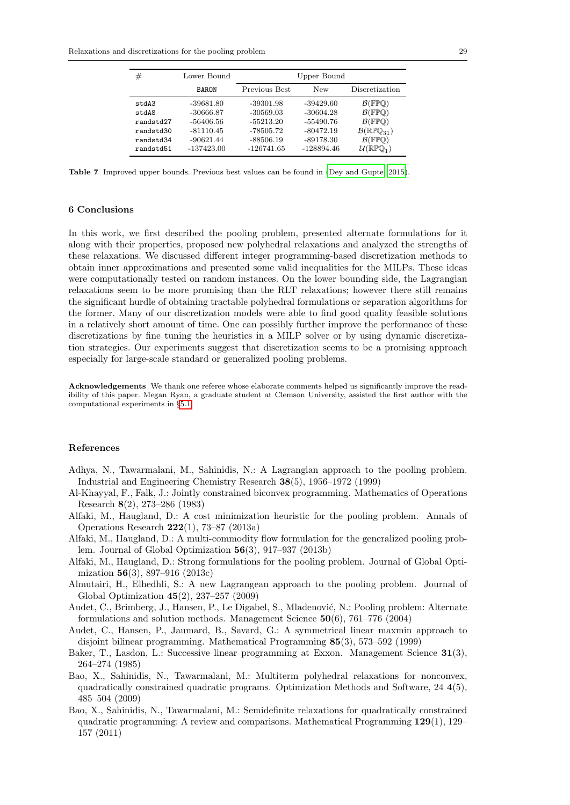| #                                                                  | Lower Bound                                                                           |                                                                                     | Upper Bound                                                                           |                                                                                                                                                                                    |
|--------------------------------------------------------------------|---------------------------------------------------------------------------------------|-------------------------------------------------------------------------------------|---------------------------------------------------------------------------------------|------------------------------------------------------------------------------------------------------------------------------------------------------------------------------------|
|                                                                    | <b>BARON</b>                                                                          | Previous Best                                                                       | New                                                                                   | Discretization                                                                                                                                                                     |
| stdA3<br>stdA8<br>randstd27<br>randstd30<br>randstd34<br>randstd51 | $-39681.80$<br>$-30666.87$<br>-56406.56<br>$-81110.45$<br>$-90621.44$<br>$-137423.00$ | -39301.98<br>$-30569.03$<br>$-55213.20$<br>-78505.72<br>$-88506.19$<br>$-126741.65$ | $-39429.60$<br>$-30604.28$<br>-55490.76<br>$-80472.19$<br>$-89178.30$<br>$-128894.46$ | $\mathcal{B}(\mathbb{FP}()$<br>$\mathcal{B}(\mathbb{FPO})$<br>$\mathcal{B}(\mathbb{FPO})$<br>$\mathcal{B}(\mathbb{RPQ}_{31})$<br>$\mathcal{B}(\mathbb{FPO})$<br>$(\mathbb{RPQ}_1)$ |

<span id="page-29-11"></span>Table 7 Improved upper bounds. Previous best values can be found in [\(Dey and Gupte, 2015\)](#page-30-12).

#### 6 Conclusions

In this work, we first described the pooling problem, presented alternate formulations for it along with their properties, proposed new polyhedral relaxations and analyzed the strengths of these relaxations. We discussed different integer programming-based discretization methods to obtain inner approximations and presented some valid inequalities for the MILPs. These ideas were computationally tested on random instances. On the lower bounding side, the Lagrangian relaxations seem to be more promising than the RLT relaxations; however there still remains the significant hurdle of obtaining tractable polyhedral formulations or separation algorithms for the former. Many of our discretization models were able to find good quality feasible solutions in a relatively short amount of time. One can possibly further improve the performance of these discretizations by fine tuning the heuristics in a MILP solver or by using dynamic discretization strategies. Our experiments suggest that discretization seems to be a promising approach especially for large-scale standard or generalized pooling problems.

Acknowledgements We thank one referee whose elaborate comments helped us significantly improve the readibility of this paper. Megan Ryan, a graduate student at Clemson University, assisted the first author with the computational experiments in §[5.1.](#page-25-0)

#### References

- <span id="page-29-2"></span>Adhya, N., Tawarmalani, M., Sahinidis, N.: A Lagrangian approach to the pooling problem. Industrial and Engineering Chemistry Research 38(5), 1956–1972 (1999)
- <span id="page-29-8"></span>Al-Khayyal, F., Falk, J.: Jointly constrained biconvex programming. Mathematics of Operations Research 8(2), 273–286 (1983)
- <span id="page-29-10"></span>Alfaki, M., Haugland, D.: A cost minimization heuristic for the pooling problem. Annals of Operations Research 222(1), 73–87 (2013a)
- <span id="page-29-6"></span>Alfaki, M., Haugland, D.: A multi-commodity flow formulation for the generalized pooling problem. Journal of Global Optimization 56(3), 917–937 (2013b)
- <span id="page-29-5"></span>Alfaki, M., Haugland, D.: Strong formulations for the pooling problem. Journal of Global Optimization 56(3), 897–916 (2013c)
- <span id="page-29-3"></span>Almutairi, H., Elhedhli, S.: A new Lagrangean approach to the pooling problem. Journal of Global Optimization 45(2), 237–257 (2009)
- <span id="page-29-1"></span>Audet, C., Brimberg, J., Hansen, P., Le Digabel, S., Mladenović, N.: Pooling problem: Alternate formulations and solution methods. Management Science 50(6), 761–776 (2004)
- <span id="page-29-4"></span>Audet, C., Hansen, P., Jaumard, B., Savard, G.: A symmetrical linear maxmin approach to disjoint bilinear programming. Mathematical Programming 85(3), 573–592 (1999)
- <span id="page-29-0"></span>Baker, T., Lasdon, L.: Successive linear programming at Exxon. Management Science 31(3), 264–274 (1985)
- <span id="page-29-9"></span>Bao, X., Sahinidis, N., Tawarmalani, M.: Multiterm polyhedral relaxations for nonconvex, quadratically constrained quadratic programs. Optimization Methods and Software, 24 4(5), 485–504 (2009)
- <span id="page-29-7"></span>Bao, X., Sahinidis, N., Tawarmalani, M.: Semidefinite relaxations for quadratically constrained quadratic programming: A review and comparisons. Mathematical Programming  $129(1)$ ,  $129-$ 157 (2011)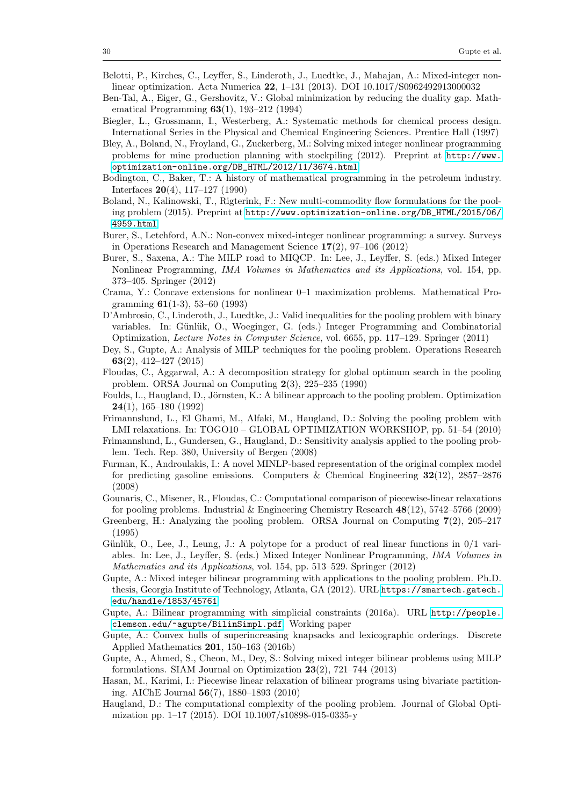- <span id="page-30-8"></span>Belotti, P., Kirches, C., Leyffer, S., Linderoth, J., Luedtke, J., Mahajan, A.: Mixed-integer nonlinear optimization. Acta Numerica 22, 1–131 (2013). DOI 10.1017/S0962492913000032
- <span id="page-30-7"></span>Ben-Tal, A., Eiger, G., Gershovitz, V.: Global minimization by reducing the duality gap. Mathematical Programming 63(1), 193–212 (1994)
- <span id="page-30-1"></span>Biegler, L., Grossmann, I., Westerberg, A.: Systematic methods for chemical process design. International Series in the Physical and Chemical Engineering Sciences. Prentice Hall (1997)
- <span id="page-30-15"></span>Bley, A., Boland, N., Froyland, G., Zuckerberg, M.: Solving mixed integer nonlinear programming problems for mine production planning with stockpiling (2012). Preprint at [http://www.](http://www.optimization-online.org/DB_HTML/2012/11/3674.html) [optimization-online.org/DB\\_HTML/2012/11/3674.html](http://www.optimization-online.org/DB_HTML/2012/11/3674.html)
- <span id="page-30-0"></span>Bodington, C., Baker, T.: A history of mathematical programming in the petroleum industry. Interfaces 20(4), 117–127 (1990)
- <span id="page-30-13"></span>Boland, N., Kalinowski, T., Rigterink, F.: New multi-commodity flow formulations for the pooling problem (2015). Preprint at [http://www.optimization-online.org/DB\\_HTML/2015/06/](http://www.optimization-online.org/DB_HTML/2015/06/4959.html) [4959.html](http://www.optimization-online.org/DB_HTML/2015/06/4959.html)
- <span id="page-30-9"></span>Burer, S., Letchford, A.N.: Non-convex mixed-integer nonlinear programming: a survey. Surveys in Operations Research and Management Science 17(2), 97–106 (2012)
- <span id="page-30-20"></span>Burer, S., Saxena, A.: The MILP road to MIQCP. In: Lee, J., Leyffer, S. (eds.) Mixed Integer Nonlinear Programming, IMA Volumes in Mathematics and its Applications, vol. 154, pp. 373–405. Springer (2012)
- <span id="page-30-17"></span>Crama, Y.: Concave extensions for nonlinear 0–1 maximization problems. Mathematical Programming 61(1-3), 53–60 (1993)
- <span id="page-30-14"></span>D'Ambrosio, C., Linderoth, J., Luedtke, J.: Valid inequalities for the pooling problem with binary variables. In: Günlük, O., Woeginger, G. (eds.) Integer Programming and Combinatorial Optimization, Lecture Notes in Computer Science, vol. 6655, pp. 117–129. Springer (2011)
- <span id="page-30-12"></span>Dey, S., Gupte, A.: Analysis of MILP techniques for the pooling problem. Operations Research 63(2), 412–427 (2015)
- <span id="page-30-3"></span>Floudas, C., Aggarwal, A.: A decomposition strategy for global optimum search in the pooling problem. ORSA Journal on Computing 2(3), 225–235 (1990)
- <span id="page-30-6"></span>Foulds, L., Haugland, D., Jörnsten, K.: A bilinear approach to the pooling problem. Optimization 24(1), 165–180 (1992)
- <span id="page-30-16"></span>Frimannslund, L., El Ghami, M., Alfaki, M., Haugland, D.: Solving the pooling problem with LMI relaxations. In: TOGO10 – GLOBAL OPTIMIZATION WORKSHOP, pp. 51–54 (2010)
- <span id="page-30-4"></span>Frimannslund, L., Gundersen, G., Haugland, D.: Sensitivity analysis applied to the pooling problem. Tech. Rep. 380, University of Bergen (2008)
- <span id="page-30-2"></span>Furman, K., Androulakis, I.: A novel MINLP-based representation of the original complex model for predicting gasoline emissions. Computers & Chemical Engineering 32(12), 2857–2876 (2008)
- <span id="page-30-21"></span>Gounaris, C., Misener, R., Floudas, C.: Computational comparison of piecewise-linear relaxations for pooling problems. Industrial & Engineering Chemistry Research  $48(12)$ , 5742–5766 (2009)
- <span id="page-30-5"></span>Greenberg, H.: Analyzing the pooling problem. ORSA Journal on Computing 7(2), 205–217 (1995)
- <span id="page-30-18"></span>Günlük, O., Lee, J., Leung, J.: A polytope for a product of real linear functions in  $0/1$  variables. In: Lee, J., Leyffer, S. (eds.) Mixed Integer Nonlinear Programming, IMA Volumes in Mathematics and its Applications, vol. 154, pp. 513–529. Springer (2012)
- <span id="page-30-10"></span>Gupte, A.: Mixed integer bilinear programming with applications to the pooling problem. Ph.D. thesis, Georgia Institute of Technology, Atlanta, GA (2012). URL [https://smartech.gatech.](https://smartech.gatech.edu/handle/1853/45761) [edu/handle/1853/45761](https://smartech.gatech.edu/handle/1853/45761)
- <span id="page-30-19"></span>Gupte, A.: Bilinear programming with simplicial constraints (2016a). URL [http://people.](http://people.clemson.edu/~agupte/BilinSimpl.pdf) [clemson.edu/~agupte/BilinSimpl.pdf](http://people.clemson.edu/~agupte/BilinSimpl.pdf). Working paper
- <span id="page-30-24"></span>Gupte, A.: Convex hulls of superincreasing knapsacks and lexicographic orderings. Discrete Applied Mathematics 201, 150–163 (2016b)
- <span id="page-30-23"></span>Gupte, A., Ahmed, S., Cheon, M., Dey, S.: Solving mixed integer bilinear problems using MILP formulations. SIAM Journal on Optimization  $23(2)$ ,  $721-744$   $(2013)$
- <span id="page-30-22"></span>Hasan, M., Karimi, I.: Piecewise linear relaxation of bilinear programs using bivariate partitioning. AIChE Journal 56(7), 1880–1893 (2010)
- <span id="page-30-11"></span>Haugland, D.: The computational complexity of the pooling problem. Journal of Global Optimization pp. 1–17 (2015). DOI 10.1007/s10898-015-0335-y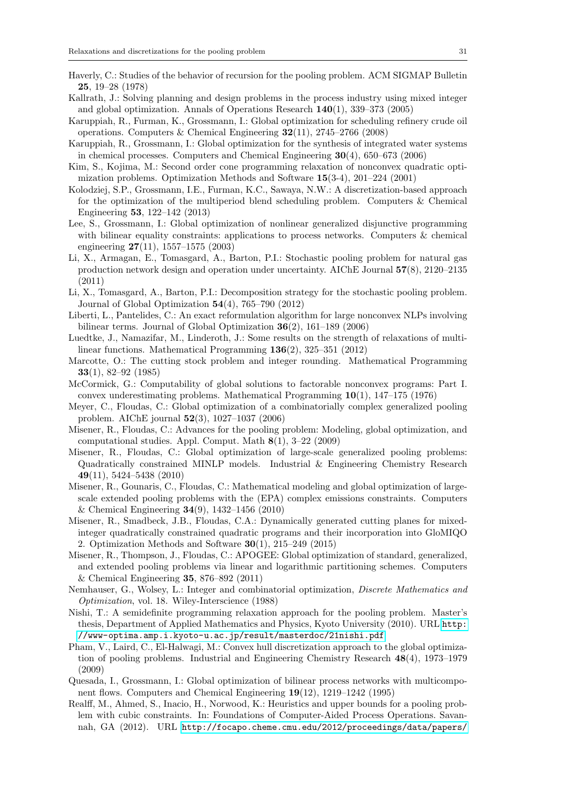- <span id="page-31-3"></span>Haverly, C.: Studies of the behavior of recursion for the pooling problem. ACM SIGMAP Bulletin 25, 19–28 (1978)
- <span id="page-31-2"></span>Kallrath, J.: Solving planning and design problems in the process industry using mixed integer and global optimization. Annals of Operations Research  $140(1)$ , 339–373 (2005)
- <span id="page-31-0"></span>Karuppiah, R., Furman, K., Grossmann, I.: Global optimization for scheduling refinery crude oil operations. Computers & Chemical Engineering 32(11), 2745–2766 (2008)
- <span id="page-31-1"></span>Karuppiah, R., Grossmann, I.: Global optimization for the synthesis of integrated water systems in chemical processes. Computers and Chemical Engineering 30(4), 650–673 (2006)
- <span id="page-31-19"></span>Kim, S., Kojima, M.: Second order cone programming relaxation of nonconvex quadratic optimization problems. Optimization Methods and Software 15(3-4), 201–224 (2001)
- <span id="page-31-15"></span>Kolodziej, S.P., Grossmann, I.E., Furman, K.C., Sawaya, N.W.: A discretization-based approach for the optimization of the multiperiod blend scheduling problem. Computers & Chemical Engineering 53, 122–142 (2013)
- <span id="page-31-7"></span>Lee, S., Grossmann, I.: Global optimization of nonlinear generalized disjunctive programming with bilinear equality constraints: applications to process networks. Computers & chemical engineering 27(11), 1557–1575 (2003)
- <span id="page-31-13"></span>Li, X., Armagan, E., Tomasgard, A., Barton, P.I.: Stochastic pooling problem for natural gas production network design and operation under uncertainty. AIChE Journal 57(8), 2120–2135 (2011)
- <span id="page-31-14"></span>Li, X., Tomasgard, A., Barton, P.I.: Decomposition strategy for the stochastic pooling problem. Journal of Global Optimization 54(4), 765–790 (2012)
- <span id="page-31-20"></span>Liberti, L., Pantelides, C.: An exact reformulation algorithm for large nonconvex NLPs involving bilinear terms. Journal of Global Optimization 36(2), 161–189 (2006)
- <span id="page-31-16"></span>Luedtke, J., Namazifar, M., Linderoth, J.: Some results on the strength of relaxations of multilinear functions. Mathematical Programming 136(2), 325–351 (2012)
- <span id="page-31-23"></span>Marcotte, O.: The cutting stock problem and integer rounding. Mathematical Programming 33(1), 82–92 (1985)
- <span id="page-31-17"></span>McCormick, G.: Computability of global solutions to factorable nonconvex programs: Part I. convex underestimating problems. Mathematical Programming  $10(1)$ ,  $147-175$  (1976)
- <span id="page-31-10"></span>Meyer, C., Floudas, C.: Global optimization of a combinatorially complex generalized pooling problem. AIChE journal 52(3), 1027–1037 (2006)
- <span id="page-31-6"></span>Misener, R., Floudas, C.: Advances for the pooling problem: Modeling, global optimization, and computational studies. Appl. Comput. Math 8(1), 3–22 (2009)
- <span id="page-31-11"></span>Misener, R., Floudas, C.: Global optimization of large-scale generalized pooling problems: Quadratically constrained MINLP models. Industrial & Engineering Chemistry Research 49(11), 5424–5438 (2010)
- <span id="page-31-9"></span>Misener, R., Gounaris, C., Floudas, C.: Mathematical modeling and global optimization of largescale extended pooling problems with the (EPA) complex emissions constraints. Computers & Chemical Engineering 34(9), 1432–1456 (2010)
- <span id="page-31-18"></span>Misener, R., Smadbeck, J.B., Floudas, C.A.: Dynamically generated cutting planes for mixedinteger quadratically constrained quadratic programs and their incorporation into GloMIQO 2. Optimization Methods and Software 30(1), 215–249 (2015)
- <span id="page-31-5"></span>Misener, R., Thompson, J., Floudas, C.: APOGEE: Global optimization of standard, generalized, and extended pooling problems via linear and logarithmic partitioning schemes. Computers & Chemical Engineering 35, 876–892 (2011)
- <span id="page-31-21"></span>Nemhauser, G., Wolsey, L.: Integer and combinatorial optimization, Discrete Mathematics and Optimization, vol. 18. Wiley-Interscience (1988)
- <span id="page-31-12"></span>Nishi, T.: A semidefinite programming relaxation approach for the pooling problem. Master's thesis, Department of Applied Mathematics and Physics, Kyoto University (2010). URL [http:](http://www-optima.amp.i.kyoto-u.ac.jp/result/masterdoc/21nishi.pdf) [//www-optima.amp.i.kyoto-u.ac.jp/result/masterdoc/21nishi.pdf](http://www-optima.amp.i.kyoto-u.ac.jp/result/masterdoc/21nishi.pdf)
- <span id="page-31-22"></span>Pham, V., Laird, C., El-Halwagi, M.: Convex hull discretization approach to the global optimization of pooling problems. Industrial and Engineering Chemistry Research 48(4), 1973–1979 (2009)
- <span id="page-31-4"></span>Quesada, I., Grossmann, I.: Global optimization of bilinear process networks with multicomponent flows. Computers and Chemical Engineering 19(12), 1219–1242 (1995)
- <span id="page-31-8"></span>Realff, M., Ahmed, S., Inacio, H., Norwood, K.: Heuristics and upper bounds for a pooling problem with cubic constraints. In: Foundations of Computer-Aided Process Operations. Savannah, GA (2012). URL [http://focapo.cheme.cmu.edu/2012/proceedings/data/papers/](http://focapo.cheme.cmu.edu/2012/proceedings/data/papers/056.pdf)